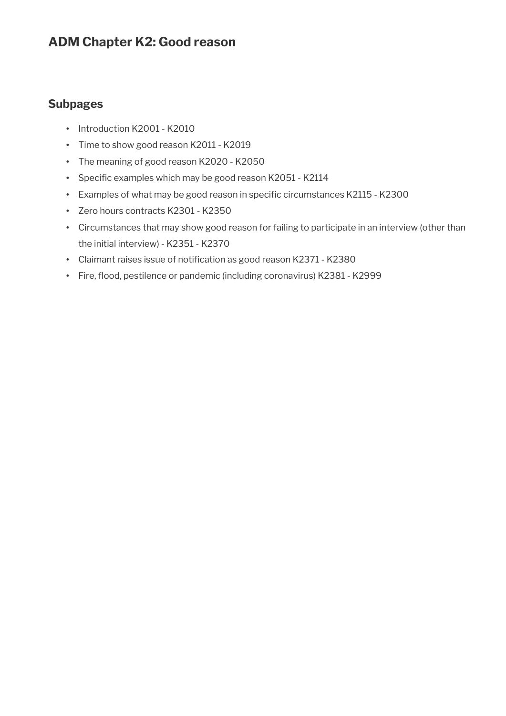# **ADM Chapter K2: Good reason**

## **Subpages**

- Introduction K2001 K2010
- Time to show good reason K2011 K2019
- The meaning of good reason K2020 K2050
- Specific examples which may be good reason K2051 K2114
- Examples of what may be good reason in specific circumstances K2115 K2300
- Zero hours contracts K2301 K2350
- Circumstances that may show good reason for failing to participate in an interview (other than the initial interview) - K2351 - K2370
- Claimant raises issue of notification as good reason K2371 K2380
- Fire, flood, pestilence or pandemic (including coronavirus) K2381 K2999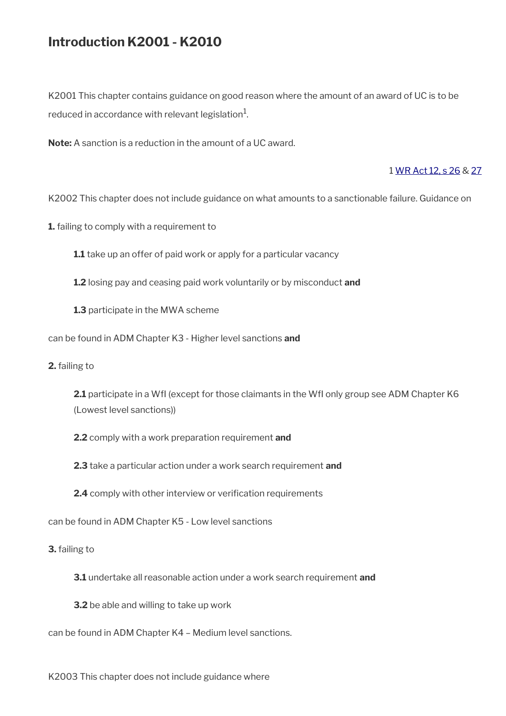# **Introduction K2001 - K2010**

K2001 This chapter contains guidance on good reason where the amount of an award of UC is to be reduced in accordance with relevant legislation $^{\rm 1}$ .

**Note:** A sanction is a reduction in the amount of a UC award.

#### 1 [WR Act 12, s 26](https://www.legislation.gov.uk/ukpga/2012/5/section/26) & [27](https://www.legislation.gov.uk/ukpga/2012/5/section/27)

K2002 This chapter does not include guidance on what amounts to a sanctionable failure. Guidance on

**1.** failing to comply with a requirement to

**1.1** take up an offer of paid work or apply for a particular vacancy

**1.2** losing pay and ceasing paid work voluntarily or by misconduct **and** 

**1.3** participate in the MWA scheme

can be found in ADM Chapter K3 - Higher level sanctions **and**

**2.** failing to

**2.1** participate in a WfI (except for those claimants in the WfI only group see ADM Chapter K6 (Lowest level sanctions))

**2.2** comply with a work preparation requirement **and**

**2.3** take a particular action under a work search requirement **and**

**2.4** comply with other interview or verification requirements

can be found in ADM Chapter K5 - Low level sanctions

**3.** failing to

**3.1** undertake all reasonable action under a work search requirement **and**

**3.2** be able and willing to take up work

can be found in ADM Chapter K4 – Medium level sanctions.

K2003 This chapter does not include guidance where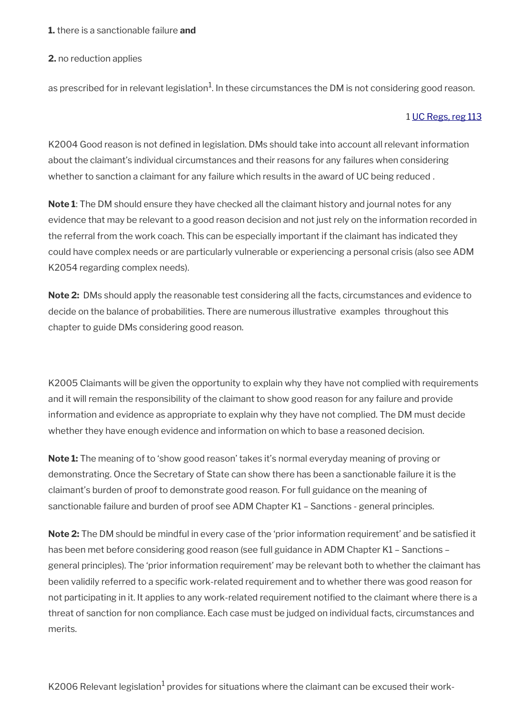#### **1.** there is a sanctionable failure **and**

#### **2.** no reduction applies

as prescribed for in relevant legislation $^1$ . In these circumstances the DM is not considering good reason.

#### 1 [UC Regs, reg 113](https://www.legislation.gov.uk/uksi/2013/376/regulation/113)

K2004 Good reason is not defined in legislation. DMs should take into account all relevant information about the claimant's individual circumstances and their reasons for any failures when considering whether to sanction a claimant for any failure which results in the award of UC being reduced .

**Note 1**: The DM should ensure they have checked all the claimant history and journal notes for any evidence that may be relevant to a good reason decision and not just rely on the information recorded in the referral from the work coach. This can be especially important if the claimant has indicated they could have complex needs or are particularly vulnerable or experiencing a personal crisis (also see ADM K2054 regarding complex needs).

**Note 2:** DMs should apply the reasonable test considering all the facts, circumstances and evidence to decide on the balance of probabilities. There are numerous illustrative examples throughout this chapter to guide DMs considering good reason.

K2005 Claimants will be given the opportunity to explain why they have not complied with requirements and it will remain the responsibility of the claimant to show good reason for any failure and provide information and evidence as appropriate to explain why they have not complied. The DM must decide whether they have enough evidence and information on which to base a reasoned decision.

**Note 1:** The meaning of to 'show good reason' takes it's normal everyday meaning of proving or demonstrating. Once the Secretary of State can show there has been a sanctionable failure it is the claimant's burden of proof to demonstrate good reason. For full guidance on the meaning of sanctionable failure and burden of proof see ADM Chapter K1 – Sanctions - general principles.

**Note 2:** The DM should be mindful in every case of the 'prior information requirement' and be satisfied it has been met before considering good reason (see full guidance in ADM Chapter K1 – Sanctions – general principles). The 'prior information requirement' may be relevant both to whether the claimant has been validily referred to a specific work-related requirement and to whether there was good reason for not participating in it. It applies to any work-related requirement notified to the claimant where there is a threat of sanction for non compliance. Each case must be judged on individual facts, circumstances and merits.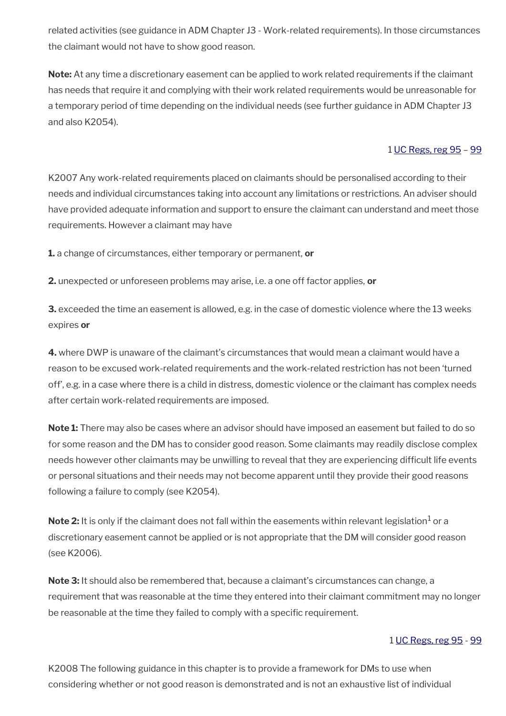related activities (see guidance in ADM Chapter J3 - Work-related requirements). In those circumstances the claimant would not have to show good reason.

**Note:** At any time a discretionary easement can be applied to work related requirements if the claimant has needs that require it and complying with their work related requirements would be unreasonable for a temporary period of time depending on the individual needs (see further guidance in ADM Chapter J3 and also K2054).

#### 1 [UC Regs, reg 95](https://www.legislation.gov.uk/uksi/2013/376/regulation/95) – [99](https://www.legislation.gov.uk/uksi/2013/376/regulation/99)

K2007 Any work-related requirements placed on claimants should be personalised according to their needs and individual circumstances taking into account any limitations or restrictions. An adviser should have provided adequate information and support to ensure the claimant can understand and meet those requirements. However a claimant may have

**1.** a change of circumstances, either temporary or permanent, **or** 

**2.** unexpected or unforeseen problems may arise, i.e. a one off factor applies, **or**

**3.** exceeded the time an easement is allowed, e.g. in the case of domestic violence where the 13 weeks expires **or**

**4.** where DWP is unaware of the claimant's circumstances that would mean a claimant would have a reason to be excused work-related requirements and the work-related restriction has not been 'turned off', e.g. in a case where there is a child in distress, domestic violence or the claimant has complex needs after certain work-related requirements are imposed.

**Note 1:** There may also be cases where an advisor should have imposed an easement but failed to do so for some reason and the DM has to consider good reason. Some claimants may readily disclose complex needs however other claimants may be unwilling to reveal that they are experiencing difficult life events or personal situations and their needs may not become apparent until they provide their good reasons following a failure to comply (see K2054).

 $\mathsf{Note} \, 2\mathpunct:$  It is only if the claimant does not fall within the easements within relevant legislation $^1$  or a discretionary easement cannot be applied or is not appropriate that the DM will consider good reason (see K2006).

**Note 3:** It should also be remembered that, because a claimant's circumstances can change, a requirement that was reasonable at the time they entered into their claimant commitment may no longer be reasonable at the time they failed to comply with a specific requirement.

#### 1 [UC Regs, reg 95](https://www.legislation.gov.uk/uksi/2013/376/regulation/95) - [99](https://www.legislation.gov.uk/uksi/2013/376/regulation/99)

K2008 The following guidance in this chapter is to provide a framework for DMs to use when considering whether or not good reason is demonstrated and is not an exhaustive list of individual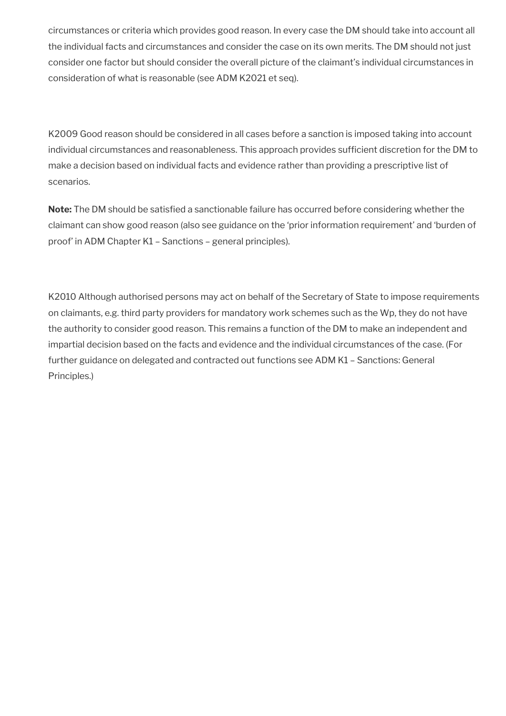circumstances or criteria which provides good reason. In every case the DM should take into account all the individual facts and circumstances and consider the case on its own merits. The DM should not just consider one factor but should consider the overall picture of the claimant's individual circumstances in consideration of what is reasonable (see ADM K2021 et seq).

K2009 Good reason should be considered in all cases before a sanction is imposed taking into account individual circumstances and reasonableness. This approach provides sufficient discretion for the DM to make a decision based on individual facts and evidence rather than providing a prescriptive list of scenarios.

**Note:** The DM should be satisfied a sanctionable failure has occurred before considering whether the claimant can show good reason (also see guidance on the 'prior information requirement' and 'burden of proof' in ADM Chapter K1 – Sanctions – general principles).

K2010 Although authorised persons may act on behalf of the Secretary of State to impose requirements on claimants, e.g. third party providers for mandatory work schemes such as the Wp, they do not have the authority to consider good reason. This remains a function of the DM to make an independent and impartial decision based on the facts and evidence and the individual circumstances of the case. (For further guidance on delegated and contracted out functions see ADM K1 – Sanctions: General Principles.)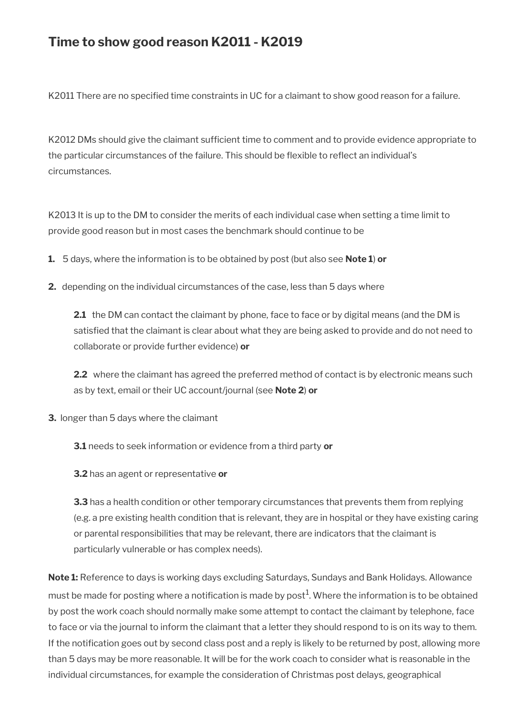# **Time to show good reason K2011 - K2019**

K2011 There are no specified time constraints in UC for a claimant to show good reason for a failure.

K2012 DMs should give the claimant sufficient time to comment and to provide evidence appropriate to the particular circumstances of the failure. This should be flexible to reflect an individual's circumstances.

K2013 It is up to the DM to consider the merits of each individual case when setting a time limit to provide good reason but in most cases the benchmark should continue to be

**1.** 5 days, where the information is to be obtained by post (but also see **Note 1**) **or**

**2.** depending on the individual circumstances of the case, less than 5 days where

**2.1** the DM can contact the claimant by phone, face to face or by digital means (and the DM is satisfied that the claimant is clear about what they are being asked to provide and do not need to collaborate or provide further evidence) **or**

**2.2** where the claimant has agreed the preferred method of contact is by electronic means such as by text, email or their UC account/journal (see **Note 2**) **or**

**3.** longer than 5 days where the claimant

**3.1** needs to seek information or evidence from a third party **or**

**3.2** has an agent or representative **or**

**3.3** has a health condition or other temporary circumstances that prevents them from replying (e.g. a pre existing health condition that is relevant, they are in hospital or they have existing caring or parental responsibilities that may be relevant, there are indicators that the claimant is particularly vulnerable or has complex needs).

**Note 1:** Reference to days is working days excluding Saturdays, Sundays and Bank Holidays. Allowance must be made for posting where a notification is made by post $^1$ . Where the information is to be obtained by post the work coach should normally make some attempt to contact the claimant by telephone, face to face or via the journal to inform the claimant that a letter they should respond to is on its way to them. If the notification goes out by second class post and a reply is likely to be returned by post, allowing more than 5 days may be more reasonable. It will be for the work coach to consider what is reasonable in the individual circumstances, for example the consideration of Christmas post delays, geographical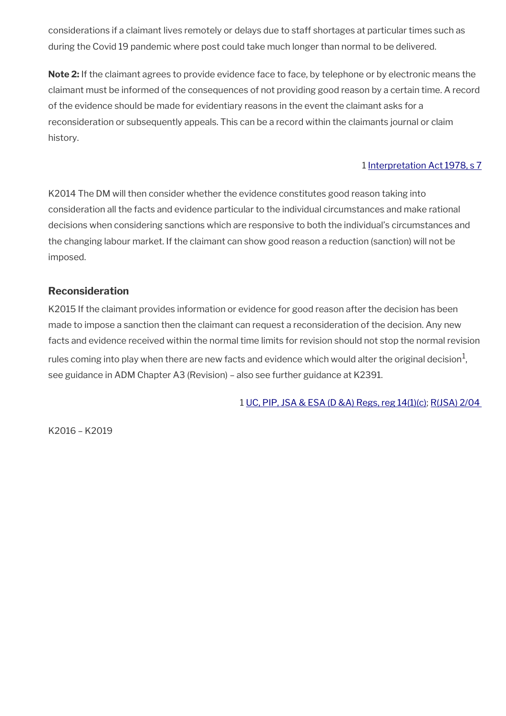considerations if a claimant lives remotely or delays due to staff shortages at particular times such as during the Covid 19 pandemic where post could take much longer than normal to be delivered.

**Note 2:** If the claimant agrees to provide evidence face to face, by telephone or by electronic means the claimant must be informed of the consequences of not providing good reason by a certain time. A record of the evidence should be made for evidentiary reasons in the event the claimant asks for a reconsideration or subsequently appeals. This can be a record within the claimants journal or claim history.

### 1 [Interpretation Act 1978, s 7](https://www.legislation.gov.uk/ukpga/1978/30/section/7)

K2014 The DM will then consider whether the evidence constitutes good reason taking into consideration all the facts and evidence particular to the individual circumstances and make rational decisions when considering sanctions which are responsive to both the individual's circumstances and the changing labour market. If the claimant can show good reason a reduction (sanction) will not be imposed.

### **Reconsideration**

K2015 If the claimant provides information or evidence for good reason after the decision has been made to impose a sanction then the claimant can request a reconsideration of the decision. Any new facts and evidence received within the normal time limits for revision should not stop the normal revision rules coming into play when there are new facts and evidence which would alter the original decision $^{\text{1}},$ see guidance in ADM Chapter A3 (Revision) – also see further guidance at K2391.

1 [UC, PIP, JSA & ESA \(D &A\) Regs, reg 14\(1\)\(c\)](https://www.legislation.gov.uk/uksi/2013/381/regulation/14); [R\(JSA\) 2/04](https://intranet.dwp.gov.uk/manual/decision-benefit/rjsa-2-04) 

K2016 – K2019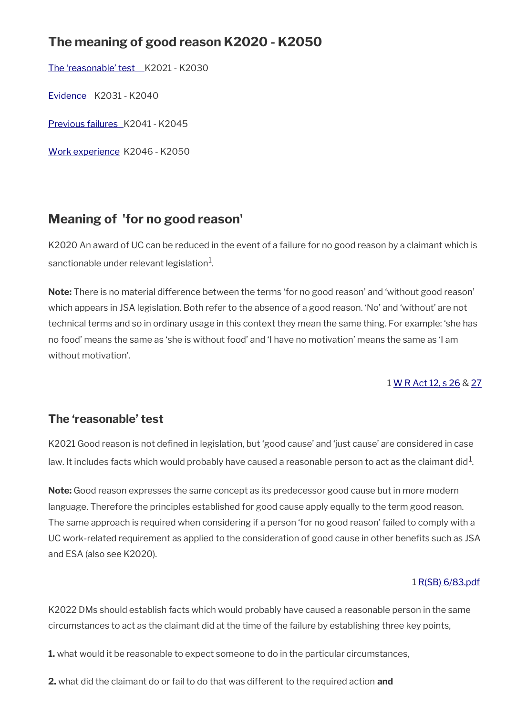# **The meaning of good reason K2020 - K2050**

The 'reasonable' test K2021 - K2030

[Evidence](#page-15-0) K2031 - K2040

 [Previous failures](#page-22-0) K2041 - K2045

[Work experience](#page-24-0) K2046 - K2050

# **Meaning of 'for no good reason'**

K2020 An award of UC can be reduced in the event of a failure for no good reason by a claimant which is sanctionable under relevant legislation $^{\rm 1}$ .

**Note:** There is no material difference between the terms 'for no good reason' and 'without good reason' which appears in JSA legislation. Both refer to the absence of a good reason. 'No' and 'without' are not technical terms and so in ordinary usage in this context they mean the same thing. For example: 'she has no food' means the same as 'she is without food' and 'I have no motivation' means the same as 'I am without motivation'.

### 1 [W R Act 12, s 26](https://www.legislation.gov.uk/ukpga/2012/5/section/26) & [27](https://www.legislation.gov.uk/ukpga/2012/5/section/27)

## <span id="page-7-0"></span>**The 'reasonable' test**

K2021 Good reason is not defined in legislation, but 'good cause' and 'just cause' are considered in case law. It includes facts which would probably have caused a reasonable person to act as the claimant did $^1$ .

**Note:** Good reason expresses the same concept as its predecessor good cause but in more modern language. Therefore the principles established for good cause apply equally to the term good reason. The same approach is required when considering if a person 'for no good reason' failed to comply with a UC work-related requirement as applied to the consideration of good cause in other benefits such as JSA and ESA (also see K2020).

#### 1 [R\(SB\) 6/83.pdf](../file/954200/download/R%2528SB%2529%25206%252F83.pdf)

K2022 DMs should establish facts which would probably have caused a reasonable person in the same circumstances to act as the claimant did at the time of the failure by establishing three key points,

- **1.** what would it be reasonable to expect someone to do in the particular circumstances,
- **2.** what did the claimant do or fail to do that was different to the required action **and**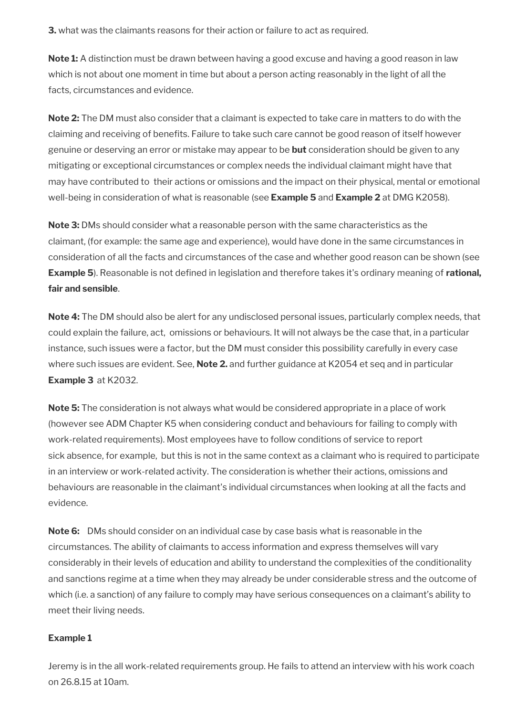**3.** what was the claimants reasons for their action or failure to act as required.

**Note 1:** A distinction must be drawn between having a good excuse and having a good reason in law which is not about one moment in time but about a person acting reasonably in the light of all the facts, circumstances and evidence.

**Note 2:** The DM must also consider that a claimant is expected to take care in matters to do with the claiming and receiving of benefits. Failure to take such care cannot be good reason of itself however genuine or deserving an error or mistake may appear to be **but** consideration should be given to any mitigating or exceptional circumstances or complex needs the individual claimant might have that may have contributed to their actions or omissions and the impact on their physical, mental or emotional well-being in consideration of what is reasonable (see **Example 5** and **Example 2** at DMG K2058).

**Note 3:** DMs should consider what a reasonable person with the same characteristics as the claimant, (for example: the same age and experience), would have done in the same circumstances in consideration of all the facts and circumstances of the case and whether good reason can be shown (see **Example 5**). Reasonable is not defined in legislation and therefore takes it's ordinary meaning of **rational, fair and sensible**.

**Note 4:** The DM should also be alert for any undisclosed personal issues, particularly complex needs, that could explain the failure, act, omissions or behaviours. It will not always be the case that, in a particular instance, such issues were a factor, but the DM must consider this possibility carefully in every case where such issues are evident. See, **Note 2.** and further guidance at K2054 et seq and in particular **Example 3** at K2032.

**Note 5:** The consideration is not always what would be considered appropriate in a place of work (however see ADM Chapter K5 when considering conduct and behaviours for failing to comply with work-related requirements). Most employees have to follow conditions of service to report sick absence, for example, but this is not in the same context as a claimant who is required to participate in an interview or work-related activity. The consideration is whether their actions, omissions and behaviours are reasonable in the claimant's individual circumstances when looking at all the facts and evidence.

**Note 6:** DMs should consider on an individual case by case basis what is reasonable in the circumstances. The ability of claimants to access information and express themselves will vary considerably in their levels of education and ability to understand the complexities of the conditionality and sanctions regime at a time when they may already be under considerable stress and the outcome of which (i.e. a sanction) of any failure to comply may have serious consequences on a claimant's ability to meet their living needs.

#### **Example 1**

Jeremy is in the all work-related requirements group. He fails to attend an interview with his work coach on 26.8.15 at 10am.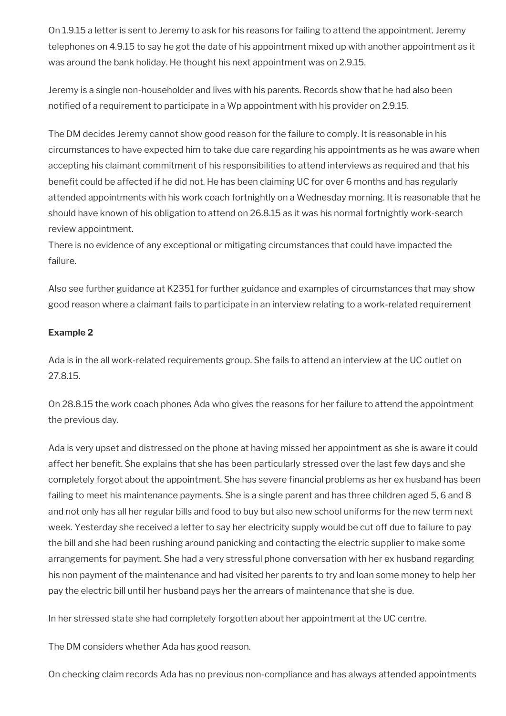On 1.9.15 a letter is sent to Jeremy to ask for his reasons for failing to attend the appointment. Jeremy telephones on 4.9.15 to say he got the date of his appointment mixed up with another appointment as it was around the bank holiday. He thought his next appointment was on 2.9.15.

Jeremy is a single non-householder and lives with his parents. Records show that he had also been notified of a requirement to participate in a Wp appointment with his provider on 2.9.15.

The DM decides Jeremy cannot show good reason for the failure to comply. It is reasonable in his circumstances to have expected him to take due care regarding his appointments as he was aware when accepting his claimant commitment of his responsibilities to attend interviews as required and that his benefit could be affected if he did not. He has been claiming UC for over 6 months and has regularly attended appointments with his work coach fortnightly on a Wednesday morning. It is reasonable that he should have known of his obligation to attend on 26.8.15 as it was his normal fortnightly work-search review appointment.

There is no evidence of any exceptional or mitigating circumstances that could have impacted the failure.

Also see further guidance at K2351 for further guidance and examples of circumstances that may show good reason where a claimant fails to participate in an interview relating to a work-related requirement

### **Example 2**

Ada is in the all work-related requirements group. She fails to attend an interview at the UC outlet on 27.8.15.

On 28.8.15 the work coach phones Ada who gives the reasons for her failure to attend the appointment the previous day.

Ada is very upset and distressed on the phone at having missed her appointment as she is aware it could affect her benefit. She explains that she has been particularly stressed over the last few days and she completely forgot about the appointment. She has severe financial problems as her ex husband has been failing to meet his maintenance payments. She is a single parent and has three children aged 5, 6 and 8 and not only has all her regular bills and food to buy but also new school uniforms for the new term next week. Yesterday she received a letter to say her electricity supply would be cut off due to failure to pay the bill and she had been rushing around panicking and contacting the electric supplier to make some arrangements for payment. She had a very stressful phone conversation with her ex husband regarding his non payment of the maintenance and had visited her parents to try and loan some money to help her pay the electric bill until her husband pays her the arrears of maintenance that she is due.

In her stressed state she had completely forgotten about her appointment at the UC centre.

The DM considers whether Ada has good reason.

On checking claim records Ada has no previous non-compliance and has always attended appointments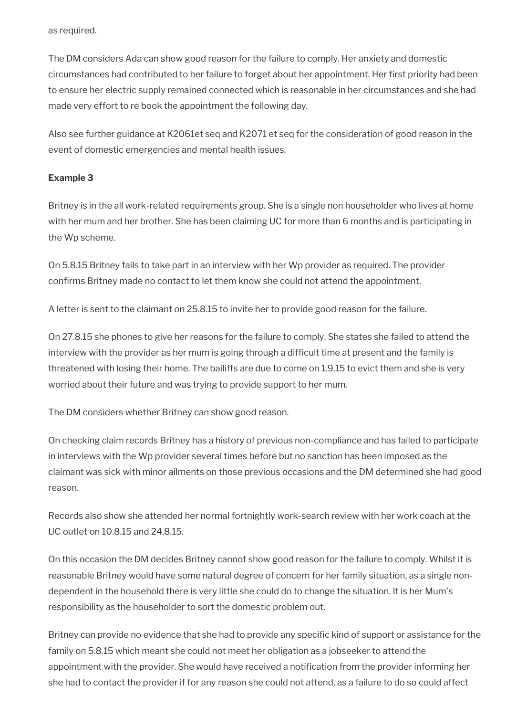as required.

The DM considers Ada can show good reason for the failure to comply. Her anxiety and domestic circumstances had contributed to her failure to forget about her appointment. Her first priority had been to ensure her electric supply remained connected which is reasonable in her circumstances and she had made very effort to re book the appointment the following day.

Also see further guidance at K2061et seq and K2071 et seq for the consideration of good reason in the event of domestic emergencies and mental health issues.

#### **Example 3**

Britney is in the all work-related requirements group. She is a single non householder who lives at home with her mum and her brother. She has been claiming UC for more than 6 months and is participating in the Wp scheme.

On 5.8.15 Britney fails to take part in an interview with her Wp provider as required. The provider confirms Britney made no contact to let them know she could not attend the appointment.

A letter is sent to the claimant on 25.8.15 to invite her to provide good reason for the failure.

On 27.8.15 she phones to give her reasons for the failure to comply. She states she failed to attend the interview with the provider as her mum is going through a difficult time at present and the family is threatened with losing their home. The bailiffs are due to come on 1.9.15 to evict them and she is very worried about their future and was trying to provide support to her mum.

The DM considers whether Britney can show good reason.

On checking claim records Britney has a history of previous non-compliance and has failed to participate in interviews with the Wp provider several times before but no sanction has been imposed as the claimant was sick with minor ailments on those previous occasions and the DM determined she had good reason.

Records also show she attended her normal fortnightly work-search review with her work coach at the UC outlet on 10.8.15 and 24.8.15.

On this occasion the DM decides Britney cannot show good reason for the failure to comply. Whilst it is reasonable Britney would have some natural degree of concern for her family situation, as a single nondependent in the household there is very little she could do to change the situation. It is her Mum's responsibility as the householder to sort the domestic problem out.

Britney can provide no evidence that she had to provide any specific kind of support or assistance for the family on 5.8.15 which meant she could not meet her obligation as a jobseeker to attend the appointment with the provider. She would have received a notification from the provider informing her she had to contact the provider if for any reason she could not attend, as a failure to do so could affect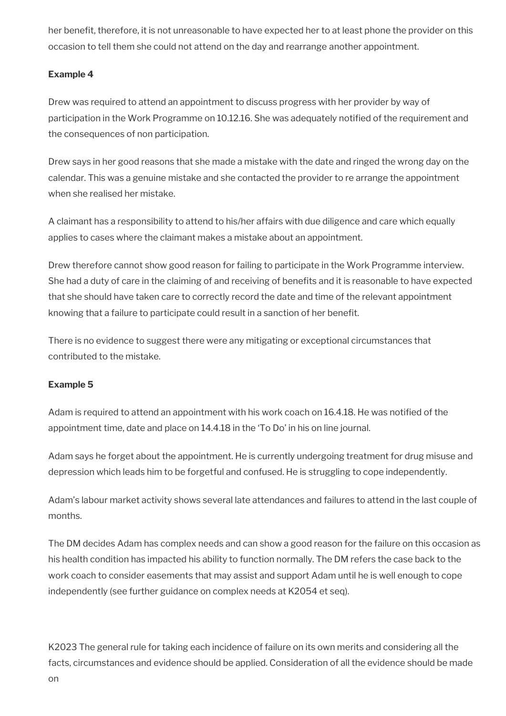her benefit, therefore, it is not unreasonable to have expected her to at least phone the provider on this occasion to tell them she could not attend on the day and rearrange another appointment.

### **Example 4**

Drew was required to attend an appointment to discuss progress with her provider by way of participation in the Work Programme on 10.12.16. She was adequately notified of the requirement and the consequences of non participation.

Drew says in her good reasons that she made a mistake with the date and ringed the wrong day on the calendar. This was a genuine mistake and she contacted the provider to re arrange the appointment when she realised her mistake.

A claimant has a responsibility to attend to his/her affairs with due diligence and care which equally applies to cases where the claimant makes a mistake about an appointment.

Drew therefore cannot show good reason for failing to participate in the Work Programme interview. She had a duty of care in the claiming of and receiving of benefits and it is reasonable to have expected that she should have taken care to correctly record the date and time of the relevant appointment knowing that a failure to participate could result in a sanction of her benefit.

There is no evidence to suggest there were any mitigating or exceptional circumstances that contributed to the mistake.

#### **Example 5**

Adam is required to attend an appointment with his work coach on 16.4.18. He was notified of the appointment time, date and place on 14.4.18 in the 'To Do' in his on line journal.

Adam says he forget about the appointment. He is currently undergoing treatment for drug misuse and depression which leads him to be forgetful and confused. He is struggling to cope independently.

Adam's labour market activity shows several late attendances and failures to attend in the last couple of months.

The DM decides Adam has complex needs and can show a good reason for the failure on this occasion as his health condition has impacted his ability to function normally. The DM refers the case back to the work coach to consider easements that may assist and support Adam until he is well enough to cope independently (see further guidance on complex needs at K2054 et seq).

K2023 The general rule for taking each incidence of failure on its own merits and considering all the facts, circumstances and evidence should be applied. Consideration of all the evidence should be made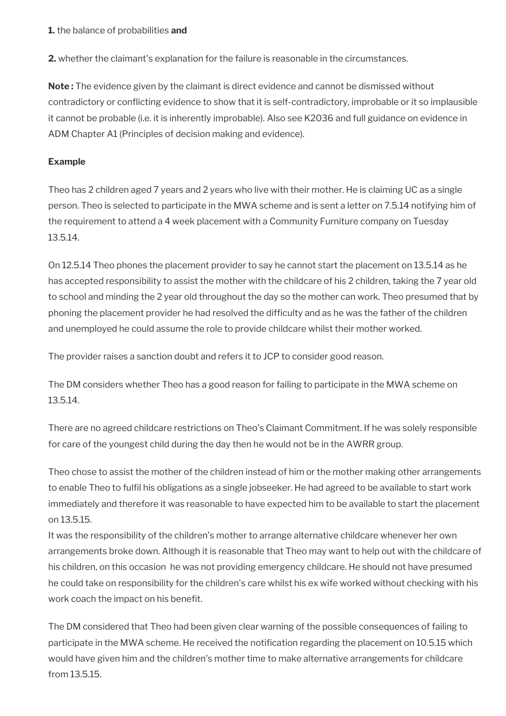**1.** the balance of probabilities **and**

**2.** whether the claimant's explanation for the failure is reasonable in the circumstances.

**Note :** The evidence given by the claimant is direct evidence and cannot be dismissed without contradictory or conflicting evidence to show that it is self-contradictory, improbable or it so implausible it cannot be probable (i.e. it is inherently improbable). Also see K2036 and full guidance on evidence in ADM Chapter A1 (Principles of decision making and evidence).

### **Example**

Theo has 2 children aged 7 years and 2 years who live with their mother. He is claiming UC as a single person. Theo is selected to participate in the MWA scheme and is sent a letter on 7.5.14 notifying him of the requirement to attend a 4 week placement with a Community Furniture company on Tuesday 13.5.14.

On 12.5.14 Theo phones the placement provider to say he cannot start the placement on 13.5.14 as he has accepted responsibility to assist the mother with the childcare of his 2 children, taking the 7 year old to school and minding the 2 year old throughout the day so the mother can work. Theo presumed that by phoning the placement provider he had resolved the difficulty and as he was the father of the children and unemployed he could assume the role to provide childcare whilst their mother worked.

The provider raises a sanction doubt and refers it to JCP to consider good reason.

The DM considers whether Theo has a good reason for failing to participate in the MWA scheme on 13.5.14.

There are no agreed childcare restrictions on Theo's Claimant Commitment. If he was solely responsible for care of the youngest child during the day then he would not be in the AWRR group.

Theo chose to assist the mother of the children instead of him or the mother making other arrangements to enable Theo to fulfil his obligations as a single jobseeker. He had agreed to be available to start work immediately and therefore it was reasonable to have expected him to be available to start the placement on 13.5.15.

It was the responsibility of the children's mother to arrange alternative childcare whenever her own arrangements broke down. Although it is reasonable that Theo may want to help out with the childcare of his children, on this occasion he was not providing emergency childcare. He should not have presumed he could take on responsibility for the children's care whilst his ex wife worked without checking with his work coach the impact on his benefit.

The DM considered that Theo had been given clear warning of the possible consequences of failing to participate in the MWA scheme. He received the notification regarding the placement on 10.5.15 which would have given him and the children's mother time to make alternative arrangements for childcare from 13.5.15.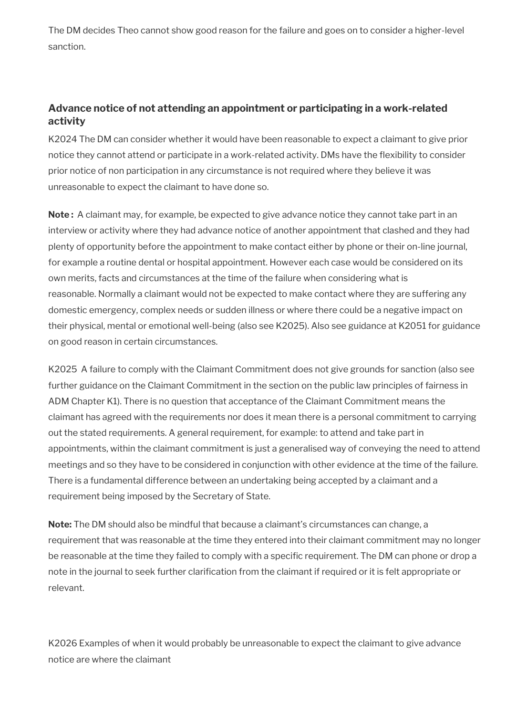The DM decides Theo cannot show good reason for the failure and goes on to consider a higher-level sanction.

## **Advance notice of not attending an appointment or participating in a work-related activity**

K2024 The DM can consider whether it would have been reasonable to expect a claimant to give prior notice they cannot attend or participate in a work-related activity. DMs have the flexibility to consider prior notice of non participation in any circumstance is not required where they believe it was unreasonable to expect the claimant to have done so.

**Note :** A claimant may, for example, be expected to give advance notice they cannot take part in an interview or activity where they had advance notice of another appointment that clashed and they had plenty of opportunity before the appointment to make contact either by phone or their on-line journal, for example a routine dental or hospital appointment. However each case would be considered on its own merits, facts and circumstances at the time of the failure when considering what is reasonable. Normally a claimant would not be expected to make contact where they are suffering any domestic emergency, complex needs or sudden illness or where there could be a negative impact on their physical, mental or emotional well-being (also see K2025). Also see guidance at K2051 for guidance on good reason in certain circumstances.

K2025 A failure to comply with the Claimant Commitment does not give grounds for sanction (also see further guidance on the Claimant Commitment in the section on the public law principles of fairness in ADM Chapter K1). There is no question that acceptance of the Claimant Commitment means the claimant has agreed with the requirements nor does it mean there is a personal commitment to carrying out the stated requirements. A general requirement, for example: to attend and take part in appointments, within the claimant commitment is just a generalised way of conveying the need to attend meetings and so they have to be considered in conjunction with other evidence at the time of the failure. There is a fundamental difference between an undertaking being accepted by a claimant and a requirement being imposed by the Secretary of State.

**Note:** The DM should also be mindful that because a claimant's circumstances can change, a requirement that was reasonable at the time they entered into their claimant commitment may no longer be reasonable at the time they failed to comply with a specific requirement. The DM can phone or drop a note in the journal to seek further clarification from the claimant if required or it is felt appropriate or relevant.

K2026 Examples of when it would probably be unreasonable to expect the claimant to give advance notice are where the claimant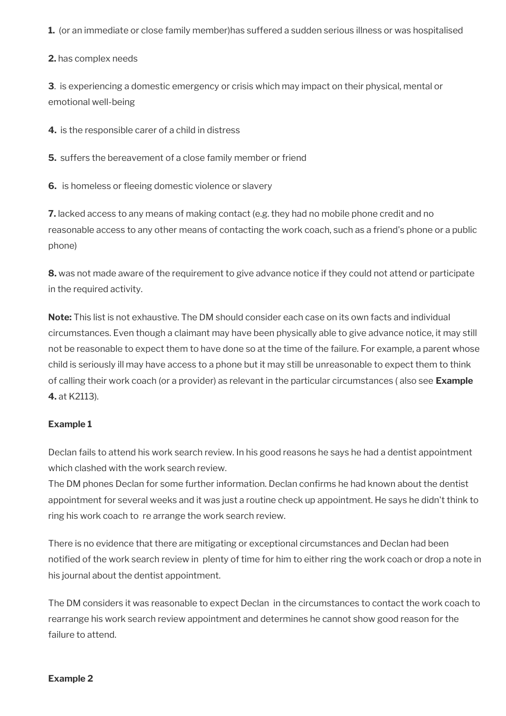**1.** (or an immediate or close family member)has suffered a sudden serious illness or was hospitalised

**2.** has complex needs

**3**. is experiencing a domestic emergency or crisis which may impact on their physical, mental or emotional well-being

**4.** is the responsible carer of a child in distress

**5.** suffers the bereavement of a close family member or friend

**6.** is homeless or fleeing domestic violence or slavery

**7.** lacked access to any means of making contact (e.g. they had no mobile phone credit and no reasonable access to any other means of contacting the work coach, such as a friend's phone or a public phone)

**8.** was not made aware of the requirement to give advance notice if they could not attend or participate in the required activity.

**Note:** This list is not exhaustive. The DM should consider each case on its own facts and individual circumstances. Even though a claimant may have been physically able to give advance notice, it may still not be reasonable to expect them to have done so at the time of the failure. For example, a parent whose child is seriously ill may have access to a phone but it may still be unreasonable to expect them to think of calling their work coach (or a provider) as relevant in the particular circumstances ( also see **Example 4.** at K2113).

#### **Example 1**

Declan fails to attend his work search review. In his good reasons he says he had a dentist appointment which clashed with the work search review.

The DM phones Declan for some further information. Declan confirms he had known about the dentist appointment for several weeks and it was just a routine check up appointment. He says he didn't think to ring his work coach to re arrange the work search review.

There is no evidence that there are mitigating or exceptional circumstances and Declan had been notified of the work search review in plenty of time for him to either ring the work coach or drop a note in his journal about the dentist appointment.

The DM considers it was reasonable to expect Declan in the circumstances to contact the work coach to rearrange his work search review appointment and determines he cannot show good reason for the failure to attend.

#### **Example 2**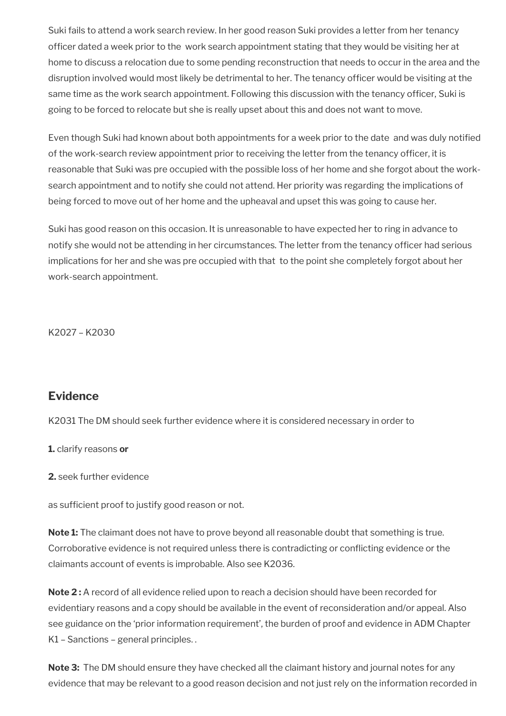Suki fails to attend a work search review. In her good reason Suki provides a letter from her tenancy officer dated a week prior to the work search appointment stating that they would be visiting her at home to discuss a relocation due to some pending reconstruction that needs to occur in the area and the disruption involved would most likely be detrimental to her. The tenancy officer would be visiting at the same time as the work search appointment. Following this discussion with the tenancy officer, Suki is going to be forced to relocate but she is really upset about this and does not want to move.

Even though Suki had known about both appointments for a week prior to the date and was duly notified of the work-search review appointment prior to receiving the letter from the tenancy officer, it is reasonable that Suki was pre occupied with the possible loss of her home and she forgot about the worksearch appointment and to notify she could not attend. Her priority was regarding the implications of being forced to move out of her home and the upheaval and upset this was going to cause her.

Suki has good reason on this occasion. It is unreasonable to have expected her to ring in advance to notify she would not be attending in her circumstances. The letter from the tenancy officer had serious implications for her and she was pre occupied with that to the point she completely forgot about her work-search appointment.

K2027 – K2030

## <span id="page-15-0"></span>**Evidence**

K2031 The DM should seek further evidence where it is considered necessary in order to

**1.** clarify reasons **or** 

**2.** seek further evidence

as sufficient proof to justify good reason or not.

**Note 1:** The claimant does not have to prove beyond all reasonable doubt that something is true. Corroborative evidence is not required unless there is contradicting or conflicting evidence or the claimants account of events is improbable. Also see K2036.

**Note 2 :** A record of all evidence relied upon to reach a decision should have been recorded for evidentiary reasons and a copy should be available in the event of reconsideration and/or appeal. Also see guidance on the 'prior information requirement', the burden of proof and evidence in ADM Chapter K1 – Sanctions – general principles. .

**Note 3:** The DM should ensure they have checked all the claimant history and journal notes for any evidence that may be relevant to a good reason decision and not just rely on the information recorded in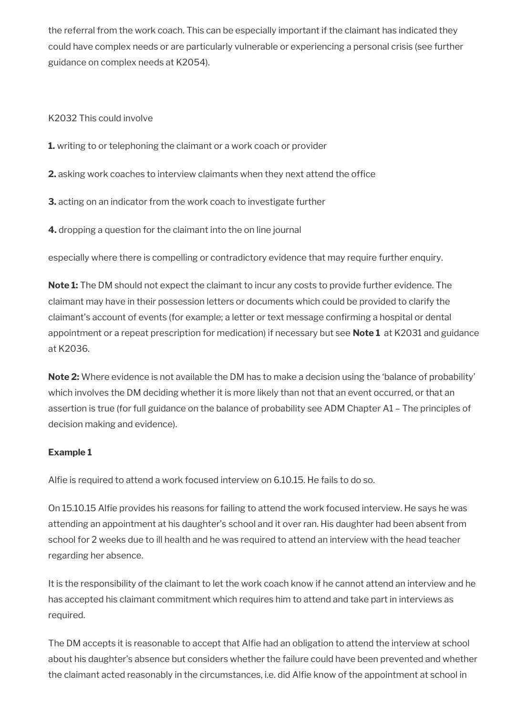the referral from the work coach. This can be especially important if the claimant has indicated they could have complex needs or are particularly vulnerable or experiencing a personal crisis (see further guidance on complex needs at K2054).

K2032 This could involve

- **1.** writing to or telephoning the claimant or a work coach or provider
- **2.** asking work coaches to interview claimants when they next attend the office
- **3.** acting on an indicator from the work coach to investigate further
- **4.** dropping a question for the claimant into the on line journal

especially where there is compelling or contradictory evidence that may require further enquiry.

**Note 1:** The DM should not expect the claimant to incur any costs to provide further evidence. The claimant may have in their possession letters or documents which could be provided to clarify the claimant's account of events (for example; a letter or text message confirming a hospital or dental appointment or a repeat prescription for medication) if necessary but see **Note 1** at K2031 and guidance at K2036.

**Note 2:** Where evidence is not available the DM has to make a decision using the 'balance of probability' which involves the DM deciding whether it is more likely than not that an event occurred, or that an assertion is true (for full guidance on the balance of probability see ADM Chapter A1 – The principles of decision making and evidence).

### **Example 1**

Alfie is required to attend a work focused interview on 6.10.15. He fails to do so.

On 15.10.15 Alfie provides his reasons for failing to attend the work focused interview. He says he was attending an appointment at his daughter's school and it over ran. His daughter had been absent from school for 2 weeks due to ill health and he was required to attend an interview with the head teacher regarding her absence.

It is the responsibility of the claimant to let the work coach know if he cannot attend an interview and he has accepted his claimant commitment which requires him to attend and take part in interviews as required.

The DM accepts it is reasonable to accept that Alfie had an obligation to attend the interview at school about his daughter's absence but considers whether the failure could have been prevented and whether the claimant acted reasonably in the circumstances, i.e. did Alfie know of the appointment at school in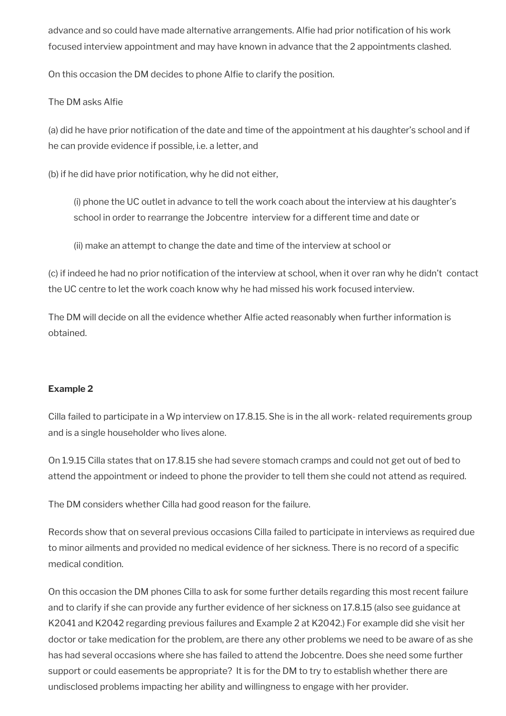advance and so could have made alternative arrangements. Alfie had prior notification of his work focused interview appointment and may have known in advance that the 2 appointments clashed.

On this occasion the DM decides to phone Alfie to clarify the position.

#### The DM asks Alfie

(a) did he have prior notification of the date and time of the appointment at his daughter's school and if he can provide evidence if possible, i.e. a letter, and

(b) if he did have prior notification, why he did not either,

(i) phone the UC outlet in advance to tell the work coach about the interview at his daughter's school in order to rearrange the Jobcentre interview for a different time and date or

(ii) make an attempt to change the date and time of the interview at school or

(c) if indeed he had no prior notification of the interview at school, when it over ran why he didn't contact the UC centre to let the work coach know why he had missed his work focused interview.

The DM will decide on all the evidence whether Alfie acted reasonably when further information is obtained.

#### **Example 2**

Cilla failed to participate in a Wp interview on 17.8.15. She is in the all work- related requirements group and is a single householder who lives alone.

On 1.9.15 Cilla states that on 17.8.15 she had severe stomach cramps and could not get out of bed to attend the appointment or indeed to phone the provider to tell them she could not attend as required.

The DM considers whether Cilla had good reason for the failure.

Records show that on several previous occasions Cilla failed to participate in interviews as required due to minor ailments and provided no medical evidence of her sickness. There is no record of a specific medical condition.

On this occasion the DM phones Cilla to ask for some further details regarding this most recent failure and to clarify if she can provide any further evidence of her sickness on 17.8.15 (also see guidance at K2041 and K2042 regarding previous failures and Example 2 at K2042.) For example did she visit her doctor or take medication for the problem, are there any other problems we need to be aware of as she has had several occasions where she has failed to attend the Jobcentre. Does she need some further support or could easements be appropriate? It is for the DM to try to establish whether there are undisclosed problems impacting her ability and willingness to engage with her provider.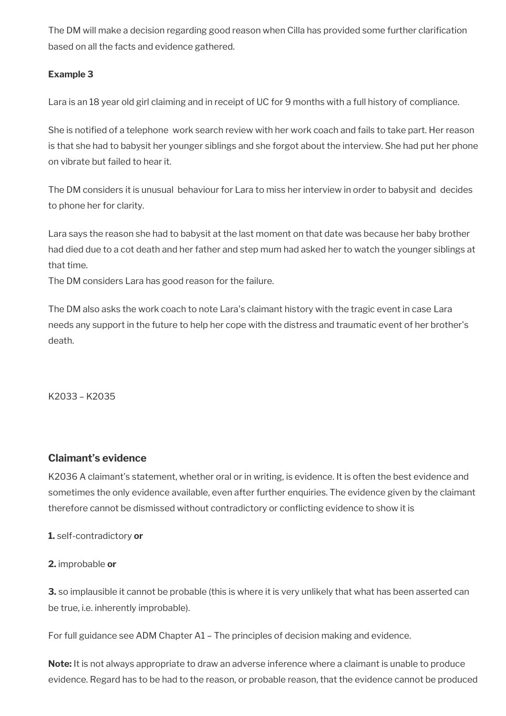The DM will make a decision regarding good reason when Cilla has provided some further clarification based on all the facts and evidence gathered.

#### **Example 3**

Lara is an 18 year old girl claiming and in receipt of UC for 9 months with a full history of compliance.

She is notified of a telephone work search review with her work coach and fails to take part. Her reason is that she had to babysit her younger siblings and she forgot about the interview. She had put her phone on vibrate but failed to hear it.

The DM considers it is unusual behaviour for Lara to miss her interview in order to babysit and decides to phone her for clarity.

Lara says the reason she had to babysit at the last moment on that date was because her baby brother had died due to a cot death and her father and step mum had asked her to watch the younger siblings at that time.

The DM considers Lara has good reason for the failure.

The DM also asks the work coach to note Lara's claimant history with the tragic event in case Lara needs any support in the future to help her cope with the distress and traumatic event of her brother's death.

K2033 – K2035

### **Claimant's evidence**

K2036 A claimant's statement, whether oral or in writing, is evidence. It is often the best evidence and sometimes the only evidence available, even after further enquiries. The evidence given by the claimant therefore cannot be dismissed without contradictory or conflicting evidence to show it is

**1.** self-contradictory **or**

#### **2.** improbable **or**

**3.** so implausible it cannot be probable (this is where it is very unlikely that what has been asserted can be true, i.e. inherently improbable).

For full guidance see ADM Chapter A1 – The principles of decision making and evidence.

**Note:** It is not always appropriate to draw an adverse inference where a claimant is unable to produce evidence. Regard has to be had to the reason, or probable reason, that the evidence cannot be produced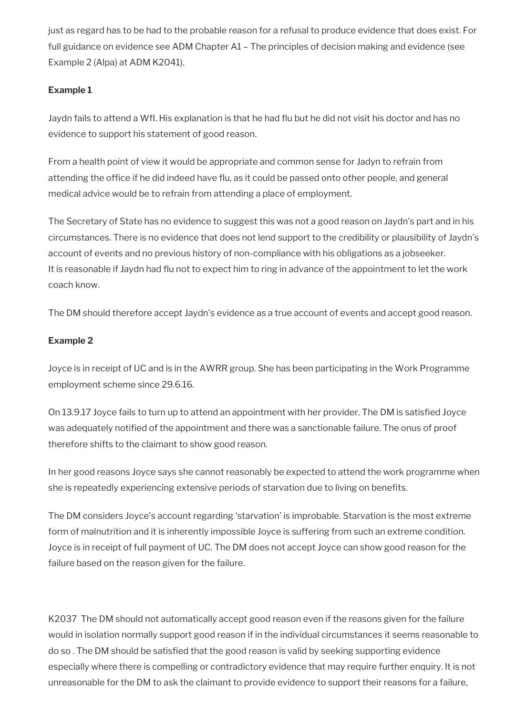just as regard has to be had to the probable reason for a refusal to produce evidence that does exist. For full guidance on evidence see ADM Chapter A1 – The principles of decision making and evidence (see Example 2 (Alpa) at ADM K2041).

## **Example 1**

Jaydn fails to attend a WfI. His explanation is that he had flu but he did not visit his doctor and has no evidence to support his statement of good reason.

From a health point of view it would be appropriate and common sense for Jadyn to refrain from attending the office if he did indeed have flu, as it could be passed onto other people, and general medical advice would be to refrain from attending a place of employment.

The Secretary of State has no evidence to suggest this was not a good reason on Jaydn's part and in his circumstances. There is no evidence that does not lend support to the credibility or plausibility of Jaydn's account of events and no previous history of non-compliance with his obligations as a jobseeker. It is reasonable if Jaydn had flu not to expect him to ring in advance of the appointment to let the work coach know.

The DM should therefore accept Jaydn's evidence as a true account of events and accept good reason.

### **Example 2**

Joyce is in receipt of UC and is in the AWRR group. She has been participating in the Work Programme employment scheme since 29.6.16.

On 13.9.17 Joyce fails to turn up to attend an appointment with her provider. The DM is satisfied Joyce was adequately notified of the appointment and there was a sanctionable failure. The onus of proof therefore shifts to the claimant to show good reason.

In her good reasons Joyce says she cannot reasonably be expected to attend the work programme when she is repeatedly experiencing extensive periods of starvation due to living on benefits.

The DM considers Joyce's account regarding 'starvation' is improbable. Starvation is the most extreme form of malnutrition and it is inherently impossible Joyce is suffering from such an extreme condition. Joyce is in receipt of full payment of UC. The DM does not accept Joyce can show good reason for the failure based on the reason given for the failure.

K2037 The DM should not automatically accept good reason even if the reasons given for the failure would in isolation normally support good reason if in the individual circumstances it seems reasonable to do so . The DM should be satisfied that the good reason is valid by seeking supporting evidence especially where there is compelling or contradictory evidence that may require further enquiry. It is not unreasonable for the DM to ask the claimant to provide evidence to support their reasons for a failure,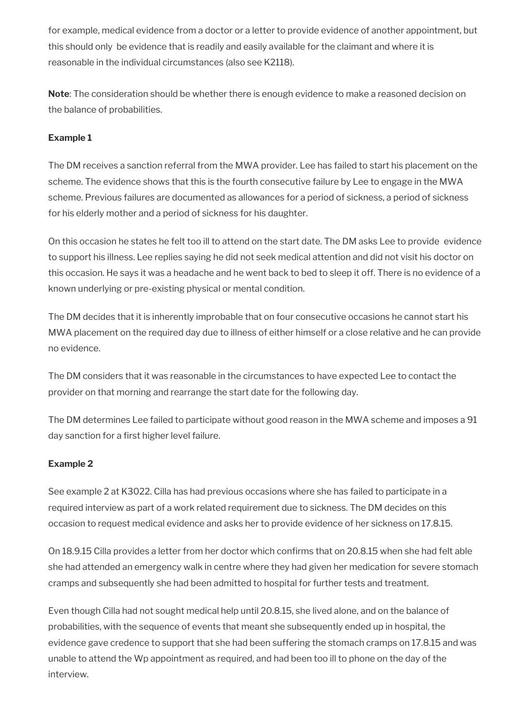for example, medical evidence from a doctor or a letter to provide evidence of another appointment, but this should only be evidence that is readily and easily available for the claimant and where it is reasonable in the individual circumstances (also see K2118).

**Note**: The consideration should be whether there is enough evidence to make a reasoned decision on the balance of probabilities.

### **Example 1**

The DM receives a sanction referral from the MWA provider. Lee has failed to start his placement on the scheme. The evidence shows that this is the fourth consecutive failure by Lee to engage in the MWA scheme. Previous failures are documented as allowances for a period of sickness, a period of sickness for his elderly mother and a period of sickness for his daughter.

On this occasion he states he felt too ill to attend on the start date. The DM asks Lee to provide evidence to support his illness. Lee replies saying he did not seek medical attention and did not visit his doctor on this occasion. He says it was a headache and he went back to bed to sleep it off. There is no evidence of a known underlying or pre-existing physical or mental condition.

The DM decides that it is inherently improbable that on four consecutive occasions he cannot start his MWA placement on the required day due to illness of either himself or a close relative and he can provide no evidence.

The DM considers that it was reasonable in the circumstances to have expected Lee to contact the provider on that morning and rearrange the start date for the following day.

The DM determines Lee failed to participate without good reason in the MWA scheme and imposes a 91 day sanction for a first higher level failure.

### **Example 2**

See example 2 at K3022. Cilla has had previous occasions where she has failed to participate in a required interview as part of a work related requirement due to sickness. The DM decides on this occasion to request medical evidence and asks her to provide evidence of her sickness on 17.8.15.

On 18.9.15 Cilla provides a letter from her doctor which confirms that on 20.8.15 when she had felt able she had attended an emergency walk in centre where they had given her medication for severe stomach cramps and subsequently she had been admitted to hospital for further tests and treatment.

Even though Cilla had not sought medical help until 20.8.15, she lived alone, and on the balance of probabilities, with the sequence of events that meant she subsequently ended up in hospital, the evidence gave credence to support that she had been suffering the stomach cramps on 17.8.15 and was unable to attend the Wp appointment as required, and had been too ill to phone on the day of the interview.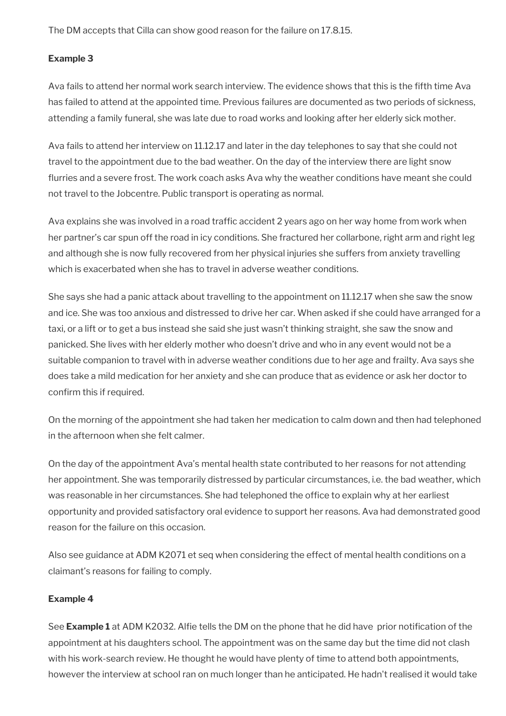The DM accepts that Cilla can show good reason for the failure on 17.8.15.

#### **Example 3**

Ava fails to attend her normal work search interview. The evidence shows that this is the fifth time Ava has failed to attend at the appointed time. Previous failures are documented as two periods of sickness, attending a family funeral, she was late due to road works and looking after her elderly sick mother.

Ava fails to attend her interview on 11.12.17 and later in the day telephones to say that she could not travel to the appointment due to the bad weather. On the day of the interview there are light snow flurries and a severe frost. The work coach asks Ava why the weather conditions have meant she could not travel to the Jobcentre. Public transport is operating as normal.

Ava explains she was involved in a road traffic accident 2 years ago on her way home from work when her partner's car spun off the road in icy conditions. She fractured her collarbone, right arm and right leg and although she is now fully recovered from her physical injuries she suffers from anxiety travelling which is exacerbated when she has to travel in adverse weather conditions.

She says she had a panic attack about travelling to the appointment on 11.12.17 when she saw the snow and ice. She was too anxious and distressed to drive her car. When asked if she could have arranged for a taxi, or a lift or to get a bus instead she said she just wasn't thinking straight, she saw the snow and panicked. She lives with her elderly mother who doesn't drive and who in any event would not be a suitable companion to travel with in adverse weather conditions due to her age and frailty. Ava says she does take a mild medication for her anxiety and she can produce that as evidence or ask her doctor to confirm this if required.

On the morning of the appointment she had taken her medication to calm down and then had telephoned in the afternoon when she felt calmer.

On the day of the appointment Ava's mental health state contributed to her reasons for not attending her appointment. She was temporarily distressed by particular circumstances, i.e. the bad weather, which was reasonable in her circumstances. She had telephoned the office to explain why at her earliest opportunity and provided satisfactory oral evidence to support her reasons. Ava had demonstrated good reason for the failure on this occasion.

Also see guidance at ADM K2071 et seq when considering the effect of mental health conditions on a claimant's reasons for failing to comply.

#### **Example 4**

See **Example 1** at ADM K2032. Alfie tells the DM on the phone that he did have prior notification of the appointment at his daughters school. The appointment was on the same day but the time did not clash with his work-search review. He thought he would have plenty of time to attend both appointments, however the interview at school ran on much longer than he anticipated. He hadn't realised it would take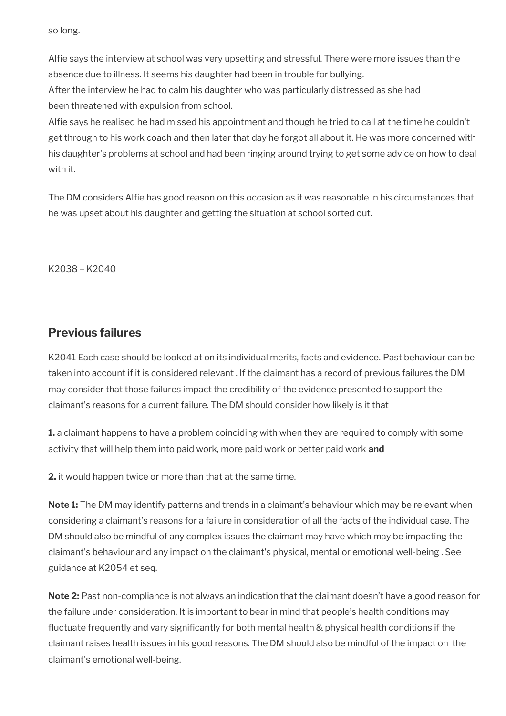so long.

Alfie says the interview at school was very upsetting and stressful. There were more issues than the absence due to illness. It seems his daughter had been in trouble for bullying.

After the interview he had to calm his daughter who was particularly distressed as she had been threatened with expulsion from school.

Alfie says he realised he had missed his appointment and though he tried to call at the time he couldn't get through to his work coach and then later that day he forgot all about it. He was more concerned with his daughter's problems at school and had been ringing around trying to get some advice on how to deal with it.

The DM considers Alfie has good reason on this occasion as it was reasonable in his circumstances that he was upset about his daughter and getting the situation at school sorted out.

K2038 – K2040

## <span id="page-22-0"></span>**Previous failures**

K2041 Each case should be looked at on its individual merits, facts and evidence. Past behaviour can be taken into account if it is considered relevant . If the claimant has a record of previous failures the DM may consider that those failures impact the credibility of the evidence presented to support the claimant's reasons for a current failure. The DM should consider how likely is it that

**1.** a claimant happens to have a problem coinciding with when they are required to comply with some activity that will help them into paid work, more paid work or better paid work **and** 

**2.** it would happen twice or more than that at the same time.

**Note 1:** The DM may identify patterns and trends in a claimant's behaviour which may be relevant when considering a claimant's reasons for a failure in consideration of all the facts of the individual case. The DM should also be mindful of any complex issues the claimant may have which may be impacting the claimant's behaviour and any impact on the claimant's physical, mental or emotional well-being . See guidance at K2054 et seq.

**Note 2:** Past non-compliance is not always an indication that the claimant doesn't have a good reason for the failure under consideration. It is important to bear in mind that people's health conditions may fluctuate frequently and vary significantly for both mental health & physical health conditions if the claimant raises health issues in his good reasons. The DM should also be mindful of the impact on the claimant's emotional well-being.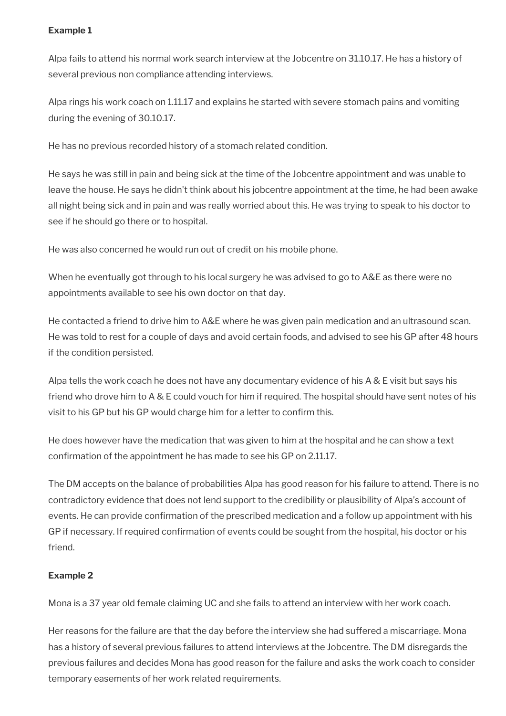### **Example 1**

Alpa fails to attend his normal work search interview at the Jobcentre on 31.10.17. He has a history of several previous non compliance attending interviews.

Alpa rings his work coach on 1.11.17 and explains he started with severe stomach pains and vomiting during the evening of 30.10.17.

He has no previous recorded history of a stomach related condition.

He says he was still in pain and being sick at the time of the Jobcentre appointment and was unable to leave the house. He says he didn't think about his jobcentre appointment at the time, he had been awake all night being sick and in pain and was really worried about this. He was trying to speak to his doctor to see if he should go there or to hospital.

He was also concerned he would run out of credit on his mobile phone.

When he eventually got through to his local surgery he was advised to go to A&E as there were no appointments available to see his own doctor on that day.

He contacted a friend to drive him to A&E where he was given pain medication and an ultrasound scan. He was told to rest for a couple of days and avoid certain foods, and advised to see his GP after 48 hours if the condition persisted.

Alpa tells the work coach he does not have any documentary evidence of his A & E visit but says his friend who drove him to A & E could vouch for him if required. The hospital should have sent notes of his visit to his GP but his GP would charge him for a letter to confirm this.

He does however have the medication that was given to him at the hospital and he can show a text confirmation of the appointment he has made to see his GP on 2.11.17.

The DM accepts on the balance of probabilities Alpa has good reason for his failure to attend. There is no contradictory evidence that does not lend support to the credibility or plausibility of Alpa's account of events. He can provide confirmation of the prescribed medication and a follow up appointment with his GP if necessary. If required confirmation of events could be sought from the hospital, his doctor or his friend.

### **Example 2**

Mona is a 37 year old female claiming UC and she fails to attend an interview with her work coach.

Her reasons for the failure are that the day before the interview she had suffered a miscarriage. Mona has a history of several previous failures to attend interviews at the Jobcentre. The DM disregards the previous failures and decides Mona has good reason for the failure and asks the work coach to consider temporary easements of her work related requirements.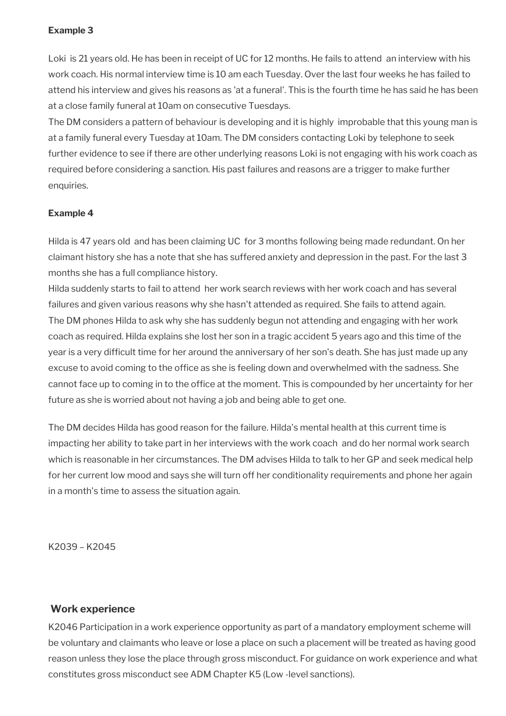#### **Example 3**

Loki is 21 years old. He has been in receipt of UC for 12 months. He fails to attend an interview with his work coach. His normal interview time is 10 am each Tuesday. Over the last four weeks he has failed to attend his interview and gives his reasons as 'at a funeral'. This is the fourth time he has said he has been at a close family funeral at 10am on consecutive Tuesdays.

The DM considers a pattern of behaviour is developing and it is highly improbable that this young man is at a family funeral every Tuesday at 10am. The DM considers contacting Loki by telephone to seek further evidence to see if there are other underlying reasons Loki is not engaging with his work coach as required before considering a sanction. His past failures and reasons are a trigger to make further enquiries.

#### **Example 4**

Hilda is 47 years old and has been claiming UC for 3 months following being made redundant. On her claimant history she has a note that she has suffered anxiety and depression in the past. For the last 3 months she has a full compliance history.

Hilda suddenly starts to fail to attend her work search reviews with her work coach and has several failures and given various reasons why she hasn't attended as required. She fails to attend again. The DM phones Hilda to ask why she has suddenly begun not attending and engaging with her work coach as required. Hilda explains she lost her son in a tragic accident 5 years ago and this time of the year is a very difficult time for her around the anniversary of her son's death. She has just made up any excuse to avoid coming to the office as she is feeling down and overwhelmed with the sadness. She cannot face up to coming in to the office at the moment. This is compounded by her uncertainty for her future as she is worried about not having a job and being able to get one.

The DM decides Hilda has good reason for the failure. Hilda's mental health at this current time is impacting her ability to take part in her interviews with the work coach and do her normal work search which is reasonable in her circumstances. The DM advises Hilda to talk to her GP and seek medical help for her current low mood and says she will turn off her conditionality requirements and phone her again in a month's time to assess the situation again.

K2039 – K2045

#### <span id="page-24-0"></span>**Work experience**

K2046 Participation in a work experience opportunity as part of a mandatory employment scheme will be voluntary and claimants who leave or lose a place on such a placement will be treated as having good reason unless they lose the place through gross misconduct. For guidance on work experience and what constitutes gross misconduct see ADM Chapter K5 (Low -level sanctions).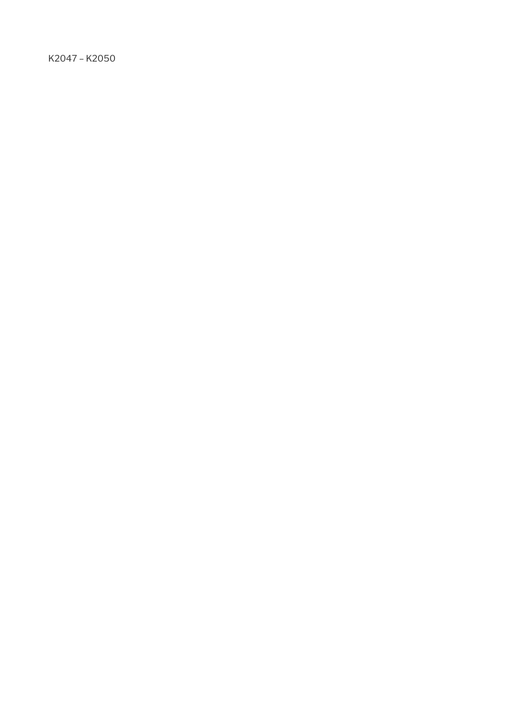K2047 – K2050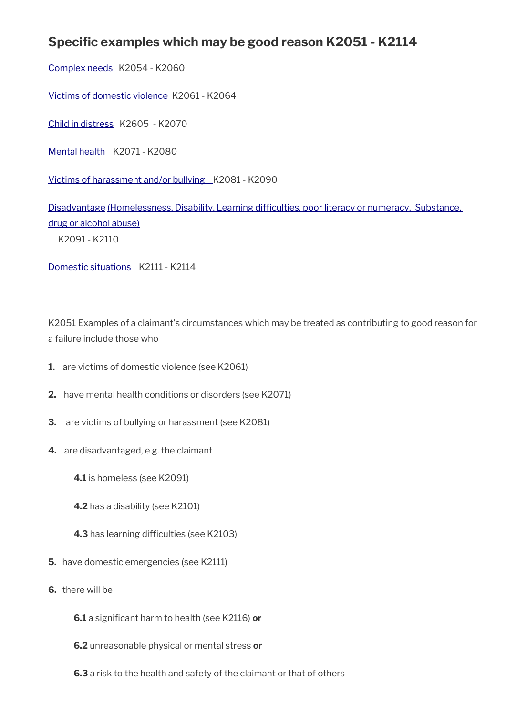# **Specific examples which may be good reason K2051 - K2114**

[Complex needs](#page-28-0) K2054 - K2060

[Victims of domestic violence](#page-33-0) K2061 - K2064

[Child in distress](#page-35-0) K2605 - K2070

[Mental health](#page-36-0) K2071 - K2080

Victims of harassment and/or bullying \_K2081 - K2090

[Disadvantage \(Homelessness, Disability, Learning difficulties, poor literacy or numeracy, Substance,](#page-41-0)  [drug or alcohol abuse\)](#page-41-0)

K2091 - K2110

[Domestic situations](#page-47-0) K2111 - K2114

K2051 Examples of a claimant's circumstances which may be treated as contributing to good reason for a failure include those who

- **1.** are victims of domestic violence (see K2061)
- **2.** have mental health conditions or disorders (see K2071)
- **3.** are victims of bullying or harassment (see K2081)
- **4.** are disadvantaged, e.g. the claimant
	- **4.1** is homeless (see K2091)
	- **4.2** has a disability (see K2101)
	- **4.3** has learning difficulties (see K2103)
- **5.** have domestic emergencies (see K2111)
- **6.** there will be
	- **6.1** a significant harm to health (see K2116) **or**
	- **6.2** unreasonable physical or mental stress **or**
	- **6.3** a risk to the health and safety of the claimant or that of others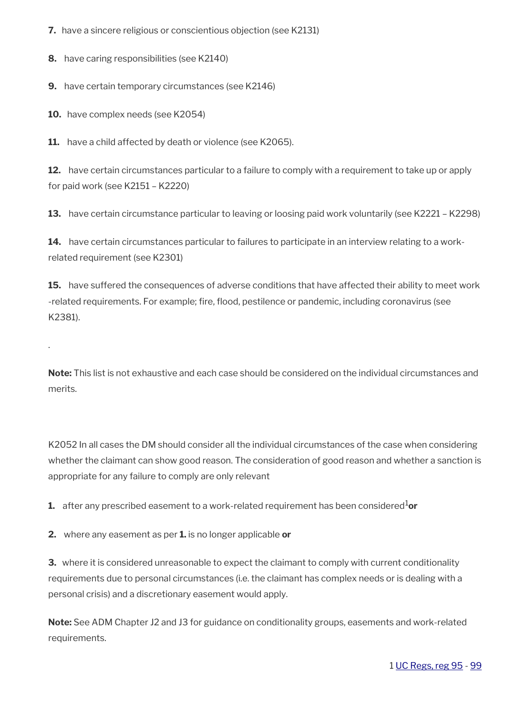**7.** have a sincere religious or conscientious objection (see K2131)

**8.** have caring responsibilities (see K2140)

**9.** have certain temporary circumstances (see K2146)

**10.** have complex needs (see K2054)

.

**11.** have a child affected by death or violence (see K2065).

**12.** have certain circumstances particular to a failure to comply with a requirement to take up or apply for paid work (see K2151 – K2220)

**13.** have certain circumstance particular to leaving or loosing paid work voluntarily (see K2221 – K2298)

14. have certain circumstances particular to failures to participate in an interview relating to a workrelated requirement (see K2301)

**15.** have suffered the consequences of adverse conditions that have affected their ability to meet work -related requirements. For example; fire, flood, pestilence or pandemic, including coronavirus (see K2381).

**Note:** This list is not exhaustive and each case should be considered on the individual circumstances and merits.

K2052 In all cases the DM should consider all the individual circumstances of the case when considering whether the claimant can show good reason. The consideration of good reason and whether a sanction is appropriate for any failure to comply are only relevant

**1.** after any prescribed easement to a work-related requirement has been considered<sup>1</sup>or

**2.** where any easement as per **1.** is no longer applicable **or**

**3.** where it is considered unreasonable to expect the claimant to comply with current conditionality requirements due to personal circumstances (i.e. the claimant has complex needs or is dealing with a personal crisis) and a discretionary easement would apply.

**Note:** See ADM Chapter J2 and J3 for guidance on conditionality groups, easements and work-related requirements.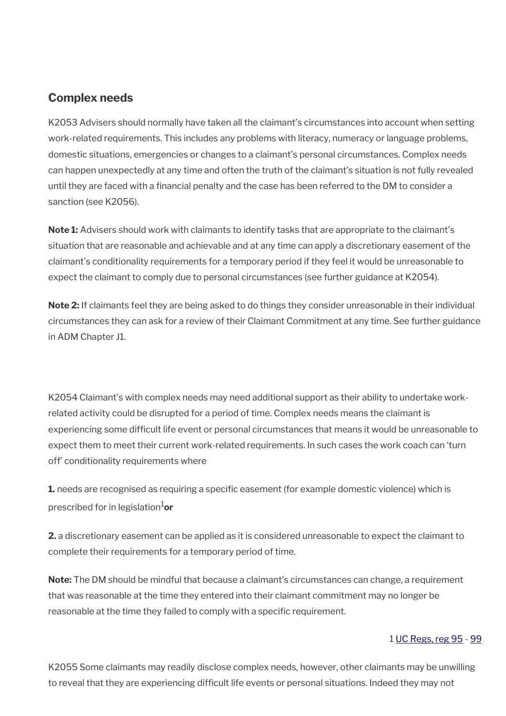## <span id="page-28-0"></span>**Complex needs**

K2053 Advisers should normally have taken all the claimant's circumstances into account when setting work-related requirements. This includes any problems with literacy, numeracy or language problems, domestic situations, emergencies or changes to a claimant's personal circumstances. Complex needs can happen unexpectedly at any time and often the truth of the claimant's situation is not fully revealed until they are faced with a financial penalty and the case has been referred to the DM to consider a sanction (see K2056).

**Note 1:** Advisers should work with claimants to identify tasks that are appropriate to the claimant's situation that are reasonable and achievable and at any time can apply a discretionary easement of the claimant's conditionality requirements for a temporary period if they feel it would be unreasonable to expect the claimant to comply due to personal circumstances (see further guidance at K2054).

**Note 2:** If claimants feel they are being asked to do things they consider unreasonable in their individual circumstances they can ask for a review of their Claimant Commitment at any time. See further guidance in ADM Chapter J1.

K2054 Claimant's with complex needs may need additional support as their ability to undertake workrelated activity could be disrupted for a period of time. Complex needs means the claimant is experiencing some difficult life event or personal circumstances that means it would be unreasonable to expect them to meet their current work-related requirements. In such cases the work coach can 'turn off' conditionality requirements where

**1.** needs are recognised as requiring a specific easement (for example domestic violence) which is prescribed for in legislation1**or**

**2.** a discretionary easement can be applied as it is considered unreasonable to expect the claimant to complete their requirements for a temporary period of time.

**Note:** The DM should be mindful that because a claimant's circumstances can change, a requirement that was reasonable at the time they entered into their claimant commitment may no longer be reasonable at the time they failed to comply with a specific requirement.

#### 1 [UC Regs, reg 95](https://www.legislation.gov.uk/uksi/2013/376/regulation/95) - [99](https://www.legislation.gov.uk/uksi/2013/376/regulation/99)

K2055 Some claimants may readily disclose complex needs, however, other claimants may be unwilling to reveal that they are experiencing difficult life events or personal situations. Indeed they may not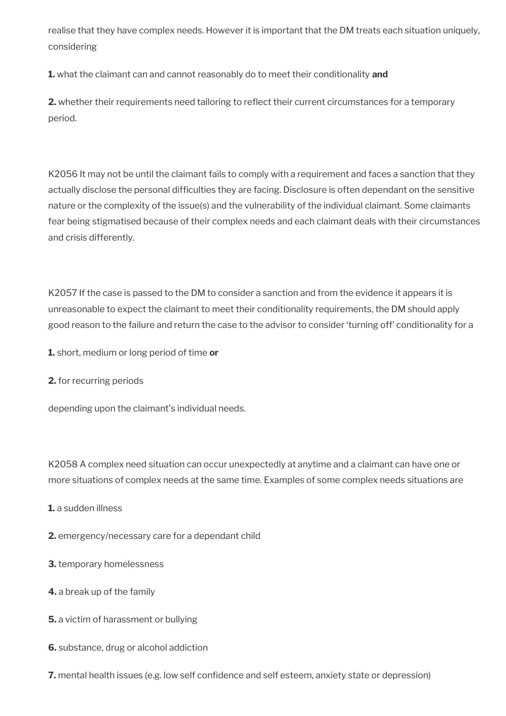realise that they have complex needs. However it is important that the DM treats each situation uniquely, considering

**1.** what the claimant can and cannot reasonably do to meet their conditionality **and**

**2.** whether their requirements need tailoring to reflect their current circumstances for a temporary period.

K2056 It may not be until the claimant fails to comply with a requirement and faces a sanction that they actually disclose the personal difficulties they are facing. Disclosure is often dependant on the sensitive nature or the complexity of the issue(s) and the vulnerability of the individual claimant. Some claimants fear being stigmatised because of their complex needs and each claimant deals with their circumstances and crisis differently.

K2057 If the case is passed to the DM to consider a sanction and from the evidence it appears it is unreasonable to expect the claimant to meet their conditionality requirements, the DM should apply good reason to the failure and return the case to the advisor to consider 'turning off' conditionality for a

**1.** short, medium or long period of time **or** 

**2.** for recurring periods

depending upon the claimant's individual needs.

K2058 A complex need situation can occur unexpectedly at anytime and a claimant can have one or more situations of complex needs at the same time. Examples of some complex needs situations are

**1.** a sudden illness

**2.** emergency/necessary care for a dependant child

- **3.** temporary homelessness
- **4.** a break up of the family
- **5.** a victim of harassment or bullying
- **6.** substance, drug or alcohol addiction
- **7.** mental health issues (e.g. low self confidence and self esteem, anxiety state or depression)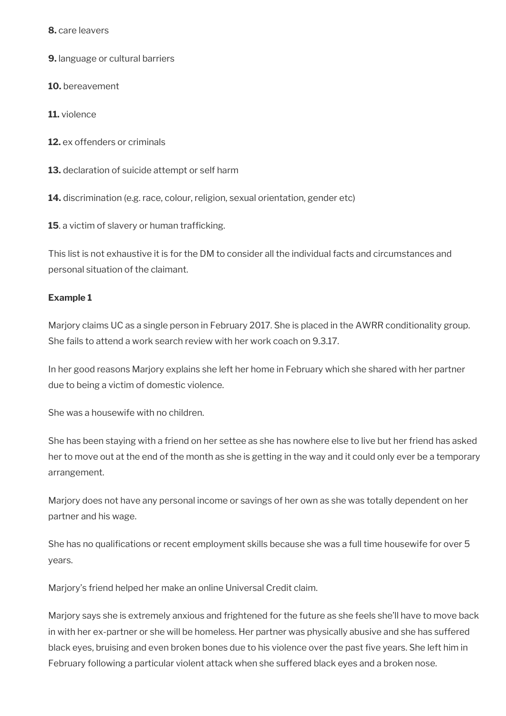**8.** care leavers

**9.** language or cultural barriers

**10.** bereavement

**11.** violence

**12.** ex offenders or criminals

**13.** declaration of suicide attempt or self harm

**14.** discrimination (e.g. race, colour, religion, sexual orientation, gender etc)

**15**. a victim of slavery or human trafficking.

This list is not exhaustive it is for the DM to consider all the individual facts and circumstances and personal situation of the claimant.

#### **Example 1**

Marjory claims UC as a single person in February 2017. She is placed in the AWRR conditionality group. She fails to attend a work search review with her work coach on 9.3.17.

In her good reasons Marjory explains she left her home in February which she shared with her partner due to being a victim of domestic violence.

She was a housewife with no children.

She has been staying with a friend on her settee as she has nowhere else to live but her friend has asked her to move out at the end of the month as she is getting in the way and it could only ever be a temporary arrangement.

Marjory does not have any personal income or savings of her own as she was totally dependent on her partner and his wage.

She has no qualifications or recent employment skills because she was a full time housewife for over 5 years.

Marjory's friend helped her make an online Universal Credit claim.

Marjory says she is extremely anxious and frightened for the future as she feels she'll have to move back in with her ex-partner or she will be homeless. Her partner was physically abusive and she has suffered black eyes, bruising and even broken bones due to his violence over the past five years. She left him in February following a particular violent attack when she suffered black eyes and a broken nose.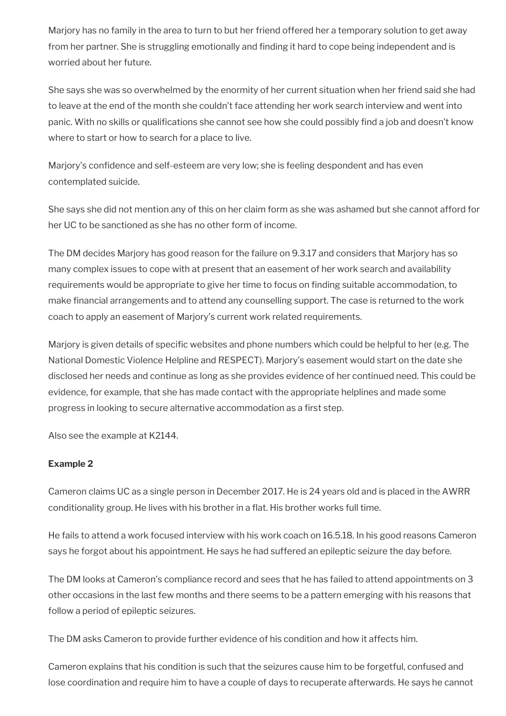Marjory has no family in the area to turn to but her friend offered her a temporary solution to get away from her partner. She is struggling emotionally and finding it hard to cope being independent and is worried about her future.

She says she was so overwhelmed by the enormity of her current situation when her friend said she had to leave at the end of the month she couldn't face attending her work search interview and went into panic. With no skills or qualifications she cannot see how she could possibly find a job and doesn't know where to start or how to search for a place to live.

Marjory's confidence and self-esteem are very low; she is feeling despondent and has even contemplated suicide.

She says she did not mention any of this on her claim form as she was ashamed but she cannot afford for her UC to be sanctioned as she has no other form of income.

The DM decides Marjory has good reason for the failure on 9.3.17 and considers that Marjory has so many complex issues to cope with at present that an easement of her work search and availability requirements would be appropriate to give her time to focus on finding suitable accommodation, to make financial arrangements and to attend any counselling support. The case is returned to the work coach to apply an easement of Marjory's current work related requirements.

Marjory is given details of specific websites and phone numbers which could be helpful to her (e.g. The National Domestic Violence Helpline and RESPECT). Marjory's easement would start on the date she disclosed her needs and continue as long as she provides evidence of her continued need. This could be evidence, for example, that she has made contact with the appropriate helplines and made some progress in looking to secure alternative accommodation as a first step.

Also see the example at K2144.

#### **Example 2**

Cameron claims UC as a single person in December 2017. He is 24 years old and is placed in the AWRR conditionality group. He lives with his brother in a flat. His brother works full time.

He fails to attend a work focused interview with his work coach on 16.5.18. In his good reasons Cameron says he forgot about his appointment. He says he had suffered an epileptic seizure the day before.

The DM looks at Cameron's compliance record and sees that he has failed to attend appointments on 3 other occasions in the last few months and there seems to be a pattern emerging with his reasons that follow a period of epileptic seizures.

The DM asks Cameron to provide further evidence of his condition and how it affects him.

Cameron explains that his condition is such that the seizures cause him to be forgetful, confused and lose coordination and require him to have a couple of days to recuperate afterwards. He says he cannot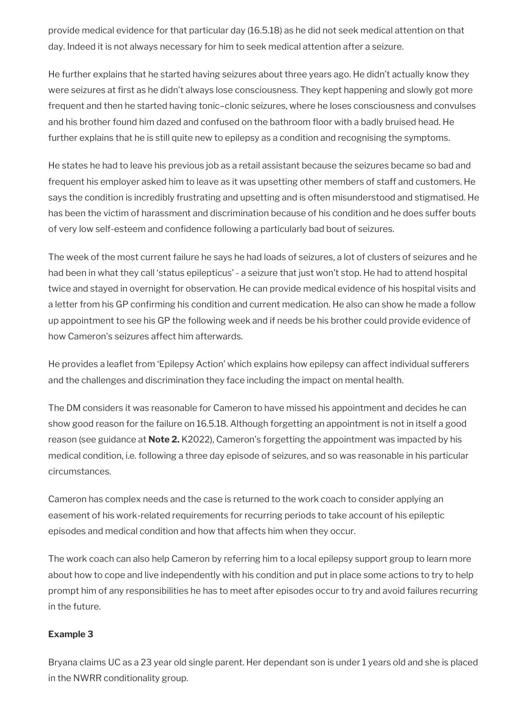provide medical evidence for that particular day (16.5.18) as he did not seek medical attention on that day. Indeed it is not always necessary for him to seek medical attention after a seizure.

He further explains that he started having seizures about three years ago. He didn't actually know they were seizures at first as he didn't always lose consciousness. They kept happening and slowly got more frequent and then he started having tonic–clonic seizures, where he loses consciousness and convulses and his brother found him dazed and confused on the bathroom floor with a badly bruised head. He further explains that he is still quite new to epilepsy as a condition and recognising the symptoms.

He states he had to leave his previous job as a retail assistant because the seizures became so bad and frequent his employer asked him to leave as it was upsetting other members of staff and customers. He says the condition is incredibly frustrating and upsetting and is often misunderstood and stigmatised. He has been the victim of harassment and discrimination because of his condition and he does suffer bouts of very low self-esteem and confidence following a particularly bad bout of seizures.

The week of the most current failure he says he had loads of seizures, a lot of clusters of seizures and he had been in what they call 'status epilepticus' - a seizure that just won't stop. He had to attend hospital twice and stayed in overnight for observation. He can provide medical evidence of his hospital visits and a letter from his GP confirming his condition and current medication. He also can show he made a follow up appointment to see his GP the following week and if needs be his brother could provide evidence of how Cameron's seizures affect him afterwards.

He provides a leaflet from 'Epilepsy Action' which explains how epilepsy can affect individual sufferers and the challenges and discrimination they face including the impact on mental health.

The DM considers it was reasonable for Cameron to have missed his appointment and decides he can show good reason for the failure on 16.5.18. Although forgetting an appointment is not in itself a good reason (see guidance at **Note 2.** K2022), Cameron's forgetting the appointment was impacted by his medical condition, i.e. following a three day episode of seizures, and so was reasonable in his particular circumstances.

Cameron has complex needs and the case is returned to the work coach to consider applying an easement of his work-related requirements for recurring periods to take account of his epileptic episodes and medical condition and how that affects him when they occur.

The work coach can also help Cameron by referring him to a local epilepsy support group to learn more about how to cope and live independently with his condition and put in place some actions to try to help prompt him of any responsibilities he has to meet after episodes occur to try and avoid failures recurring in the future.

#### **Example 3**

Bryana claims UC as a 23 year old single parent. Her dependant son is under 1 years old and she is placed in the NWRR conditionality group.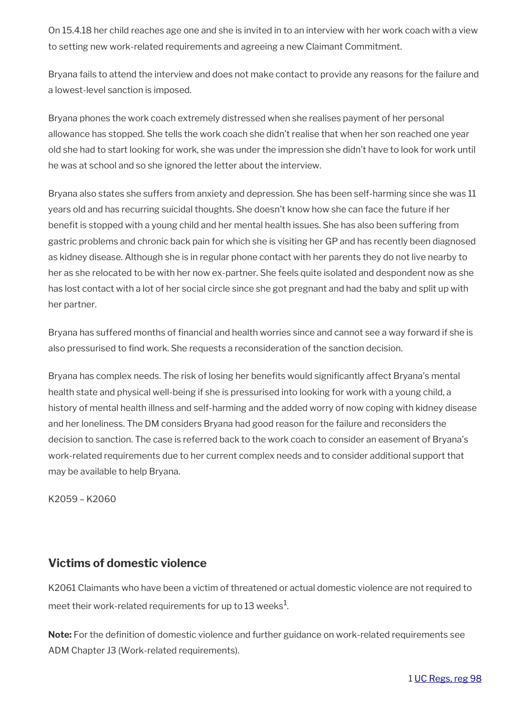On 15.4.18 her child reaches age one and she is invited in to an interview with her work coach with a view to setting new work-related requirements and agreeing a new Claimant Commitment.

Bryana fails to attend the interview and does not make contact to provide any reasons for the failure and a lowest-level sanction is imposed.

Bryana phones the work coach extremely distressed when she realises payment of her personal allowance has stopped. She tells the work coach she didn't realise that when her son reached one year old she had to start looking for work, she was under the impression she didn't have to look for work until he was at school and so she ignored the letter about the interview.

Bryana also states she suffers from anxiety and depression. She has been self-harming since she was 11 years old and has recurring suicidal thoughts. She doesn't know how she can face the future if her benefit is stopped with a young child and her mental health issues. She has also been suffering from gastric problems and chronic back pain for which she is visiting her GP and has recently been diagnosed as kidney disease. Although she is in regular phone contact with her parents they do not live nearby to her as she relocated to be with her now ex-partner. She feels quite isolated and despondent now as she has lost contact with a lot of her social circle since she got pregnant and had the baby and split up with her partner.

Bryana has suffered months of financial and health worries since and cannot see a way forward if she is also pressurised to find work. She requests a reconsideration of the sanction decision.

Bryana has complex needs. The risk of losing her benefits would significantly affect Bryana's mental health state and physical well-being if she is pressurised into looking for work with a young child, a history of mental health illness and self-harming and the added worry of now coping with kidney disease and her loneliness. The DM considers Bryana had good reason for the failure and reconsiders the decision to sanction. The case is referred back to the work coach to consider an easement of Bryana's work-related requirements due to her current complex needs and to consider additional support that may be available to help Bryana.

K2059 – K2060

## <span id="page-33-0"></span>**Victims of domestic violence**

K2061 Claimants who have been a victim of threatened or actual domestic violence are not required to meet their work-related requirements for up to 13 weeks $^{\rm 1}$ .

**Note:** For the definition of domestic violence and further guidance on work-related requirements see ADM Chapter J3 (Work-related requirements).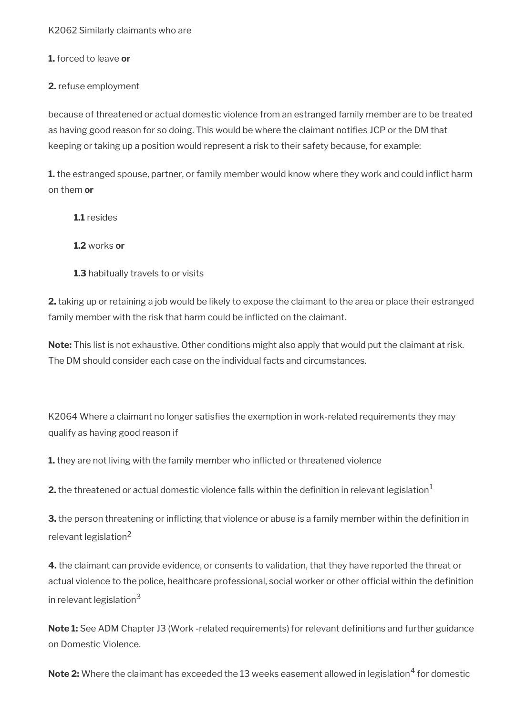K2062 Similarly claimants who are

**1.** forced to leave **or** 

**2.** refuse employment

because of threatened or actual domestic violence from an estranged family member are to be treated as having good reason for so doing. This would be where the claimant notifies JCP or the DM that keeping or taking up a position would represent a risk to their safety because, for example:

**1.** the estranged spouse, partner, or family member would know where they work and could inflict harm on them **or**

**1.1** resides

**1.2** works **or**

**1.3** habitually travels to or visits

**2.** taking up or retaining a job would be likely to expose the claimant to the area or place their estranged family member with the risk that harm could be inflicted on the claimant.

**Note:** This list is not exhaustive. Other conditions might also apply that would put the claimant at risk. The DM should consider each case on the individual facts and circumstances.

K2064 Where a claimant no longer satisfies the exemption in work-related requirements they may qualify as having good reason if

**1.** they are not living with the family member who inflicted or threatened violence

**2.** the threatened or actual domestic violence falls within the definition in relevant legislation<sup>1</sup>

**3.** the person threatening or inflicting that violence or abuse is a family member within the definition in relevant legislation<sup>2</sup>

**4.** the claimant can provide evidence, or consents to validation, that they have reported the threat or actual violence to the police, healthcare professional, social worker or other official within the definition in relevant legislation<sup>3</sup>

**Note 1:** See ADM Chapter J3 (Work -related requirements) for relevant definitions and further guidance on Domestic Violence.

 $\mathsf{Note\, 2:}$  Where the claimant has exceeded the  $13$  weeks easement allowed in legislation $^4$  for domestic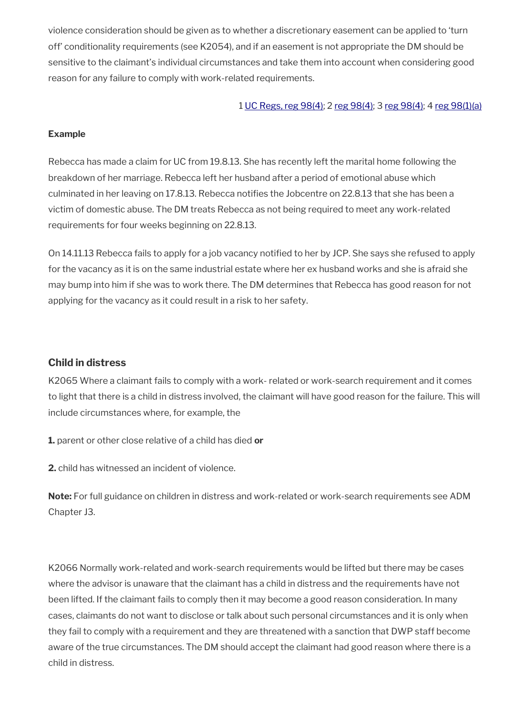violence consideration should be given as to whether a discretionary easement can be applied to 'turn off' conditionality requirements (see K2054), and if an easement is not appropriate the DM should be sensitive to the claimant's individual circumstances and take them into account when considering good reason for any failure to comply with work-related requirements.

#### 1 [UC Regs, reg 98\(4\)](https://www.legislation.gov.uk/uksi/2013/376/regulation/98); 2 [reg 98\(4\)](https://www.legislation.gov.uk/uksi/2013/376/regulation/98); 3 [reg 98\(4\)](https://www.legislation.gov.uk/uksi/2013/376/regulation/98); 4 [reg 98\(1\)\(a\)](https://www.legislation.gov.uk/uksi/2013/376/regulation/98)

#### **Example**

Rebecca has made a claim for UC from 19.8.13. She has recently left the marital home following the breakdown of her marriage. Rebecca left her husband after a period of emotional abuse which culminated in her leaving on 17.8.13. Rebecca notifies the Jobcentre on 22.8.13 that she has been a victim of domestic abuse. The DM treats Rebecca as not being required to meet any work-related requirements for four weeks beginning on 22.8.13.

On 14.11.13 Rebecca fails to apply for a job vacancy notified to her by JCP. She says she refused to apply for the vacancy as it is on the same industrial estate where her ex husband works and she is afraid she may bump into him if she was to work there. The DM determines that Rebecca has good reason for not applying for the vacancy as it could result in a risk to her safety.

#### <span id="page-35-0"></span>**Child in distress**

K2065 Where a claimant fails to comply with a work- related or work-search requirement and it comes to light that there is a child in distress involved, the claimant will have good reason for the failure. This will include circumstances where, for example, the

**1.** parent or other close relative of a child has died **or**

**2.** child has witnessed an incident of violence.

**Note:** For full guidance on children in distress and work-related or work-search requirements see ADM Chapter J3.

K2066 Normally work-related and work-search requirements would be lifted but there may be cases where the advisor is unaware that the claimant has a child in distress and the requirements have not been lifted. If the claimant fails to comply then it may become a good reason consideration. In many cases, claimants do not want to disclose or talk about such personal circumstances and it is only when they fail to comply with a requirement and they are threatened with a sanction that DWP staff become aware of the true circumstances. The DM should accept the claimant had good reason where there is a child in distress.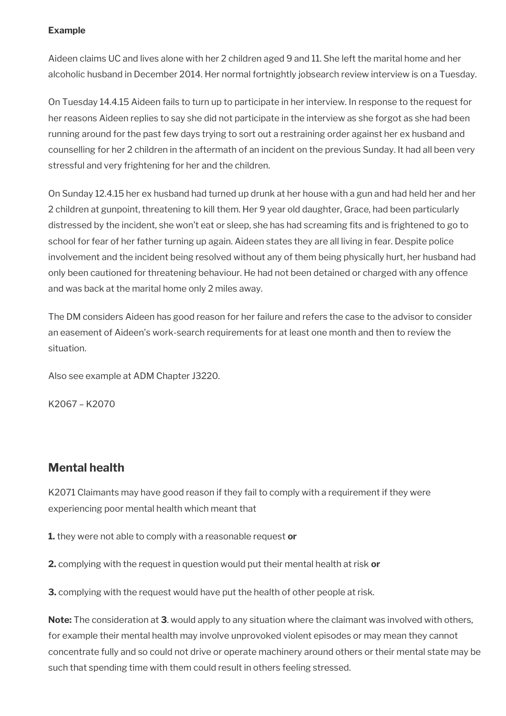## **Example**

Aideen claims UC and lives alone with her 2 children aged 9 and 11. She left the marital home and her alcoholic husband in December 2014. Her normal fortnightly jobsearch review interview is on a Tuesday.

On Tuesday 14.4.15 Aideen fails to turn up to participate in her interview. In response to the request for her reasons Aideen replies to say she did not participate in the interview as she forgot as she had been running around for the past few days trying to sort out a restraining order against her ex husband and counselling for her 2 children in the aftermath of an incident on the previous Sunday. It had all been very stressful and very frightening for her and the children.

On Sunday 12.4.15 her ex husband had turned up drunk at her house with a gun and had held her and her 2 children at gunpoint, threatening to kill them. Her 9 year old daughter, Grace, had been particularly distressed by the incident, she won't eat or sleep, she has had screaming fits and is frightened to go to school for fear of her father turning up again. Aideen states they are all living in fear. Despite police involvement and the incident being resolved without any of them being physically hurt, her husband had only been cautioned for threatening behaviour. He had not been detained or charged with any offence and was back at the marital home only 2 miles away.

The DM considers Aideen has good reason for her failure and refers the case to the advisor to consider an easement of Aideen's work-search requirements for at least one month and then to review the situation.

Also see example at ADM Chapter J3220.

K2067 – K2070

# **Mental health**

K2071 Claimants may have good reason if they fail to comply with a requirement if they were experiencing poor mental health which meant that

**1.** they were not able to comply with a reasonable request **or**

**2.** complying with the request in question would put their mental health at risk **or**

**3.** complying with the request would have put the health of other people at risk.

**Note:** The consideration at **3**. would apply to any situation where the claimant was involved with others, for example their mental health may involve unprovoked violent episodes or may mean they cannot concentrate fully and so could not drive or operate machinery around others or their mental state may be such that spending time with them could result in others feeling stressed.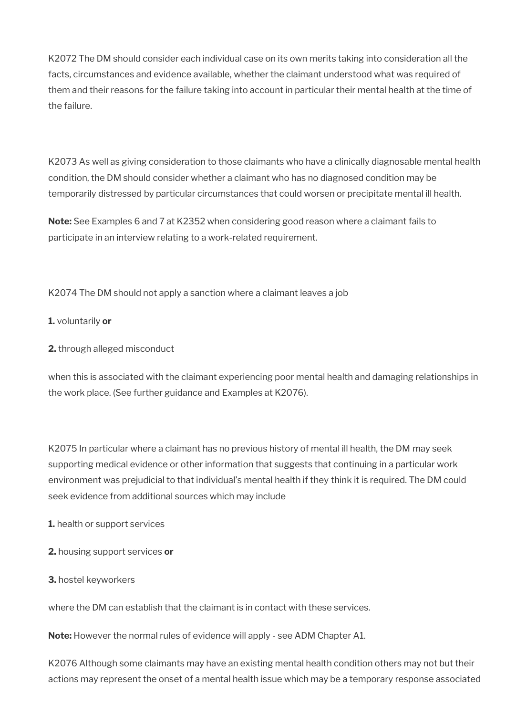K2072 The DM should consider each individual case on its own merits taking into consideration all the facts, circumstances and evidence available, whether the claimant understood what was required of them and their reasons for the failure taking into account in particular their mental health at the time of the failure.

K2073 As well as giving consideration to those claimants who have a clinically diagnosable mental health condition, the DM should consider whether a claimant who has no diagnosed condition may be temporarily distressed by particular circumstances that could worsen or precipitate mental ill health.

**Note:** See Examples 6 and 7 at K2352 when considering good reason where a claimant fails to participate in an interview relating to a work-related requirement.

K2074 The DM should not apply a sanction where a claimant leaves a job

**1.** voluntarily **or** 

**2.** through alleged misconduct

when this is associated with the claimant experiencing poor mental health and damaging relationships in the work place. (See further guidance and Examples at K2076).

K2075 In particular where a claimant has no previous history of mental ill health, the DM may seek supporting medical evidence or other information that suggests that continuing in a particular work environment was prejudicial to that individual's mental health if they think it is required. The DM could seek evidence from additional sources which may include

**1.** health or support services

- **2.** housing support services **or**
- **3.** hostel keyworkers

where the DM can establish that the claimant is in contact with these services.

**Note:** However the normal rules of evidence will apply - see ADM Chapter A1.

K2076 Although some claimants may have an existing mental health condition others may not but their actions may represent the onset of a mental health issue which may be a temporary response associated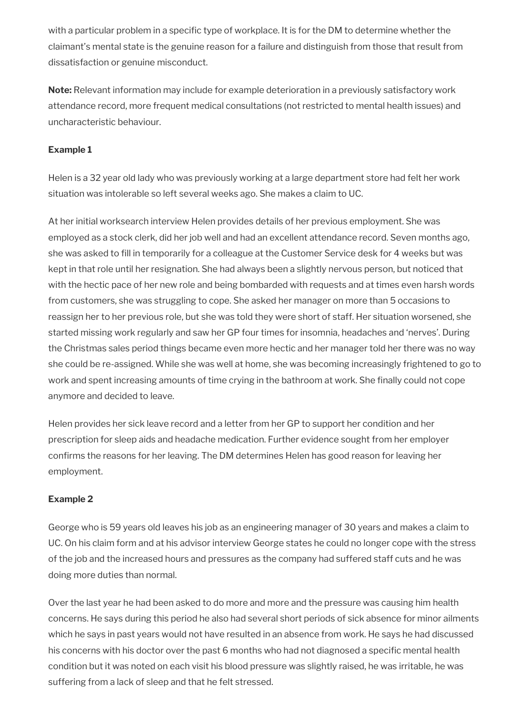with a particular problem in a specific type of workplace. It is for the DM to determine whether the claimant's mental state is the genuine reason for a failure and distinguish from those that result from dissatisfaction or genuine misconduct.

**Note:** Relevant information may include for example deterioration in a previously satisfactory work attendance record, more frequent medical consultations (not restricted to mental health issues) and uncharacteristic behaviour.

## **Example 1**

Helen is a 32 year old lady who was previously working at a large department store had felt her work situation was intolerable so left several weeks ago. She makes a claim to UC.

At her initial worksearch interview Helen provides details of her previous employment. She was employed as a stock clerk, did her job well and had an excellent attendance record. Seven months ago, she was asked to fill in temporarily for a colleague at the Customer Service desk for 4 weeks but was kept in that role until her resignation. She had always been a slightly nervous person, but noticed that with the hectic pace of her new role and being bombarded with requests and at times even harsh words from customers, she was struggling to cope. She asked her manager on more than 5 occasions to reassign her to her previous role, but she was told they were short of staff. Her situation worsened, she started missing work regularly and saw her GP four times for insomnia, headaches and 'nerves'. During the Christmas sales period things became even more hectic and her manager told her there was no way she could be re-assigned. While she was well at home, she was becoming increasingly frightened to go to work and spent increasing amounts of time crying in the bathroom at work. She finally could not cope anymore and decided to leave.

Helen provides her sick leave record and a letter from her GP to support her condition and her prescription for sleep aids and headache medication. Further evidence sought from her employer confirms the reasons for her leaving. The DM determines Helen has good reason for leaving her employment.

## **Example 2**

George who is 59 years old leaves his job as an engineering manager of 30 years and makes a claim to UC. On his claim form and at his advisor interview George states he could no longer cope with the stress of the job and the increased hours and pressures as the company had suffered staff cuts and he was doing more duties than normal.

Over the last year he had been asked to do more and more and the pressure was causing him health concerns. He says during this period he also had several short periods of sick absence for minor ailments which he says in past years would not have resulted in an absence from work. He says he had discussed his concerns with his doctor over the past 6 months who had not diagnosed a specific mental health condition but it was noted on each visit his blood pressure was slightly raised, he was irritable, he was suffering from a lack of sleep and that he felt stressed.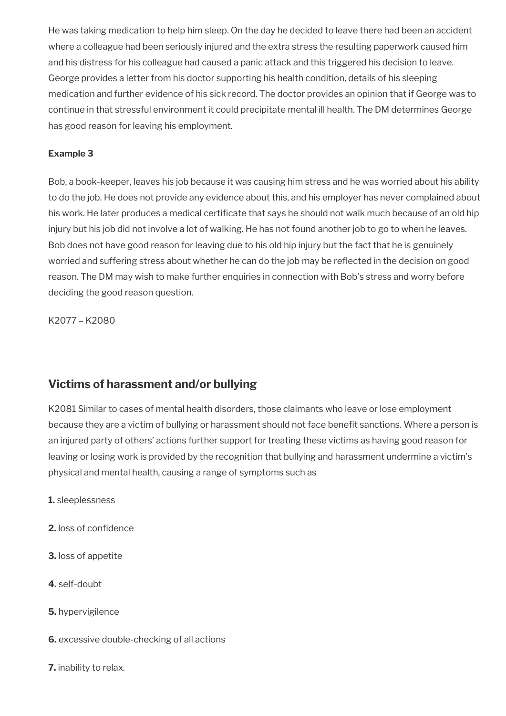He was taking medication to help him sleep. On the day he decided to leave there had been an accident where a colleague had been seriously injured and the extra stress the resulting paperwork caused him and his distress for his colleague had caused a panic attack and this triggered his decision to leave. George provides a letter from his doctor supporting his health condition, details of his sleeping medication and further evidence of his sick record. The doctor provides an opinion that if George was to continue in that stressful environment it could precipitate mental ill health. The DM determines George has good reason for leaving his employment.

## **Example 3**

Bob, a book-keeper, leaves his job because it was causing him stress and he was worried about his ability to do the job. He does not provide any evidence about this, and his employer has never complained about his work. He later produces a medical certificate that says he should not walk much because of an old hip injury but his job did not involve a lot of walking. He has not found another job to go to when he leaves. Bob does not have good reason for leaving due to his old hip injury but the fact that he is genuinely worried and suffering stress about whether he can do the job may be reflected in the decision on good reason. The DM may wish to make further enquiries in connection with Bob's stress and worry before deciding the good reason question.

K2077 – K2080

# **Victims of harassment and/or bullying**

K2081 Similar to cases of mental health disorders, those claimants who leave or lose employment because they are a victim of bullying or harassment should not face benefit sanctions. Where a person is an injured party of others' actions further support for treating these victims as having good reason for leaving or losing work is provided by the recognition that bullying and harassment undermine a victim's physical and mental health, causing a range of symptoms such as

- **1.** sleeplessness
- **2.** loss of confidence
- **3.** loss of appetite
- **4.** self-doubt
- **5.** hypervigilence
- **6.** excessive double-checking of all actions
- **7.** inability to relax.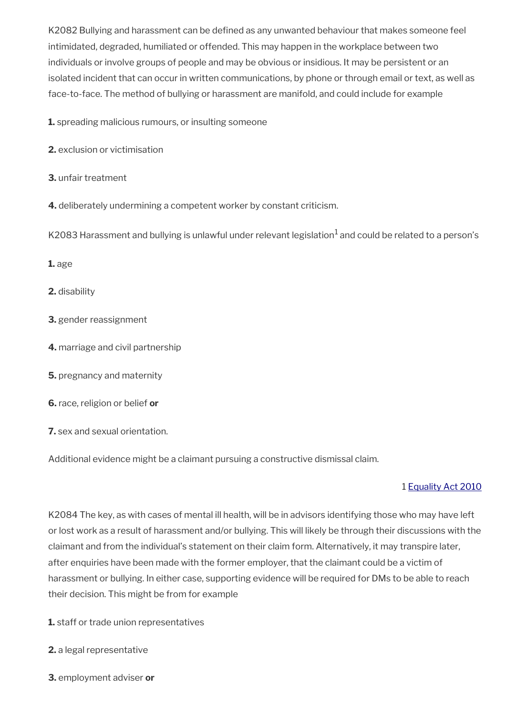K2082 Bullying and harassment can be defined as any unwanted behaviour that makes someone feel intimidated, degraded, humiliated or offended. This may happen in the workplace between two individuals or involve groups of people and may be obvious or insidious. It may be persistent or an isolated incident that can occur in written communications, by phone or through email or text, as well as face-to-face. The method of bullying or harassment are manifold, and could include for example

**1.** spreading malicious rumours, or insulting someone

- **2.** exclusion or victimisation
- **3.** unfair treatment
- **4.** deliberately undermining a competent worker by constant criticism.

K2083 Harassment and bullying is unlawful under relevant legislation $^1$  and could be related to a person's

**1.** age

**2.** disability

- **3.** gender reassignment
- **4.** marriage and civil partnership
- **5.** pregnancy and maternity
- **6.** race, religion or belief **or**
- **7.** sex and sexual orientation.

Additional evidence might be a claimant pursuing a constructive dismissal claim.

## 1 [Equality Act 2010](https://www.legislation.gov.uk/ukpga/2010/15/contents)

K2084 The key, as with cases of mental ill health, will be in advisors identifying those who may have left or lost work as a result of harassment and/or bullying. This will likely be through their discussions with the claimant and from the individual's statement on their claim form. Alternatively, it may transpire later, after enquiries have been made with the former employer, that the claimant could be a victim of harassment or bullying. In either case, supporting evidence will be required for DMs to be able to reach their decision. This might be from for example

- **1.** staff or trade union representatives
- **2.** a legal representative
- **3.** employment adviser **or**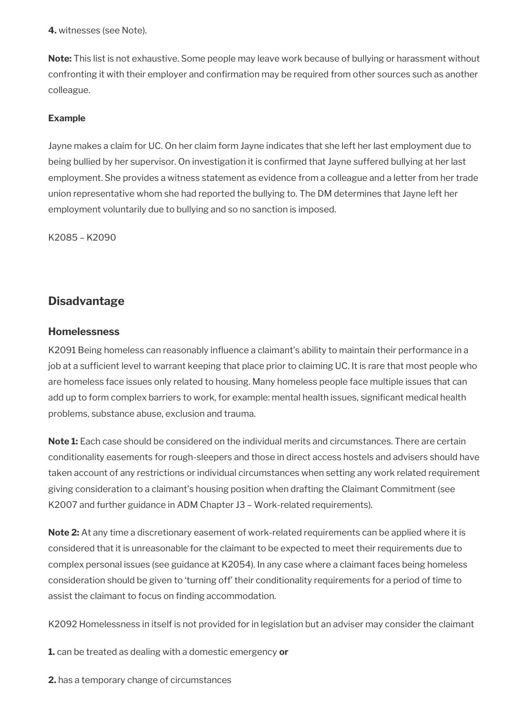**4.** witnesses (see Note).

**Note:** This list is not exhaustive. Some people may leave work because of bullying or harassment without confronting it with their employer and confirmation may be required from other sources such as another colleague.

## **Example**

Jayne makes a claim for UC. On her claim form Jayne indicates that she left her last employment due to being bullied by her supervisor. On investigation it is confirmed that Jayne suffered bullying at her last employment. She provides a witness statement as evidence from a colleague and a letter from her trade union representative whom she had reported the bullying to. The DM determines that Jayne left her employment voluntarily due to bullying and so no sanction is imposed.

K2085 – K2090

# **Disadvantage**

## **Homelessness**

K2091 Being homeless can reasonably influence a claimant's ability to maintain their performance in a job at a sufficient level to warrant keeping that place prior to claiming UC. It is rare that most people who are homeless face issues only related to housing. Many homeless people face multiple issues that can add up to form complex barriers to work, for example: mental health issues, significant medical health problems, substance abuse, exclusion and trauma.

**Note 1:** Each case should be considered on the individual merits and circumstances. There are certain conditionality easements for rough-sleepers and those in direct access hostels and advisers should have taken account of any restrictions or individual circumstances when setting any work related requirement giving consideration to a claimant's housing position when drafting the Claimant Commitment (see K2007 and further guidance in ADM Chapter J3 – Work-related requirements).

**Note 2:** At any time a discretionary easement of work-related requirements can be applied where it is considered that it is unreasonable for the claimant to be expected to meet their requirements due to complex personal issues (see guidance at K2054). In any case where a claimant faces being homeless consideration should be given to 'turning off' their conditionality requirements for a period of time to assist the claimant to focus on finding accommodation.

K2092 Homelessness in itself is not provided for in legislation but an adviser may consider the claimant

**1.** can be treated as dealing with a domestic emergency **or** 

**2.** has a temporary change of circumstances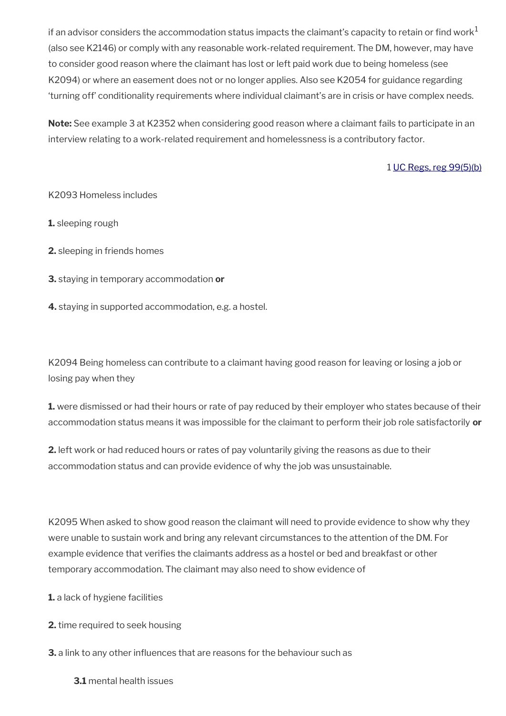if an advisor considers the accommodation status impacts the claimant's capacity to retain or find work<sup>1</sup> (also see K2146) or comply with any reasonable work-related requirement. The DM, however, may have to consider good reason where the claimant has lost or left paid work due to being homeless (see K2094) or where an easement does not or no longer applies. Also see K2054 for guidance regarding 'turning off' conditionality requirements where individual claimant's are in crisis or have complex needs.

**Note:** See example 3 at K2352 when considering good reason where a claimant fails to participate in an interview relating to a work-related requirement and homelessness is a contributory factor.

## 1 [UC Regs, reg 99\(5\)\(b\)](https://www.legislation.gov.uk/uksi/2013/376/regulation/99)

#### K2093 Homeless includes

**1.** sleeping rough

**2.** sleeping in friends homes

**3.** staying in temporary accommodation **or**

**4.** staying in supported accommodation, e.g. a hostel.

K2094 Being homeless can contribute to a claimant having good reason for leaving or losing a job or losing pay when they

**1.** were dismissed or had their hours or rate of pay reduced by their employer who states because of their accommodation status means it was impossible for the claimant to perform their job role satisfactorily **or**

**2.** left work or had reduced hours or rates of pay voluntarily giving the reasons as due to their accommodation status and can provide evidence of why the job was unsustainable.

K2095 When asked to show good reason the claimant will need to provide evidence to show why they were unable to sustain work and bring any relevant circumstances to the attention of the DM. For example evidence that verifies the claimants address as a hostel or bed and breakfast or other temporary accommodation. The claimant may also need to show evidence of

**1.** a lack of hygiene facilities

**2.** time required to seek housing

**3.** a link to any other influences that are reasons for the behaviour such as

**3.1** mental health issues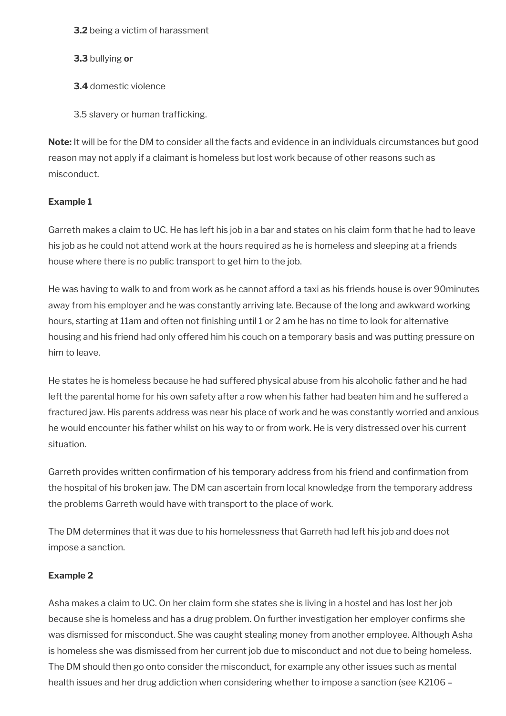**3.2** being a victim of harassment

**3.3** bullying **or**

**3.4** domestic violence

3.5 slavery or human trafficking.

**Note:** It will be for the DM to consider all the facts and evidence in an individuals circumstances but good reason may not apply if a claimant is homeless but lost work because of other reasons such as misconduct.

## **Example 1**

Garreth makes a claim to UC. He has left his job in a bar and states on his claim form that he had to leave his job as he could not attend work at the hours required as he is homeless and sleeping at a friends house where there is no public transport to get him to the job.

He was having to walk to and from work as he cannot afford a taxi as his friends house is over 90minutes away from his employer and he was constantly arriving late. Because of the long and awkward working hours, starting at 11am and often not finishing until 1 or 2 am he has no time to look for alternative housing and his friend had only offered him his couch on a temporary basis and was putting pressure on him to leave.

He states he is homeless because he had suffered physical abuse from his alcoholic father and he had left the parental home for his own safety after a row when his father had beaten him and he suffered a fractured jaw. His parents address was near his place of work and he was constantly worried and anxious he would encounter his father whilst on his way to or from work. He is very distressed over his current situation.

Garreth provides written confirmation of his temporary address from his friend and confirmation from the hospital of his broken jaw. The DM can ascertain from local knowledge from the temporary address the problems Garreth would have with transport to the place of work.

The DM determines that it was due to his homelessness that Garreth had left his job and does not impose a sanction.

## **Example 2**

Asha makes a claim to UC. On her claim form she states she is living in a hostel and has lost her job because she is homeless and has a drug problem. On further investigation her employer confirms she was dismissed for misconduct. She was caught stealing money from another employee. Although Asha is homeless she was dismissed from her current job due to misconduct and not due to being homeless. The DM should then go onto consider the misconduct, for example any other issues such as mental health issues and her drug addiction when considering whether to impose a sanction (see K2106 –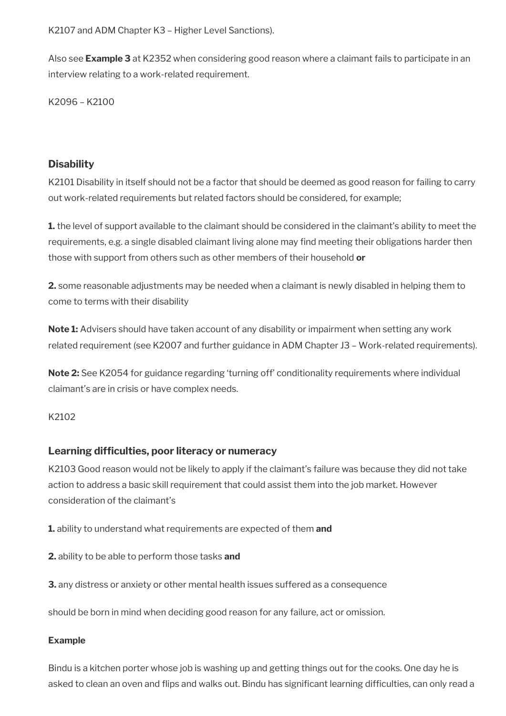K2107 and ADM Chapter K3 – Higher Level Sanctions).

Also see **Example 3** at K2352 when considering good reason where a claimant fails to participate in an interview relating to a work-related requirement.

K2096 – K2100

## **Disability**

K2101 Disability in itself should not be a factor that should be deemed as good reason for failing to carry out work-related requirements but related factors should be considered, for example;

**1.** the level of support available to the claimant should be considered in the claimant's ability to meet the requirements, e.g. a single disabled claimant living alone may find meeting their obligations harder then those with support from others such as other members of their household **or**

**2.** some reasonable adjustments may be needed when a claimant is newly disabled in helping them to come to terms with their disability

**Note 1:** Advisers should have taken account of any disability or impairment when setting any work related requirement (see K2007 and further guidance in ADM Chapter J3 – Work-related requirements).

**Note 2:** See K2054 for guidance regarding 'turning off' conditionality requirements where individual claimant's are in crisis or have complex needs.

## K<sub>2102</sub>

## **Learning difficulties, poor literacy or numeracy**

K2103 Good reason would not be likely to apply if the claimant's failure was because they did not take action to address a basic skill requirement that could assist them into the job market. However consideration of the claimant's

**1.** ability to understand what requirements are expected of them **and** 

**2.** ability to be able to perform those tasks **and**

**3.** any distress or anxiety or other mental health issues suffered as a consequence

should be born in mind when deciding good reason for any failure, act or omission.

#### **Example**

Bindu is a kitchen porter whose job is washing up and getting things out for the cooks. One day he is asked to clean an oven and flips and walks out. Bindu has significant learning difficulties, can only read a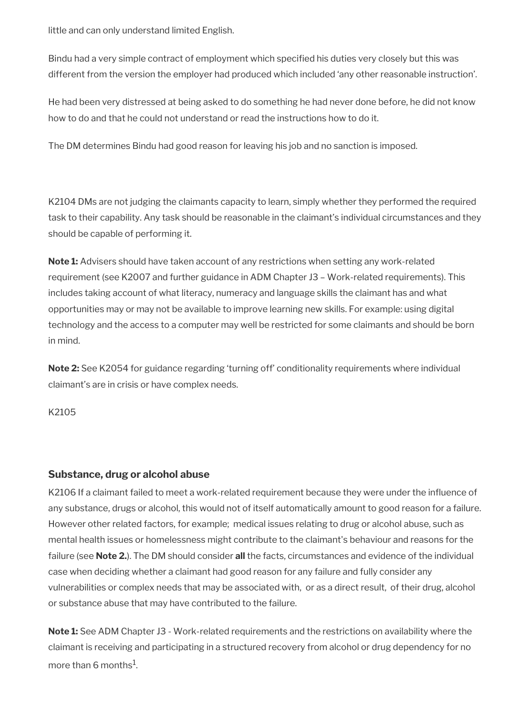little and can only understand limited English.

Bindu had a very simple contract of employment which specified his duties very closely but this was different from the version the employer had produced which included 'any other reasonable instruction'.

He had been very distressed at being asked to do something he had never done before, he did not know how to do and that he could not understand or read the instructions how to do it.

The DM determines Bindu had good reason for leaving his job and no sanction is imposed.

K2104 DMs are not judging the claimants capacity to learn, simply whether they performed the required task to their capability. Any task should be reasonable in the claimant's individual circumstances and they should be capable of performing it.

**Note 1:** Advisers should have taken account of any restrictions when setting any work-related requirement (see K2007 and further guidance in ADM Chapter J3 – Work-related requirements). This includes taking account of what literacy, numeracy and language skills the claimant has and what opportunities may or may not be available to improve learning new skills. For example: using digital technology and the access to a computer may well be restricted for some claimants and should be born in mind.

**Note 2:** See K2054 for guidance regarding 'turning off' conditionality requirements where individual claimant's are in crisis or have complex needs.

K2105

## **Substance, drug or alcohol abuse**

K2106 If a claimant failed to meet a work-related requirement because they were under the influence of any substance, drugs or alcohol, this would not of itself automatically amount to good reason for a failure. However other related factors, for example; medical issues relating to drug or alcohol abuse, such as mental health issues or homelessness might contribute to the claimant's behaviour and reasons for the failure (see **Note 2.**). The DM should consider **all** the facts, circumstances and evidence of the individual case when deciding whether a claimant had good reason for any failure and fully consider any vulnerabilities or complex needs that may be associated with, or as a direct result, of their drug, alcohol or substance abuse that may have contributed to the failure.

**Note 1:** See ADM Chapter J3 - Work-related requirements and the restrictions on availability where the claimant is receiving and participating in a structured recovery from alcohol or drug dependency for no more than 6 months $^{\rm 1}$ .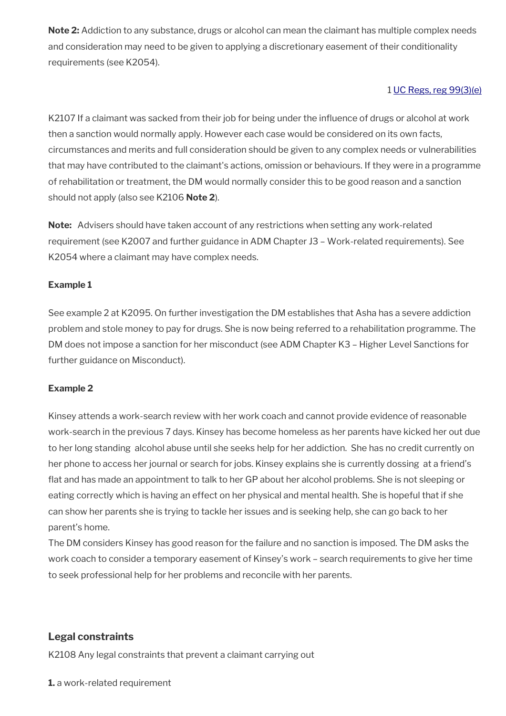**Note 2:** Addiction to any substance, drugs or alcohol can mean the claimant has multiple complex needs and consideration may need to be given to applying a discretionary easement of their conditionality requirements (see K2054).

## 1 [UC Regs, reg 99\(3\)\(e\)](https://www.legislation.gov.uk/uksi/2013/376/regulation/99)

K2107 If a claimant was sacked from their job for being under the influence of drugs or alcohol at work then a sanction would normally apply. However each case would be considered on its own facts, circumstances and merits and full consideration should be given to any complex needs or vulnerabilities that may have contributed to the claimant's actions, omission or behaviours. If they were in a programme of rehabilitation or treatment, the DM would normally consider this to be good reason and a sanction should not apply (also see K2106 **Note 2**).

**Note:** Advisers should have taken account of any restrictions when setting any work-related requirement (see K2007 and further guidance in ADM Chapter J3 – Work-related requirements). See K2054 where a claimant may have complex needs.

## **Example 1**

See example 2 at K2095. On further investigation the DM establishes that Asha has a severe addiction problem and stole money to pay for drugs. She is now being referred to a rehabilitation programme. The DM does not impose a sanction for her misconduct (see ADM Chapter K3 – Higher Level Sanctions for further guidance on Misconduct).

## **Example 2**

Kinsey attends a work-search review with her work coach and cannot provide evidence of reasonable work-search in the previous 7 days. Kinsey has become homeless as her parents have kicked her out due to her long standing alcohol abuse until she seeks help for her addiction. She has no credit currently on her phone to access her journal or search for jobs. Kinsey explains she is currently dossing at a friend's flat and has made an appointment to talk to her GP about her alcohol problems. She is not sleeping or eating correctly which is having an effect on her physical and mental health. She is hopeful that if she can show her parents she is trying to tackle her issues and is seeking help, she can go back to her parent's home.

The DM considers Kinsey has good reason for the failure and no sanction is imposed. The DM asks the work coach to consider a temporary easement of Kinsey's work – search requirements to give her time to seek professional help for her problems and reconcile with her parents.

## **Legal constraints**

K2108 Any legal constraints that prevent a claimant carrying out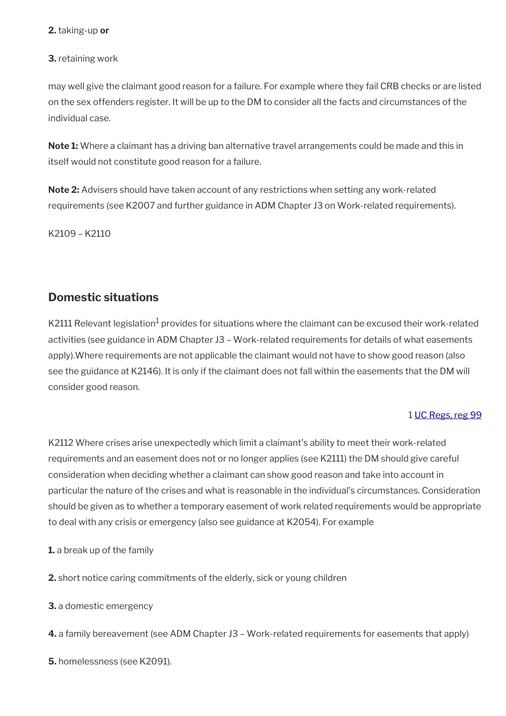#### **2.** taking-up **or**

## **3.** retaining work

may well give the claimant good reason for a failure. For example where they fail CRB checks or are listed on the sex offenders register. It will be up to the DM to consider all the facts and circumstances of the individual case.

**Note 1:** Where a claimant has a driving ban alternative travel arrangements could be made and this in itself would not constitute good reason for a failure.

**Note 2:** Advisers should have taken account of any restrictions when setting any work-related requirements (see K2007 and further guidance in ADM Chapter J3 on Work-related requirements).

K2109 – K2110

# **Domestic situations**

K2111 Relevant legislation $^1$  provides for situations where the claimant can be excused their work-related activities (see guidance in ADM Chapter J3 – Work-related requirements for details of what easements apply).Where requirements are not applicable the claimant would not have to show good reason (also see the guidance at K2146). It is only if the claimant does not fall within the easements that the DM will consider good reason.

## 1 [UC Regs, reg 99](https://www.legislation.gov.uk/uksi/2013/376/regulation/99)

K2112 Where crises arise unexpectedly which limit a claimant's ability to meet their work-related requirements and an easement does not or no longer applies (see K2111) the DM should give careful consideration when deciding whether a claimant can show good reason and take into account in particular the nature of the crises and what is reasonable in the individual's circumstances. Consideration should be given as to whether a temporary easement of work related requirements would be appropriate to deal with any crisis or emergency (also see guidance at K2054). For example

- **1.** a break up of the family
- **2.** short notice caring commitments of the elderly, sick or young children
- **3.** a domestic emergency
- **4.** a family bereavement (see ADM Chapter J3 Work-related requirements for easements that apply)
- **5.** homelessness (see K2091).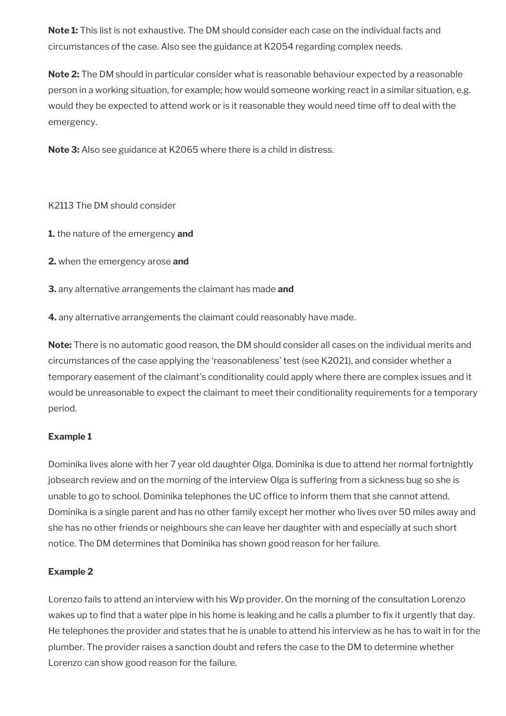**Note 1:** This list is not exhaustive. The DM should consider each case on the individual facts and circumstances of the case. Also see the guidance at K2054 regarding complex needs.

**Note 2:** The DM should in particular consider what is reasonable behaviour expected by a reasonable person in a working situation, for example; how would someone working react in a similar situation, e.g. would they be expected to attend work or is it reasonable they would need time off to deal with the emergency.

**Note 3:** Also see guidance at K2065 where there is a child in distress.

K2113 The DM should consider

**1.** the nature of the emergency **and** 

**2.** when the emergency arose **and** 

**3.** any alternative arrangements the claimant has made **and** 

**4.** any alternative arrangements the claimant could reasonably have made.

**Note:** There is no automatic good reason, the DM should consider all cases on the individual merits and circumstances of the case applying the 'reasonableness' test (see K2021), and consider whether a temporary easement of the claimant's conditionality could apply where there are complex issues and it would be unreasonable to expect the claimant to meet their conditionality requirements for a temporary period.

## **Example 1**

Dominika lives alone with her 7 year old daughter Olga. Dominika is due to attend her normal fortnightly jobsearch review and on the morning of the interview Olga is suffering from a sickness bug so she is unable to go to school. Dominika telephones the UC office to inform them that she cannot attend. Dominika is a single parent and has no other family except her mother who lives over 50 miles away and she has no other friends or neighbours she can leave her daughter with and especially at such short notice. The DM determines that Dominika has shown good reason for her failure.

## **Example 2**

Lorenzo fails to attend an interview with his Wp provider. On the morning of the consultation Lorenzo wakes up to find that a water pipe in his home is leaking and he calls a plumber to fix it urgently that day. He telephones the provider and states that he is unable to attend his interview as he has to wait in for the plumber. The provider raises a sanction doubt and refers the case to the DM to determine whether Lorenzo can show good reason for the failure.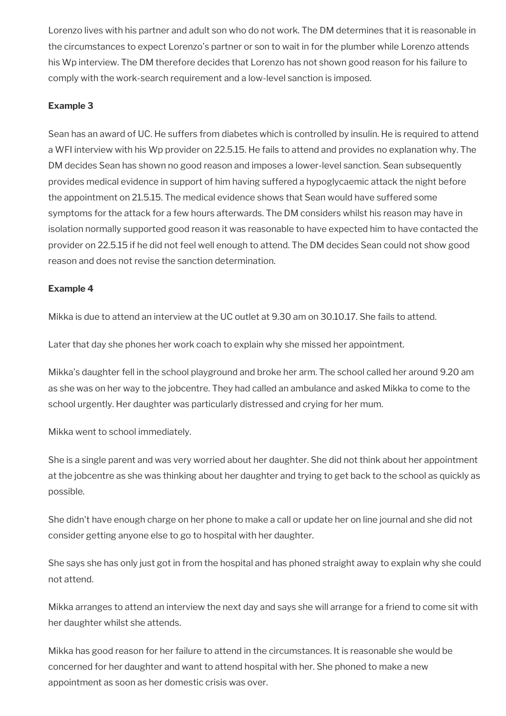Lorenzo lives with his partner and adult son who do not work. The DM determines that it is reasonable in the circumstances to expect Lorenzo's partner or son to wait in for the plumber while Lorenzo attends his Wp interview. The DM therefore decides that Lorenzo has not shown good reason for his failure to comply with the work-search requirement and a low-level sanction is imposed.

## **Example 3**

Sean has an award of UC. He suffers from diabetes which is controlled by insulin. He is required to attend a WFI interview with his Wp provider on 22.5.15. He fails to attend and provides no explanation why. The DM decides Sean has shown no good reason and imposes a lower-level sanction. Sean subsequently provides medical evidence in support of him having suffered a hypoglycaemic attack the night before the appointment on 21.5.15. The medical evidence shows that Sean would have suffered some symptoms for the attack for a few hours afterwards. The DM considers whilst his reason may have in isolation normally supported good reason it was reasonable to have expected him to have contacted the provider on 22.5.15 if he did not feel well enough to attend. The DM decides Sean could not show good reason and does not revise the sanction determination.

## **Example 4**

Mikka is due to attend an interview at the UC outlet at 9.30 am on 30.10.17. She fails to attend.

Later that day she phones her work coach to explain why she missed her appointment.

Mikka's daughter fell in the school playground and broke her arm. The school called her around 9.20 am as she was on her way to the jobcentre. They had called an ambulance and asked Mikka to come to the school urgently. Her daughter was particularly distressed and crying for her mum.

Mikka went to school immediately.

She is a single parent and was very worried about her daughter. She did not think about her appointment at the jobcentre as she was thinking about her daughter and trying to get back to the school as quickly as possible.

She didn't have enough charge on her phone to make a call or update her on line journal and she did not consider getting anyone else to go to hospital with her daughter.

She says she has only just got in from the hospital and has phoned straight away to explain why she could not attend.

Mikka arranges to attend an interview the next day and says she will arrange for a friend to come sit with her daughter whilst she attends.

Mikka has good reason for her failure to attend in the circumstances. It is reasonable she would be concerned for her daughter and want to attend hospital with her. She phoned to make a new appointment as soon as her domestic crisis was over.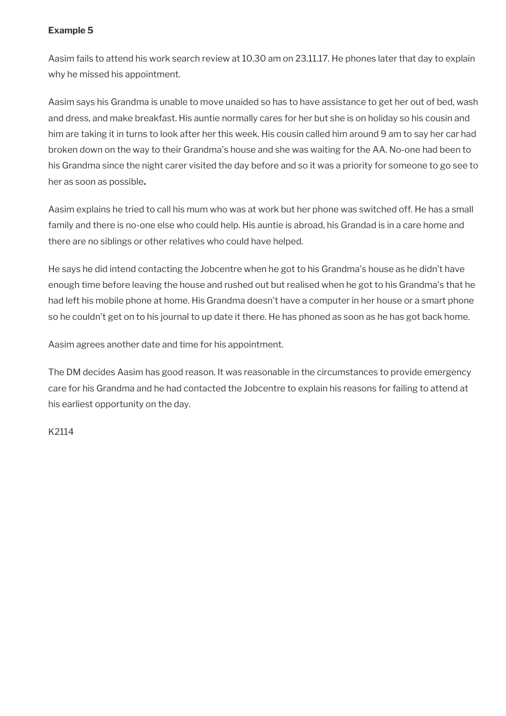## **Example 5**

Aasim fails to attend his work search review at 10.30 am on 23.11.17. He phones later that day to explain why he missed his appointment.

Aasim says his Grandma is unable to move unaided so has to have assistance to get her out of bed, wash and dress, and make breakfast. His auntie normally cares for her but she is on holiday so his cousin and him are taking it in turns to look after her this week. His cousin called him around 9 am to say her car had broken down on the way to their Grandma's house and she was waiting for the AA. No-one had been to his Grandma since the night carer visited the day before and so it was a priority for someone to go see to her as soon as possible**.**

Aasim explains he tried to call his mum who was at work but her phone was switched off. He has a small family and there is no-one else who could help. His auntie is abroad, his Grandad is in a care home and there are no siblings or other relatives who could have helped.

He says he did intend contacting the Jobcentre when he got to his Grandma's house as he didn't have enough time before leaving the house and rushed out but realised when he got to his Grandma's that he had left his mobile phone at home. His Grandma doesn't have a computer in her house or a smart phone so he couldn't get on to his journal to up date it there. He has phoned as soon as he has got back home.

Aasim agrees another date and time for his appointment.

The DM decides Aasim has good reason. It was reasonable in the circumstances to provide emergency care for his Grandma and he had contacted the Jobcentre to explain his reasons for failing to attend at his earliest opportunity on the day.

K2114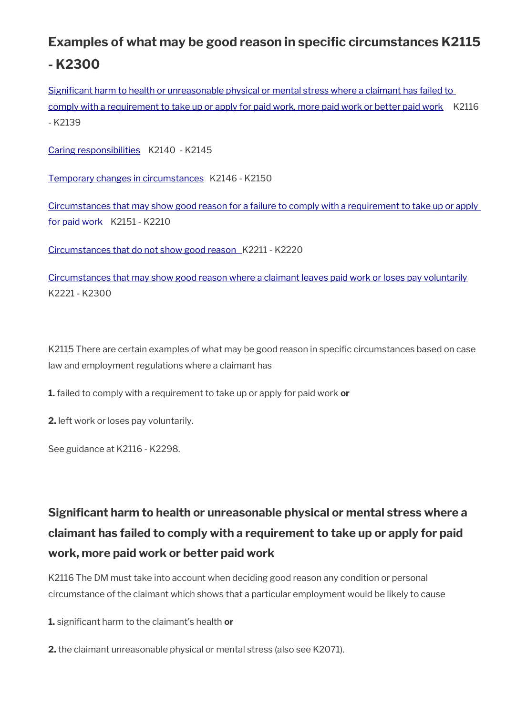# **Examples of what may be good reason in specific circumstances K2115 - K2300**

[Significant harm to health or unreasonable physical or mental stress where a claimant has failed to](#page-51-0)  [comply with a requirement to take up or apply for paid work, more paid work or better paid work](#page-51-0) K2116 - K2139

[Caring responsibilities](#page-59-0) K2140 - K2145

[Temporary changes in circumstances](#page-62-0) K2146 - K2150

[Circumstances that may show good reason for a failure to comply with a requirement to take up or apply](#page-63-0)  [for paid work](#page-63-0) K2151 - K2210

 [Circumstances that do not show good reason](#page-76-0) K2211 - K2220

[Circumstances that may show good reason where a claimant leaves paid work or loses pay voluntarily](#page-77-0) K2221 - K2300

K2115 There are certain examples of what may be good reason in specific circumstances based on case law and employment regulations where a claimant has

**1.** failed to comply with a requirement to take up or apply for paid work **or**

**2.** left work or loses pay voluntarily.

See guidance at K2116 - K2298.

# <span id="page-51-0"></span>**Significant harm to health or unreasonable physical or mental stress where a claimant has failed to comply with a requirement to take up or apply for paid work, more paid work or better paid work**

K2116 The DM must take into account when deciding good reason any condition or personal circumstance of the claimant which shows that a particular employment would be likely to cause

**1.** significant harm to the claimant's health **or** 

**2.** the claimant unreasonable physical or mental stress (also see K2071).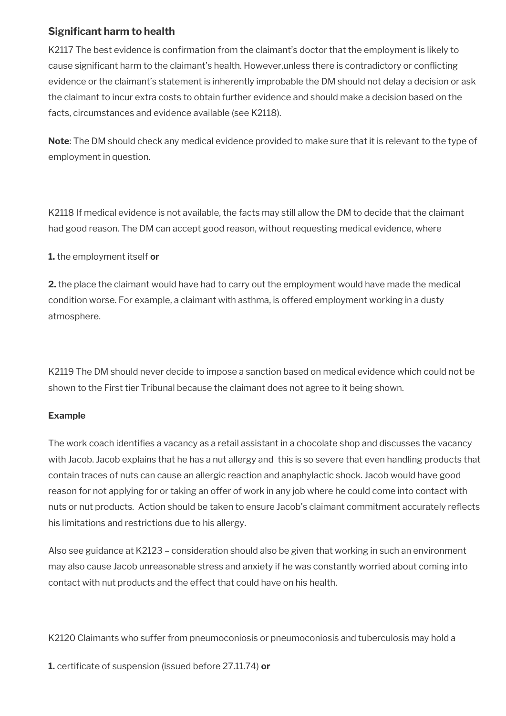# **Significant harm to health**

K2117 The best evidence is confirmation from the claimant's doctor that the employment is likely to cause significant harm to the claimant's health. However,unless there is contradictory or conflicting evidence or the claimant's statement is inherently improbable the DM should not delay a decision or ask the claimant to incur extra costs to obtain further evidence and should make a decision based on the facts, circumstances and evidence available (see K2118).

**Note**: The DM should check any medical evidence provided to make sure that it is relevant to the type of employment in question.

K2118 If medical evidence is not available, the facts may still allow the DM to decide that the claimant had good reason. The DM can accept good reason, without requesting medical evidence, where

**1.** the employment itself **or**

**2.** the place the claimant would have had to carry out the employment would have made the medical condition worse. For example, a claimant with asthma, is offered employment working in a dusty atmosphere.

K2119 The DM should never decide to impose a sanction based on medical evidence which could not be shown to the First tier Tribunal because the claimant does not agree to it being shown.

## **Example**

The work coach identifies a vacancy as a retail assistant in a chocolate shop and discusses the vacancy with Jacob. Jacob explains that he has a nut allergy and this is so severe that even handling products that contain traces of nuts can cause an allergic reaction and anaphylactic shock. Jacob would have good reason for not applying for or taking an offer of work in any job where he could come into contact with nuts or nut products. Action should be taken to ensure Jacob's claimant commitment accurately reflects his limitations and restrictions due to his allergy.

Also see guidance at K2123 – consideration should also be given that working in such an environment may also cause Jacob unreasonable stress and anxiety if he was constantly worried about coming into contact with nut products and the effect that could have on his health.

K2120 Claimants who suffer from pneumoconiosis or pneumoconiosis and tuberculosis may hold a

**1.** certificate of suspension (issued before 27.11.74) **or**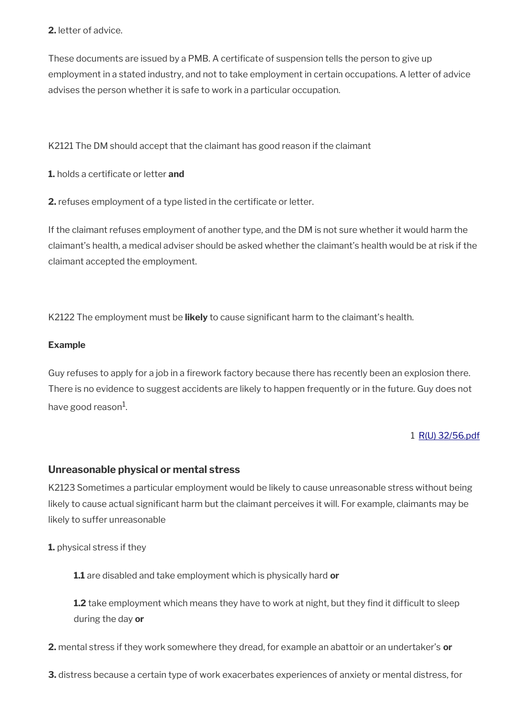## **2.** letter of advice.

These documents are issued by a PMB. A certificate of suspension tells the person to give up employment in a stated industry, and not to take employment in certain occupations. A letter of advice advises the person whether it is safe to work in a particular occupation.

K2121 The DM should accept that the claimant has good reason if the claimant

**1.** holds a certificate or letter **and** 

**2.** refuses employment of a type listed in the certificate or letter.

If the claimant refuses employment of another type, and the DM is not sure whether it would harm the claimant's health, a medical adviser should be asked whether the claimant's health would be at risk if the claimant accepted the employment.

K2122 The employment must be **likely** to cause significant harm to the claimant's health.

#### **Example**

Guy refuses to apply for a job in a firework factory because there has recently been an explosion there. There is no evidence to suggest accidents are likely to happen frequently or in the future. Guy does not have good reason $^{\rm 1}$ .

#### 1 [R\(U\) 32/56.pdf](../file/954298/download/R%2528U%2529%252032%252F56.pdf)

## **Unreasonable physical or mental stress**

K2123 Sometimes a particular employment would be likely to cause unreasonable stress without being likely to cause actual significant harm but the claimant perceives it will. For example, claimants may be likely to suffer unreasonable

**1.** physical stress if they

**1.1** are disabled and take employment which is physically hard **or** 

**1.2** take employment which means they have to work at night, but they find it difficult to sleep during the day **or** 

**2.** mental stress if they work somewhere they dread, for example an abattoir or an undertaker's **or**

**3.** distress because a certain type of work exacerbates experiences of anxiety or mental distress, for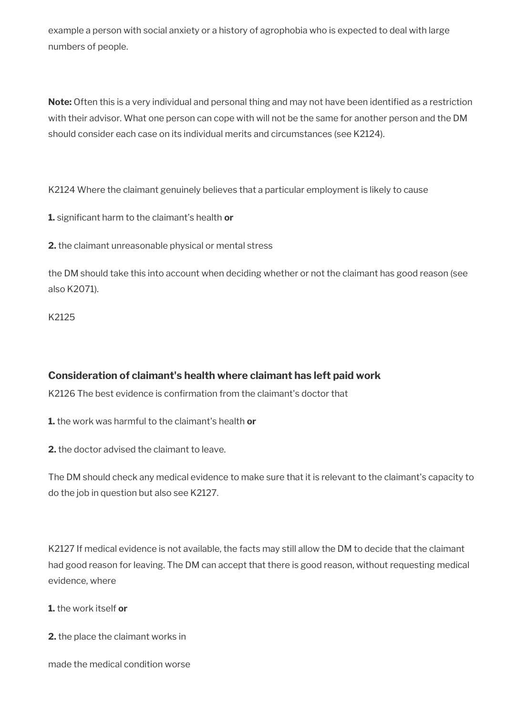example a person with social anxiety or a history of agrophobia who is expected to deal with large numbers of people.

**Note:** Often this is a very individual and personal thing and may not have been identified as a restriction with their advisor. What one person can cope with will not be the same for another person and the DM should consider each case on its individual merits and circumstances (see K2124).

K2124 Where the claimant genuinely believes that a particular employment is likely to cause

**1.** significant harm to the claimant's health **or** 

**2.** the claimant unreasonable physical or mental stress

the DM should take this into account when deciding whether or not the claimant has good reason (see also K2071).

K2125

# **Consideration of claimant's health where claimant has left paid work**

K2126 The best evidence is confirmation from the claimant's doctor that

**1.** the work was harmful to the claimant's health **or** 

**2.** the doctor advised the claimant to leave.

The DM should check any medical evidence to make sure that it is relevant to the claimant's capacity to do the job in question but also see K2127.

K2127 If medical evidence is not available, the facts may still allow the DM to decide that the claimant had good reason for leaving. The DM can accept that there is good reason, without requesting medical evidence, where

**1.** the work itself **or**

**2.** the place the claimant works in

made the medical condition worse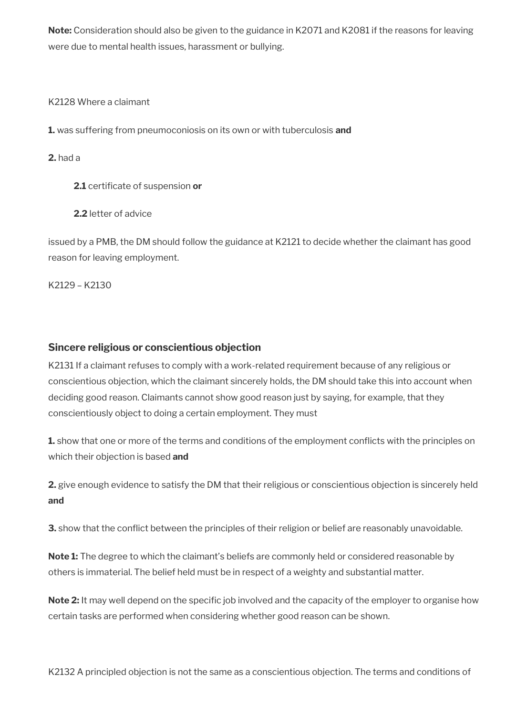**Note:** Consideration should also be given to the guidance in K2071 and K2081 if the reasons for leaving were due to mental health issues, harassment or bullying.

K2128 Where a claimant

**1.** was suffering from pneumoconiosis on its own or with tuberculosis **and** 

**2.** had a

**2.1** certificate of suspension **or** 

**2.2** letter of advice

issued by a PMB, the DM should follow the guidance at K2121 to decide whether the claimant has good reason for leaving employment.

K2129 – K2130

## **Sincere religious or conscientious objection**

K2131 If a claimant refuses to comply with a work-related requirement because of any religious or conscientious objection, which the claimant sincerely holds, the DM should take this into account when deciding good reason. Claimants cannot show good reason just by saying, for example, that they conscientiously object to doing a certain employment. They must

**1.** show that one or more of the terms and conditions of the employment conflicts with the principles on which their objection is based **and**

**2.** give enough evidence to satisfy the DM that their religious or conscientious objection is sincerely held **and**

**3.** show that the conflict between the principles of their religion or belief are reasonably unavoidable.

**Note 1:** The degree to which the claimant's beliefs are commonly held or considered reasonable by others is immaterial. The belief held must be in respect of a weighty and substantial matter.

**Note 2:** It may well depend on the specific job involved and the capacity of the employer to organise how certain tasks are performed when considering whether good reason can be shown.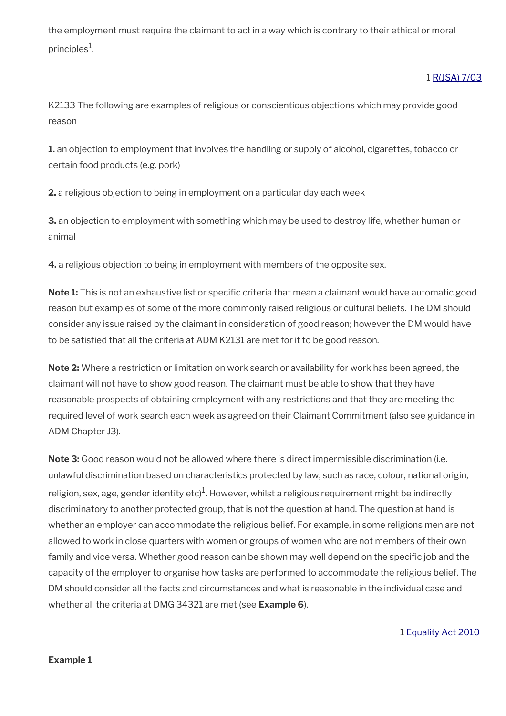the employment must require the claimant to act in a way which is contrary to their ethical or moral principles $^1$ .

## 1 [R\(JSA\) 7/03](https://intranet.dwp.gov.uk/manual/decision-benefit/rjsa-7-03)

K2133 The following are examples of religious or conscientious objections which may provide good reason

**1.** an objection to employment that involves the handling or supply of alcohol, cigarettes, tobacco or certain food products (e.g. pork)

**2.** a religious objection to being in employment on a particular day each week

**3.** an objection to employment with something which may be used to destroy life, whether human or animal

**4.** a religious objection to being in employment with members of the opposite sex.

**Note 1:** This is not an exhaustive list or specific criteria that mean a claimant would have automatic good reason but examples of some of the more commonly raised religious or cultural beliefs. The DM should consider any issue raised by the claimant in consideration of good reason; however the DM would have to be satisfied that all the criteria at ADM K2131 are met for it to be good reason.

**Note 2:** Where a restriction or limitation on work search or availability for work has been agreed, the claimant will not have to show good reason. The claimant must be able to show that they have reasonable prospects of obtaining employment with any restrictions and that they are meeting the required level of work search each week as agreed on their Claimant Commitment (also see guidance in ADM Chapter J3).

**Note 3:** Good reason would not be allowed where there is direct impermissible discrimination (i.e. unlawful discrimination based on characteristics protected by law, such as race, colour, national origin, religion, sex, age, gender identity etc) $^1$ . However, whilst a religious requirement might be indirectly discriminatory to another protected group, that is not the question at hand. The question at hand is whether an employer can accommodate the religious belief. For example, in some religions men are not allowed to work in close quarters with women or groups of women who are not members of their own family and vice versa. Whether good reason can be shown may well depend on the specific job and the capacity of the employer to organise how tasks are performed to accommodate the religious belief. The DM should consider all the facts and circumstances and what is reasonable in the individual case and whether all the criteria at DMG 34321 are met (see **Example 6**).

1 [Equality Act 2010](https://www.legislation.gov.uk/ukpga/2010/15/contents)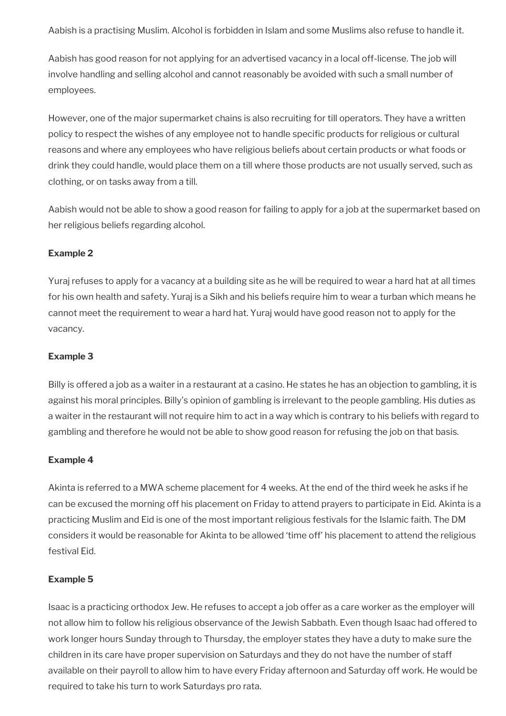Aabish is a practising Muslim. Alcohol is forbidden in Islam and some Muslims also refuse to handle it.

Aabish has good reason for not applying for an advertised vacancy in a local off-license. The job will involve handling and selling alcohol and cannot reasonably be avoided with such a small number of employees.

However, one of the major supermarket chains is also recruiting for till operators. They have a written policy to respect the wishes of any employee not to handle specific products for religious or cultural reasons and where any employees who have religious beliefs about certain products or what foods or drink they could handle, would place them on a till where those products are not usually served, such as clothing, or on tasks away from a till.

Aabish would not be able to show a good reason for failing to apply for a job at the supermarket based on her religious beliefs regarding alcohol.

#### **Example 2**

Yuraj refuses to apply for a vacancy at a building site as he will be required to wear a hard hat at all times for his own health and safety. Yuraj is a Sikh and his beliefs require him to wear a turban which means he cannot meet the requirement to wear a hard hat. Yuraj would have good reason not to apply for the vacancy.

#### **Example 3**

Billy is offered a job as a waiter in a restaurant at a casino. He states he has an objection to gambling, it is against his moral principles. Billy's opinion of gambling is irrelevant to the people gambling. His duties as a waiter in the restaurant will not require him to act in a way which is contrary to his beliefs with regard to gambling and therefore he would not be able to show good reason for refusing the job on that basis.

#### **Example 4**

Akinta is referred to a MWA scheme placement for 4 weeks. At the end of the third week he asks if he can be excused the morning off his placement on Friday to attend prayers to participate in Eid. Akinta is a practicing Muslim and Eid is one of the most important religious festivals for the Islamic faith. The DM considers it would be reasonable for Akinta to be allowed 'time off' his placement to attend the religious festival Eid.

#### **Example 5**

Isaac is a practicing orthodox Jew. He refuses to accept a job offer as a care worker as the employer will not allow him to follow his religious observance of the Jewish Sabbath. Even though Isaac had offered to work longer hours Sunday through to Thursday, the employer states they have a duty to make sure the children in its care have proper supervision on Saturdays and they do not have the number of staff available on their payroll to allow him to have every Friday afternoon and Saturday off work. He would be required to take his turn to work Saturdays pro rata.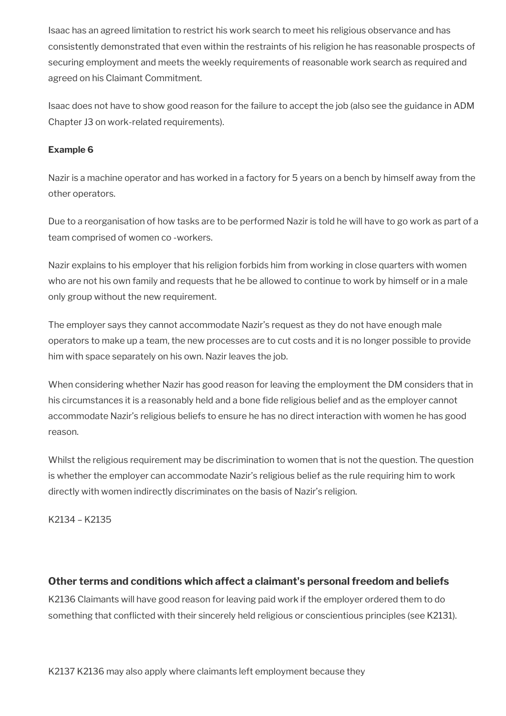Isaac has an agreed limitation to restrict his work search to meet his religious observance and has consistently demonstrated that even within the restraints of his religion he has reasonable prospects of securing employment and meets the weekly requirements of reasonable work search as required and agreed on his Claimant Commitment.

Isaac does not have to show good reason for the failure to accept the job (also see the guidance in ADM Chapter J3 on work-related requirements).

## **Example 6**

Nazir is a machine operator and has worked in a factory for 5 years on a bench by himself away from the other operators.

Due to a reorganisation of how tasks are to be performed Nazir is told he will have to go work as part of a team comprised of women co -workers.

Nazir explains to his employer that his religion forbids him from working in close quarters with women who are not his own family and requests that he be allowed to continue to work by himself or in a male only group without the new requirement.

The employer says they cannot accommodate Nazir's request as they do not have enough male operators to make up a team, the new processes are to cut costs and it is no longer possible to provide him with space separately on his own. Nazir leaves the job.

When considering whether Nazir has good reason for leaving the employment the DM considers that in his circumstances it is a reasonably held and a bone fide religious belief and as the employer cannot accommodate Nazir's religious beliefs to ensure he has no direct interaction with women he has good reason.

Whilst the religious requirement may be discrimination to women that is not the question. The question is whether the employer can accommodate Nazir's religious belief as the rule requiring him to work directly with women indirectly discriminates on the basis of Nazir's religion.

K2134 – K2135

## **Other terms and conditions which affect a claimant's personal freedom and beliefs**

K2136 Claimants will have good reason for leaving paid work if the employer ordered them to do something that conflicted with their sincerely held religious or conscientious principles (see K2131).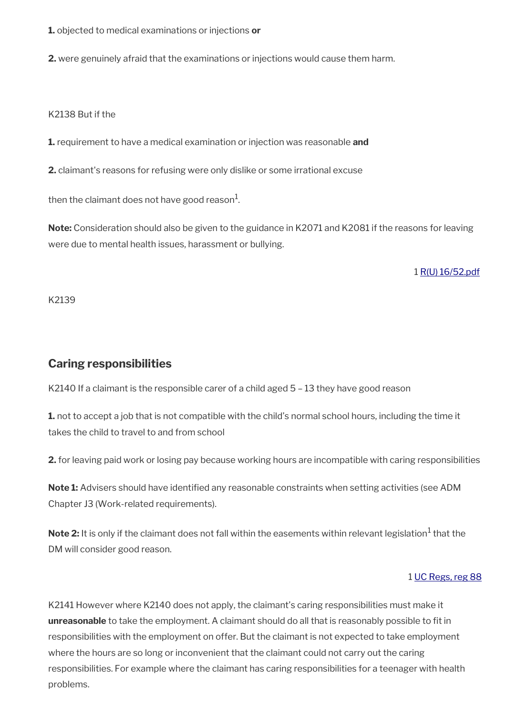**1.** objected to medical examinations or injections **or** 

**2.** were genuinely afraid that the examinations or injections would cause them harm.

#### K2138 But if the

**1.** requirement to have a medical examination or injection was reasonable **and** 

**2.** claimant's reasons for refusing were only dislike or some irrational excuse

then the claimant does not have good reason $^1\!\!$ 

**Note:** Consideration should also be given to the guidance in K2071 and K2081 if the reasons for leaving were due to mental health issues, harassment or bullying.

#### 1 [R\(U\) 16/52.pdf](../file/954208/download/R%2528U%2529%252016%252F52.pdf)

K2139

# <span id="page-59-0"></span>**Caring responsibilities**

K2140 If a claimant is the responsible carer of a child aged  $5 - 13$  they have good reason

**1.** not to accept a job that is not compatible with the child's normal school hours, including the time it takes the child to travel to and from school

**2.** for leaving paid work or losing pay because working hours are incompatible with caring responsibilities

**Note 1:** Advisers should have identified any reasonable constraints when setting activities (see ADM Chapter J3 (Work-related requirements).

 $\mathsf{Note} \, 2\mathpunct{:}$  It is only if the claimant does not fall within the easements within relevant legislation $^1$  that the DM will consider good reason.

## 1 [UC Regs, reg 88](https://www.legislation.gov.uk/uksi/2013/376/regulation/88)

K2141 However where K2140 does not apply, the claimant's caring responsibilities must make it **unreasonable** to take the employment. A claimant should do all that is reasonably possible to fit in responsibilities with the employment on offer. But the claimant is not expected to take employment where the hours are so long or inconvenient that the claimant could not carry out the caring responsibilities. For example where the claimant has caring responsibilities for a teenager with health problems.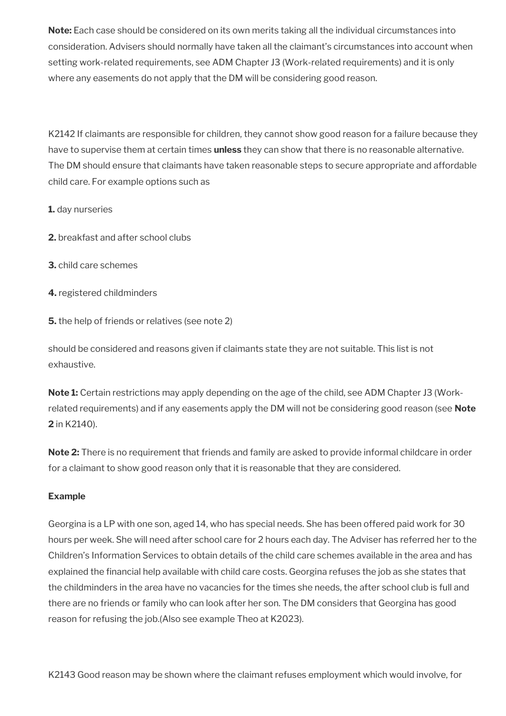**Note:** Each case should be considered on its own merits taking all the individual circumstances into consideration. Advisers should normally have taken all the claimant's circumstances into account when setting work-related requirements, see ADM Chapter J3 (Work-related requirements) and it is only where any easements do not apply that the DM will be considering good reason.

K2142 If claimants are responsible for children, they cannot show good reason for a failure because they have to supervise them at certain times **unless** they can show that there is no reasonable alternative. The DM should ensure that claimants have taken reasonable steps to secure appropriate and affordable child care. For example options such as

**1.** day nurseries

- **2.** breakfast and after school clubs
- **3.** child care schemes
- **4.** registered childminders

**5.** the help of friends or relatives (see note 2)

should be considered and reasons given if claimants state they are not suitable. This list is not exhaustive.

**Note 1:** Certain restrictions may apply depending on the age of the child, see ADM Chapter J3 (Workrelated requirements) and if any easements apply the DM will not be considering good reason (see **Note 2** in K2140).

**Note 2:** There is no requirement that friends and family are asked to provide informal childcare in order for a claimant to show good reason only that it is reasonable that they are considered.

## **Example**

Georgina is a LP with one son, aged 14, who has special needs. She has been offered paid work for 30 hours per week. She will need after school care for 2 hours each day. The Adviser has referred her to the Children's Information Services to obtain details of the child care schemes available in the area and has explained the financial help available with child care costs. Georgina refuses the job as she states that the childminders in the area have no vacancies for the times she needs, the after school club is full and there are no friends or family who can look after her son. The DM considers that Georgina has good reason for refusing the job.(Also see example Theo at K2023).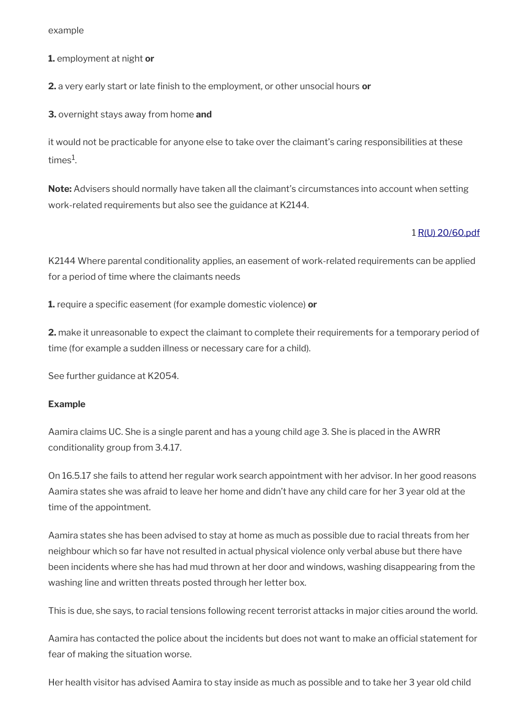example

**1.** employment at night **or** 

**2.** a very early start or late finish to the employment, or other unsocial hours **or** 

**3.** overnight stays away from home **and**

it would not be practicable for anyone else to take over the claimant's caring responsibilities at these times $^{\rm 1}$ .

**Note:** Advisers should normally have taken all the claimant's circumstances into account when setting work-related requirements but also see the guidance at K2144.

#### 1 [R\(U\) 20/60.pdf](../file/954209/download/R%2528U%2529%252020%252F60.pdf)

K2144 Where parental conditionality applies, an easement of work-related requirements can be applied for a period of time where the claimants needs

**1.** require a specific easement (for example domestic violence) **or**

**2.** make it unreasonable to expect the claimant to complete their requirements for a temporary period of time (for example a sudden illness or necessary care for a child).

See further guidance at K2054.

#### **Example**

Aamira claims UC. She is a single parent and has a young child age 3. She is placed in the AWRR conditionality group from 3.4.17.

On 16.5.17 she fails to attend her regular work search appointment with her advisor. In her good reasons Aamira states she was afraid to leave her home and didn't have any child care for her 3 year old at the time of the appointment.

Aamira states she has been advised to stay at home as much as possible due to racial threats from her neighbour which so far have not resulted in actual physical violence only verbal abuse but there have been incidents where she has had mud thrown at her door and windows, washing disappearing from the washing line and written threats posted through her letter box.

This is due, she says, to racial tensions following recent terrorist attacks in major cities around the world.

Aamira has contacted the police about the incidents but does not want to make an official statement for fear of making the situation worse.

Her health visitor has advised Aamira to stay inside as much as possible and to take her 3 year old child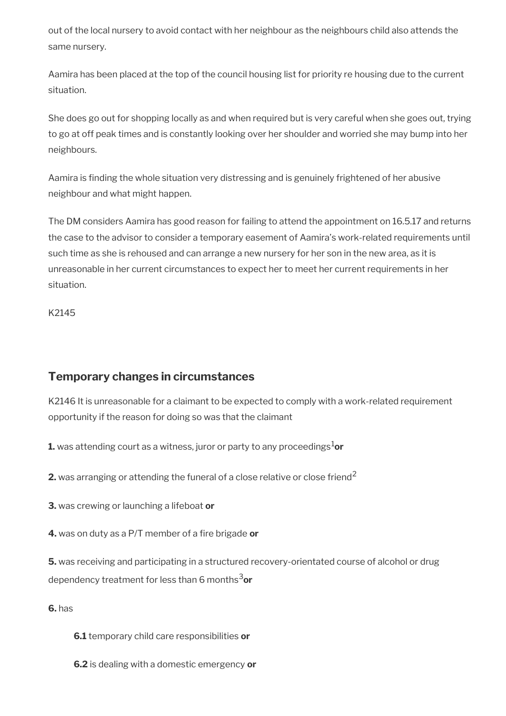out of the local nursery to avoid contact with her neighbour as the neighbours child also attends the same nursery.

Aamira has been placed at the top of the council housing list for priority re housing due to the current situation.

She does go out for shopping locally as and when required but is very careful when she goes out, trying to go at off peak times and is constantly looking over her shoulder and worried she may bump into her neighbours.

Aamira is finding the whole situation very distressing and is genuinely frightened of her abusive neighbour and what might happen.

The DM considers Aamira has good reason for failing to attend the appointment on 16.5.17 and returns the case to the advisor to consider a temporary easement of Aamira's work-related requirements until such time as she is rehoused and can arrange a new nursery for her son in the new area, as it is unreasonable in her current circumstances to expect her to meet her current requirements in her situation.

K2145

# <span id="page-62-0"></span>**Temporary changes in circumstances**

K2146 It is unreasonable for a claimant to be expected to comply with a work-related requirement opportunity if the reason for doing so was that the claimant

**1.** was attending court as a witness, juror or party to any proceedings ${}^{1}$ or

**2.** was arranging or attending the funeral of a close relative or close friend<sup>2</sup>

**3.** was crewing or launching a lifeboat **or** 

**4.** was on duty as a P/T member of a fire brigade **or**

**5.** was receiving and participating in a structured recovery-orientated course of alcohol or drug dependency treatment for less than 6 months3**or**

**6.** has

- **6.1** temporary child care responsibilities **or**
- **6.2** is dealing with a domestic emergency **or**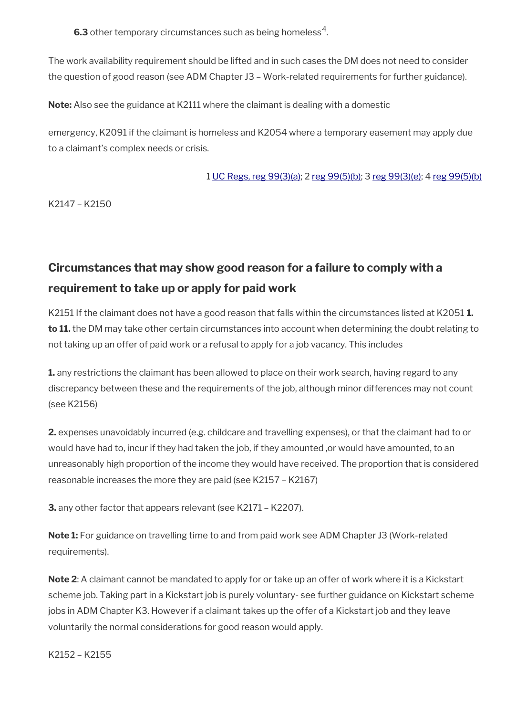**6.3** other temporary circumstances such as being homeless $^4$ .

The work availability requirement should be lifted and in such cases the DM does not need to consider the question of good reason (see ADM Chapter J3 – Work-related requirements for further guidance).

**Note:** Also see the guidance at K2111 where the claimant is dealing with a domestic

emergency, K2091 if the claimant is homeless and K2054 where a temporary easement may apply due to a claimant's complex needs or crisis.

## 1 [UC Regs, reg 99\(3\)\(a\);](https://www.legislation.gov.uk/uksi/2013/376/regulation/99) 2 [reg 99\(5\)\(b\);](https://www.legislation.gov.uk/uksi/2013/376/regulation/99) 3 [reg 99\(3\)\(e\);](https://www.legislation.gov.uk/uksi/2013/376/regulation/99) 4 [reg 99\(5\)\(b\)](https://www.legislation.gov.uk/uksi/2013/376/regulation/99)

K2147 – K2150

# <span id="page-63-0"></span>**Circumstances that may show good reason for a failure to comply with a requirement to take up or apply for paid work**

K2151 If the claimant does not have a good reason that falls within the circumstances listed at K2051 **1. to 11.** the DM may take other certain circumstances into account when determining the doubt relating to not taking up an offer of paid work or a refusal to apply for a job vacancy. This includes

**1.** any restrictions the claimant has been allowed to place on their work search, having regard to any discrepancy between these and the requirements of the job, although minor differences may not count (see K2156)

**2.** expenses unavoidably incurred (e.g. childcare and travelling expenses), or that the claimant had to or would have had to, incur if they had taken the job, if they amounted, or would have amounted, to an unreasonably high proportion of the income they would have received. The proportion that is considered reasonable increases the more they are paid (see K2157 – K2167)

**3.** any other factor that appears relevant (see K2171 – K2207).

**Note 1:** For guidance on travelling time to and from paid work see ADM Chapter J3 (Work-related requirements).

**Note 2**: A claimant cannot be mandated to apply for or take up an offer of work where it is a Kickstart scheme job. Taking part in a Kickstart job is purely voluntary- see further guidance on Kickstart scheme jobs in ADM Chapter K3. However if a claimant takes up the offer of a Kickstart job and they leave voluntarily the normal considerations for good reason would apply.

K2152 – K2155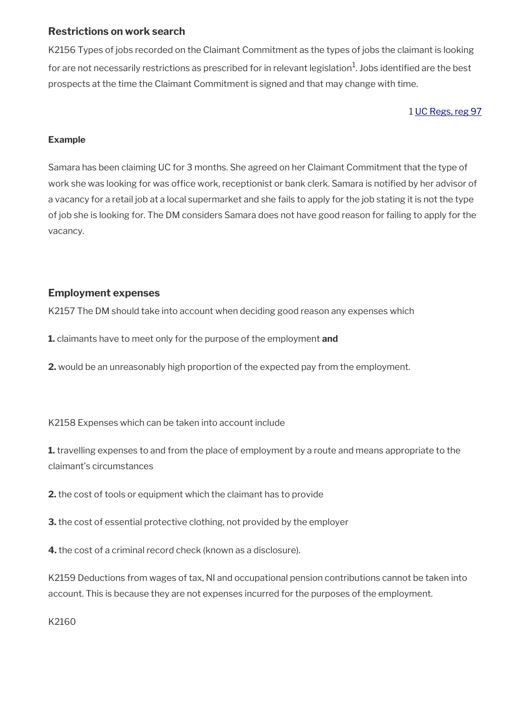## **Restrictions on work search**

K2156 Types of jobs recorded on the Claimant Commitment as the types of jobs the claimant is looking for are not necessarily restrictions as prescribed for in relevant legislation $^1$ . Jobs identified are the best prospects at the time the Claimant Commitment is signed and that may change with time.

#### 1 [UC Regs, reg 97](https://www.legislation.gov.uk/uksi/2013/376/regulation/97)

#### **Example**

Samara has been claiming UC for 3 months. She agreed on her Claimant Commitment that the type of work she was looking for was office work, receptionist or bank clerk. Samara is notified by her advisor of a vacancy for a retail job at a local supermarket and she fails to apply for the job stating it is not the type of job she is looking for. The DM considers Samara does not have good reason for failing to apply for the vacancy.

## **Employment expenses**

K2157 The DM should take into account when deciding good reason any expenses which

- **1.** claimants have to meet only for the purpose of the employment **and**
- **2.** would be an unreasonably high proportion of the expected pay from the employment.

K2158 Expenses which can be taken into account include

**1.** travelling expenses to and from the place of employment by a route and means appropriate to the claimant's circumstances

**2.** the cost of tools or equipment which the claimant has to provide

**3.** the cost of essential protective clothing, not provided by the employer

**4.** the cost of a criminal record check (known as a disclosure).

K2159 Deductions from wages of tax, NI and occupational pension contributions cannot be taken into account. This is because they are not expenses incurred for the purposes of the employment.

K2160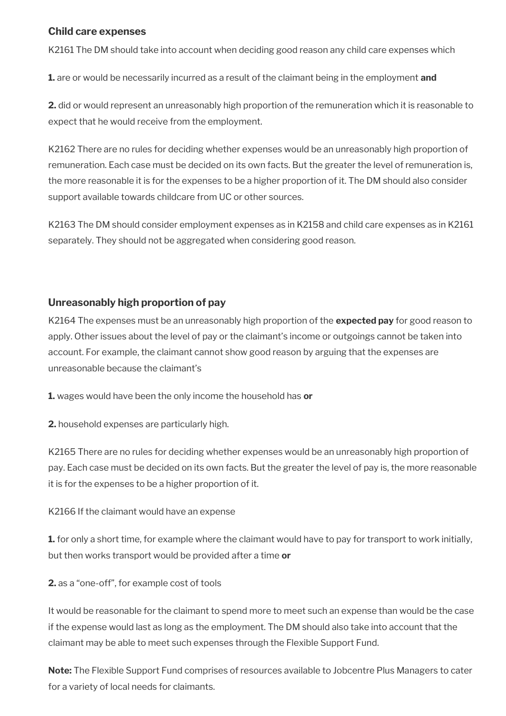## **Child care expenses**

K2161 The DM should take into account when deciding good reason any child care expenses which

**1.** are or would be necessarily incurred as a result of the claimant being in the employment **and**

**2.** did or would represent an unreasonably high proportion of the remuneration which it is reasonable to expect that he would receive from the employment.

K2162 There are no rules for deciding whether expenses would be an unreasonably high proportion of remuneration. Each case must be decided on its own facts. But the greater the level of remuneration is, the more reasonable it is for the expenses to be a higher proportion of it. The DM should also consider support available towards childcare from UC or other sources.

K2163 The DM should consider employment expenses as in K2158 and child care expenses as in K2161 separately. They should not be aggregated when considering good reason.

## **Unreasonably high proportion of pay**

K2164 The expenses must be an unreasonably high proportion of the **expected pay** for good reason to apply. Other issues about the level of pay or the claimant's income or outgoings cannot be taken into account. For example, the claimant cannot show good reason by arguing that the expenses are unreasonable because the claimant's

**1.** wages would have been the only income the household has **or**

**2.** household expenses are particularly high.

K2165 There are no rules for deciding whether expenses would be an unreasonably high proportion of pay. Each case must be decided on its own facts. But the greater the level of pay is, the more reasonable it is for the expenses to be a higher proportion of it.

K2166 If the claimant would have an expense

**1.** for only a short time, for example where the claimant would have to pay for transport to work initially, but then works transport would be provided after a time **or**

**2.** as a "one-off", for example cost of tools

It would be reasonable for the claimant to spend more to meet such an expense than would be the case if the expense would last as long as the employment. The DM should also take into account that the claimant may be able to meet such expenses through the Flexible Support Fund.

**Note:** The Flexible Support Fund comprises of resources available to Jobcentre Plus Managers to cater for a variety of local needs for claimants.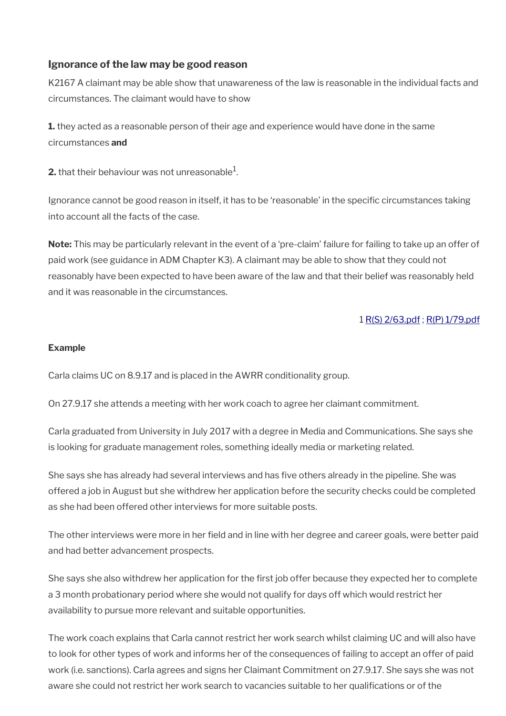## **Ignorance of the law may be good reason**

K2167 A claimant may be able show that unawareness of the law is reasonable in the individual facts and circumstances. The claimant would have to show

**1.** they acted as a reasonable person of their age and experience would have done in the same circumstances **and** 

**2.** that their behaviour was not unreasonable $^1$ .

Ignorance cannot be good reason in itself, it has to be 'reasonable' in the specific circumstances taking into account all the facts of the case.

**Note:** This may be particularly relevant in the event of a 'pre-claim' failure for failing to take up an offer of paid work (see guidance in ADM Chapter K3). A claimant may be able to show that they could not reasonably have been expected to have been aware of the law and that their belief was reasonably held and it was reasonable in the circumstances.

## 1 [R\(S\) 2/63.pdf](../file/954210/download/R%2528S%2529%25202%252F63.pdf) ; [R\(P\) 1/79.pdf](../file/954211/download/R%2528P%2529%25201%252F79.pdf)

#### **Example**

Carla claims UC on 8.9.17 and is placed in the AWRR conditionality group.

On 27.9.17 she attends a meeting with her work coach to agree her claimant commitment.

Carla graduated from University in July 2017 with a degree in Media and Communications. She says she is looking for graduate management roles, something ideally media or marketing related.

She says she has already had several interviews and has five others already in the pipeline. She was offered a job in August but she withdrew her application before the security checks could be completed as she had been offered other interviews for more suitable posts.

The other interviews were more in her field and in line with her degree and career goals, were better paid and had better advancement prospects.

She says she also withdrew her application for the first job offer because they expected her to complete a 3 month probationary period where she would not qualify for days off which would restrict her availability to pursue more relevant and suitable opportunities.

The work coach explains that Carla cannot restrict her work search whilst claiming UC and will also have to look for other types of work and informs her of the consequences of failing to accept an offer of paid work (i.e. sanctions). Carla agrees and signs her Claimant Commitment on 27.9.17. She says she was not aware she could not restrict her work search to vacancies suitable to her qualifications or of the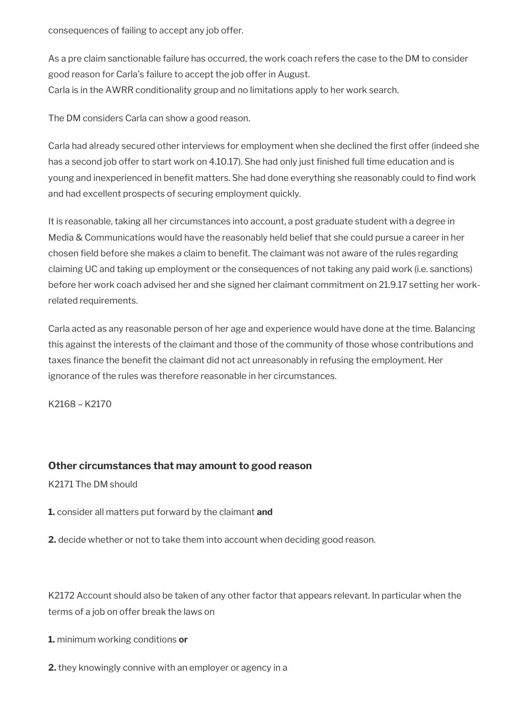consequences of failing to accept any job offer.

As a pre claim sanctionable failure has occurred, the work coach refers the case to the DM to consider good reason for Carla's failure to accept the job offer in August. Carla is in the AWRR conditionality group and no limitations apply to her work search.

The DM considers Carla can show a good reason.

Carla had already secured other interviews for employment when she declined the first offer (indeed she has a second job offer to start work on 4.10.17). She had only just finished full time education and is young and inexperienced in benefit matters. She had done everything she reasonably could to find work and had excellent prospects of securing employment quickly.

It is reasonable, taking all her circumstances into account, a post graduate student with a degree in Media & Communications would have the reasonably held belief that she could pursue a career in her chosen field before she makes a claim to benefit. The claimant was not aware of the rules regarding claiming UC and taking up employment or the consequences of not taking any paid work (i.e. sanctions) before her work coach advised her and she signed her claimant commitment on 21.9.17 setting her workrelated requirements.

Carla acted as any reasonable person of her age and experience would have done at the time. Balancing this against the interests of the claimant and those of the community of those whose contributions and taxes finance the benefit the claimant did not act unreasonably in refusing the employment. Her ignorance of the rules was therefore reasonable in her circumstances.

K2168 – K2170

## **Other circumstances that may amount to good reason**

K2171 The DM should

**1.** consider all matters put forward by the claimant **and** 

**2.** decide whether or not to take them into account when deciding good reason.

K2172 Account should also be taken of any other factor that appears relevant. In particular when the terms of a job on offer break the laws on

**1.** minimum working conditions **or**

**2.** they knowingly connive with an employer or agency in a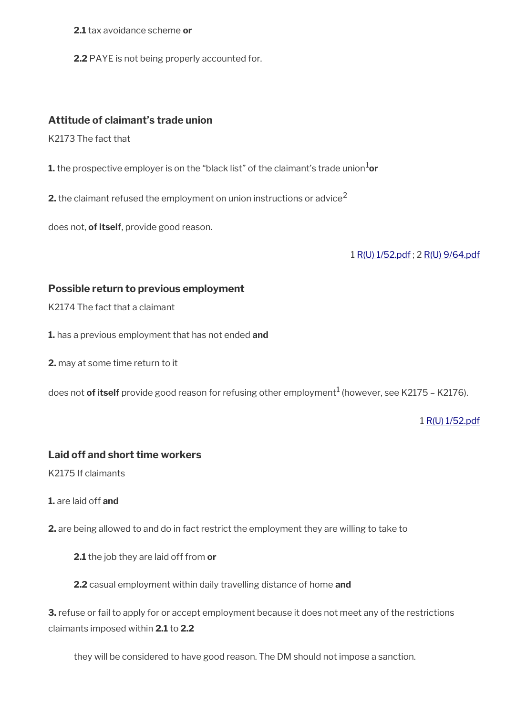**2.1** tax avoidance scheme **or**

**2.2** PAYE is not being properly accounted for.

## **Attitude of claimant's trade union**

K2173 The fact that

**1.** the prospective employer is on the "black list" of the claimant's trade union ${}^{1}$ or

**2.** the claimant refused the employment on union instructions or advice<sup>2</sup>

does not, **of itself**, provide good reason.

1 [R\(U\) 1/52.pdf](../file/954212/download/R%2528U%2529%25201%252F52.pdf) ; 2 [R\(U\) 9/64.pdf](../file/954214/download/R%2528U%2529%25209%252F64.pdf)

#### **Possible return to previous employment**

K2174 The fact that a claimant

**1.** has a previous employment that has not ended **and** 

**2.** may at some time return to it

does not **of itself** provide good reason for refusing other employment<sup>1</sup> (however, see K2175 – K2176).

1 [R\(U\) 1/52.pdf](../file/954213/download/R%2528U%2529%25201%252F52.pdf)

## **Laid off and short time workers**

K2175 If claimants

**1.** are laid off **and** 

**2.** are being allowed to and do in fact restrict the employment they are willing to take to

**2.1** the job they are laid off from **or** 

**2.2** casual employment within daily travelling distance of home **and** 

**3.** refuse or fail to apply for or accept employment because it does not meet any of the restrictions claimants imposed within **2.1** to **2.2**

they will be considered to have good reason. The DM should not impose a sanction.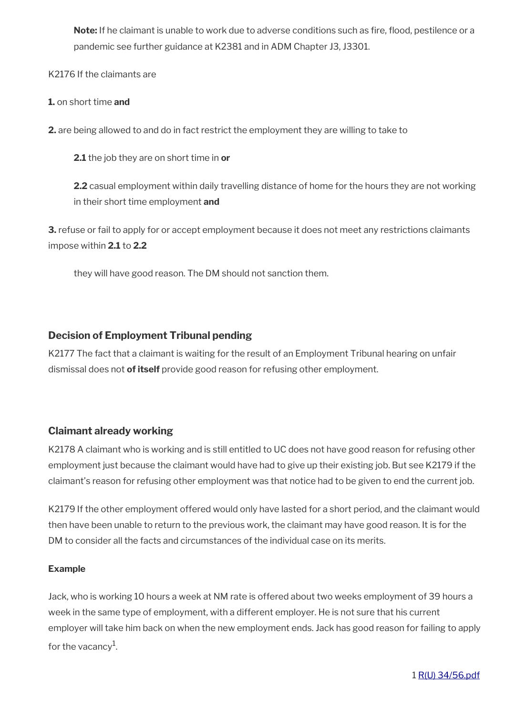**Note:** If he claimant is unable to work due to adverse conditions such as fire, flood, pestilence or a pandemic see further guidance at K2381 and in ADM Chapter J3, J3301.

K2176 If the claimants are

#### **1.** on short time **and**

**2.** are being allowed to and do in fact restrict the employment they are willing to take to

**2.1** the job they are on short time in **or** 

**2.2** casual employment within daily travelling distance of home for the hours they are not working in their short time employment **and**

**3.** refuse or fail to apply for or accept employment because it does not meet any restrictions claimants impose within **2.1** to **2.2**

they will have good reason. The DM should not sanction them.

## **Decision of Employment Tribunal pending**

K2177 The fact that a claimant is waiting for the result of an Employment Tribunal hearing on unfair dismissal does not **of itself** provide good reason for refusing other employment.

## **Claimant already working**

K2178 A claimant who is working and is still entitled to UC does not have good reason for refusing other employment just because the claimant would have had to give up their existing job. But see K2179 if the claimant's reason for refusing other employment was that notice had to be given to end the current job.

K2179 If the other employment offered would only have lasted for a short period, and the claimant would then have been unable to return to the previous work, the claimant may have good reason. It is for the DM to consider all the facts and circumstances of the individual case on its merits.

## **Example**

Jack, who is working 10 hours a week at NM rate is offered about two weeks employment of 39 hours a week in the same type of employment, with a different employer. He is not sure that his current employer will take him back on when the new employment ends. Jack has good reason for failing to apply for the vacancy<sup>1</sup>.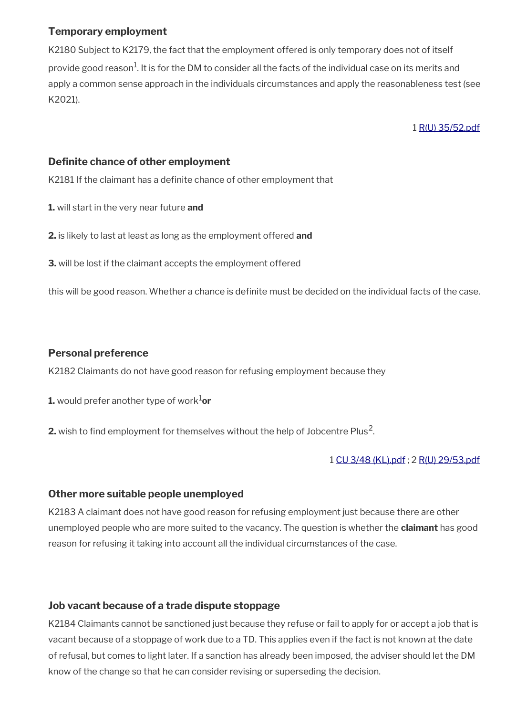## **Temporary employment**

K2180 Subject to K2179, the fact that the employment offered is only temporary does not of itself provide good reason $^1$ . It is for the DM to consider all the facts of the individual case on its merits and apply a common sense approach in the individuals circumstances and apply the reasonableness test (see K2021).

1 [R\(U\) 35/52.pdf](../file/954218/download/R%2528U%2529%252035%252F52.pdf)

# **Definite chance of other employment**

K2181 If the claimant has a definite chance of other employment that

**1.** will start in the very near future **and** 

- **2.** is likely to last at least as long as the employment offered **and**
- **3.** will be lost if the claimant accepts the employment offered

this will be good reason. Whether a chance is definite must be decided on the individual facts of the case.

## **Personal preference**

K2182 Claimants do not have good reason for refusing employment because they

- **1.** would prefer another type of work $1$ or
- **2.** wish to find employment for themselves without the help of Jobcentre Plus<sup>2</sup>.

## 1 [CU 3/48 \(KL\).pdf](../file/954302/download/CU%25203%252F48%2520%2528KL%2529.pdf) ; 2 [R\(U\) 29/53.pdf](../file/954300/download/R%2528U%2529%252029%252F53.pdf)

## **Other more suitable people unemployed**

K2183 A claimant does not have good reason for refusing employment just because there are other unemployed people who are more suited to the vacancy. The question is whether the **claimant** has good reason for refusing it taking into account all the individual circumstances of the case.

# **Job vacant because of a trade dispute stoppage**

K2184 Claimants cannot be sanctioned just because they refuse or fail to apply for or accept a job that is vacant because of a stoppage of work due to a TD. This applies even if the fact is not known at the date of refusal, but comes to light later. If a sanction has already been imposed, the adviser should let the DM know of the change so that he can consider revising or superseding the decision.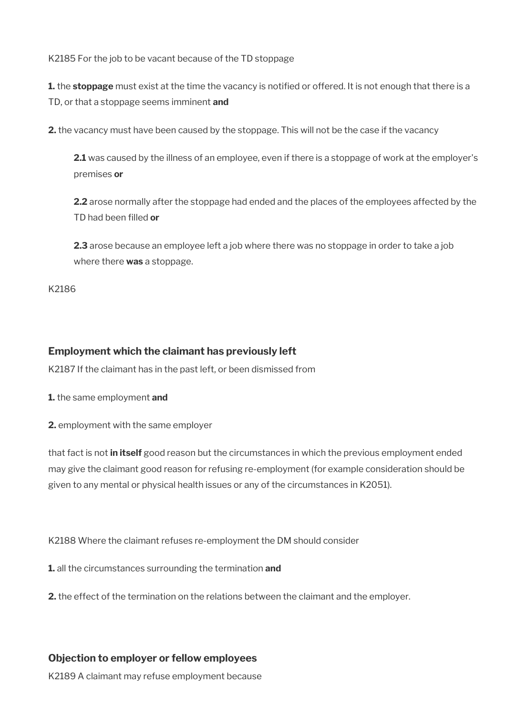K2185 For the job to be vacant because of the TD stoppage

**1.** the **stoppage** must exist at the time the vacancy is notified or offered. It is not enough that there is a TD, or that a stoppage seems imminent **and** 

**2.** the vacancy must have been caused by the stoppage. This will not be the case if the vacancy

**2.1** was caused by the illness of an employee, even if there is a stoppage of work at the employer's premises **or** 

**2.2** arose normally after the stoppage had ended and the places of the employees affected by the TD had been filled **or** 

**2.3** arose because an employee left a job where there was no stoppage in order to take a job where there **was** a stoppage.

K2186

## **Employment which the claimant has previously left**

K2187 If the claimant has in the past left, or been dismissed from

**1.** the same employment **and** 

**2.** employment with the same employer

that fact is not **in itself** good reason but the circumstances in which the previous employment ended may give the claimant good reason for refusing re-employment (for example consideration should be given to any mental or physical health issues or any of the circumstances in K2051).

K2188 Where the claimant refuses re-employment the DM should consider

**1.** all the circumstances surrounding the termination **and** 

**2.** the effect of the termination on the relations between the claimant and the employer.

## **Objection to employer or fellow employees**

K2189 A claimant may refuse employment because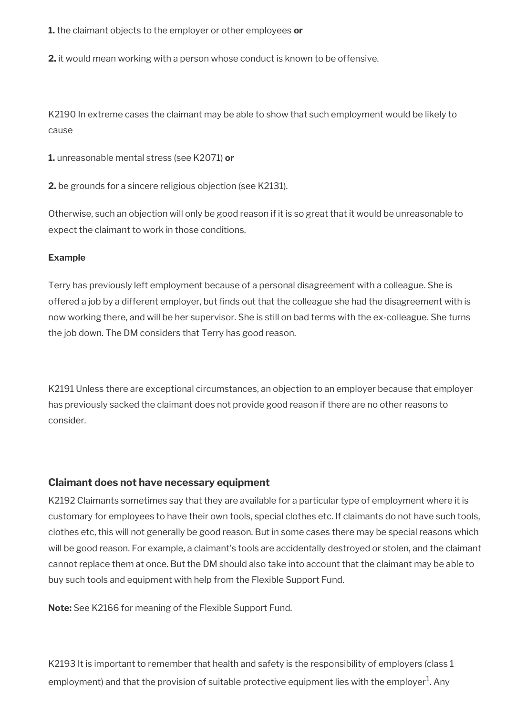**1.** the claimant objects to the employer or other employees **or** 

**2.** it would mean working with a person whose conduct is known to be offensive.

K2190 In extreme cases the claimant may be able to show that such employment would be likely to cause

**1.** unreasonable mental stress (see K2071) **or**

**2.** be grounds for a sincere religious objection (see K2131).

Otherwise, such an objection will only be good reason if it is so great that it would be unreasonable to expect the claimant to work in those conditions.

#### **Example**

Terry has previously left employment because of a personal disagreement with a colleague. She is offered a job by a different employer, but finds out that the colleague she had the disagreement with is now working there, and will be her supervisor. She is still on bad terms with the ex-colleague. She turns the job down. The DM considers that Terry has good reason.

K2191 Unless there are exceptional circumstances, an objection to an employer because that employer has previously sacked the claimant does not provide good reason if there are no other reasons to consider.

#### **Claimant does not have necessary equipment**

K2192 Claimants sometimes say that they are available for a particular type of employment where it is customary for employees to have their own tools, special clothes etc. If claimants do not have such tools, clothes etc, this will not generally be good reason. But in some cases there may be special reasons which will be good reason. For example, a claimant's tools are accidentally destroyed or stolen, and the claimant cannot replace them at once. But the DM should also take into account that the claimant may be able to buy such tools and equipment with help from the Flexible Support Fund.

**Note:** See K2166 for meaning of the Flexible Support Fund.

K2193 It is important to remember that health and safety is the responsibility of employers (class 1 employment) and that the provision of suitable protective equipment lies with the employer $^{\rm 1}$ . Any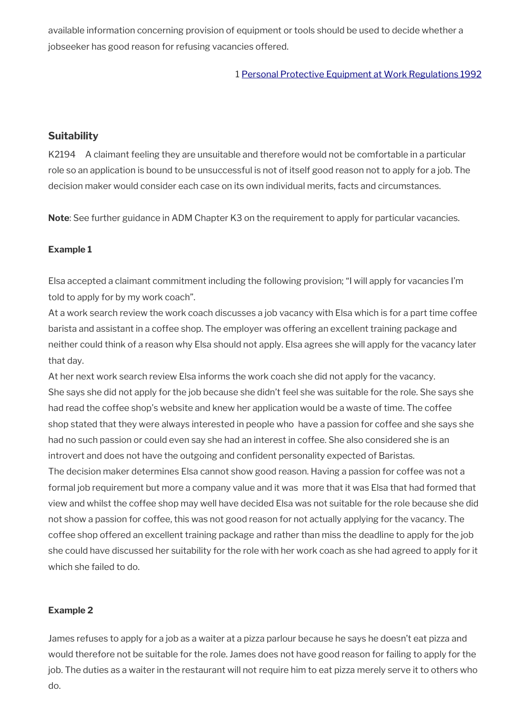available information concerning provision of equipment or tools should be used to decide whether a jobseeker has good reason for refusing vacancies offered.

1 [Personal Protective Equipment at Work Regulations 1992](https://www.legislation.gov.uk/uksi/1992/2966/contents/made)

## **Suitability**

K2194 A claimant feeling they are unsuitable and therefore would not be comfortable in a particular role so an application is bound to be unsuccessful is not of itself good reason not to apply for a job. The decision maker would consider each case on its own individual merits, facts and circumstances.

**Note**: See further guidance in ADM Chapter K3 on the requirement to apply for particular vacancies.

#### **Example 1**

Elsa accepted a claimant commitment including the following provision; "I will apply for vacancies I'm told to apply for by my work coach".

At a work search review the work coach discusses a job vacancy with Elsa which is for a part time coffee barista and assistant in a coffee shop. The employer was offering an excellent training package and neither could think of a reason why Elsa should not apply. Elsa agrees she will apply for the vacancy later that day.

At her next work search review Elsa informs the work coach she did not apply for the vacancy. She says she did not apply for the job because she didn't feel she was suitable for the role. She says she had read the coffee shop's website and knew her application would be a waste of time. The coffee shop stated that they were always interested in people who have a passion for coffee and she says she had no such passion or could even say she had an interest in coffee. She also considered she is an introvert and does not have the outgoing and confident personality expected of Baristas.

The decision maker determines Elsa cannot show good reason. Having a passion for coffee was not a formal job requirement but more a company value and it was more that it was Elsa that had formed that view and whilst the coffee shop may well have decided Elsa was not suitable for the role because she did not show a passion for coffee, this was not good reason for not actually applying for the vacancy. The coffee shop offered an excellent training package and rather than miss the deadline to apply for the job she could have discussed her suitability for the role with her work coach as she had agreed to apply for it which she failed to do.

## **Example 2**

James refuses to apply for a job as a waiter at a pizza parlour because he says he doesn't eat pizza and would therefore not be suitable for the role. James does not have good reason for failing to apply for the job. The duties as a waiter in the restaurant will not require him to eat pizza merely serve it to others who do.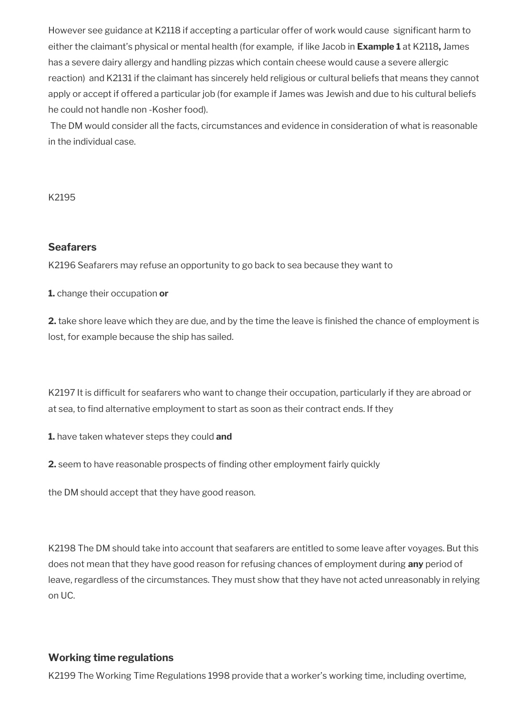However see guidance at K2118 if accepting a particular offer of work would cause significant harm to either the claimant's physical or mental health (for example, if like Jacob in **Example 1** at K2118**,** James has a severe dairy allergy and handling pizzas which contain cheese would cause a severe allergic reaction) and K2131 if the claimant has sincerely held religious or cultural beliefs that means they cannot apply or accept if offered a particular job (for example if James was Jewish and due to his cultural beliefs he could not handle non -Kosher food).

The DM would consider all the facts, circumstances and evidence in consideration of what is reasonable in the individual case.

#### K2195

#### **Seafarers**

K2196 Seafarers may refuse an opportunity to go back to sea because they want to

**1.** change their occupation **or** 

**2.** take shore leave which they are due, and by the time the leave is finished the chance of employment is lost, for example because the ship has sailed.

K2197 It is difficult for seafarers who want to change their occupation, particularly if they are abroad or at sea, to find alternative employment to start as soon as their contract ends. If they

**1.** have taken whatever steps they could **and** 

**2.** seem to have reasonable prospects of finding other employment fairly quickly

the DM should accept that they have good reason.

K2198 The DM should take into account that seafarers are entitled to some leave after voyages. But this does not mean that they have good reason for refusing chances of employment during **any** period of leave, regardless of the circumstances. They must show that they have not acted unreasonably in relying on UC.

## **Working time regulations**

K2199 The Working Time Regulations 1998 provide that a worker's working time, including overtime,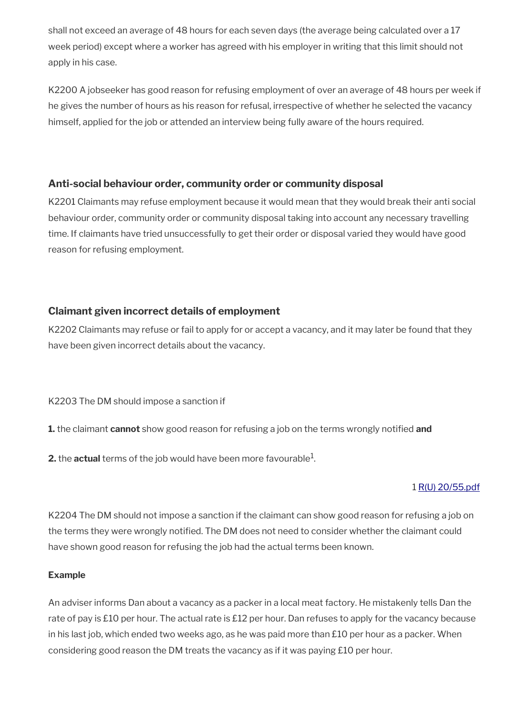shall not exceed an average of 48 hours for each seven days (the average being calculated over a 17 week period) except where a worker has agreed with his employer in writing that this limit should not apply in his case.

K2200 A jobseeker has good reason for refusing employment of over an average of 48 hours per week if he gives the number of hours as his reason for refusal, irrespective of whether he selected the vacancy himself, applied for the job or attended an interview being fully aware of the hours required.

## **Anti-social behaviour order, community order or community disposal**

K2201 Claimants may refuse employment because it would mean that they would break their anti social behaviour order, community order or community disposal taking into account any necessary travelling time. If claimants have tried unsuccessfully to get their order or disposal varied they would have good reason for refusing employment.

# **Claimant given incorrect details of employment**

K2202 Claimants may refuse or fail to apply for or accept a vacancy, and it may later be found that they have been given incorrect details about the vacancy.

K2203 The DM should impose a sanction if

**1.** the claimant **cannot** show good reason for refusing a job on the terms wrongly notified **and** 

 $\boldsymbol{2}.$  the  $\boldsymbol{\mathsf{actual}}$  terms of the job would have been more favourable $^1$ .

# 1 [R\(U\) 20/55.pdf](../file/954221/download/R%2528U%2529%252020%252F55.pdf)

K2204 The DM should not impose a sanction if the claimant can show good reason for refusing a job on the terms they were wrongly notified. The DM does not need to consider whether the claimant could have shown good reason for refusing the job had the actual terms been known.

## **Example**

An adviser informs Dan about a vacancy as a packer in a local meat factory. He mistakenly tells Dan the rate of pay is £10 per hour. The actual rate is £12 per hour. Dan refuses to apply for the vacancy because in his last job, which ended two weeks ago, as he was paid more than  $£10$  per hour as a packer. When considering good reason the DM treats the vacancy as if it was paying £10 per hour.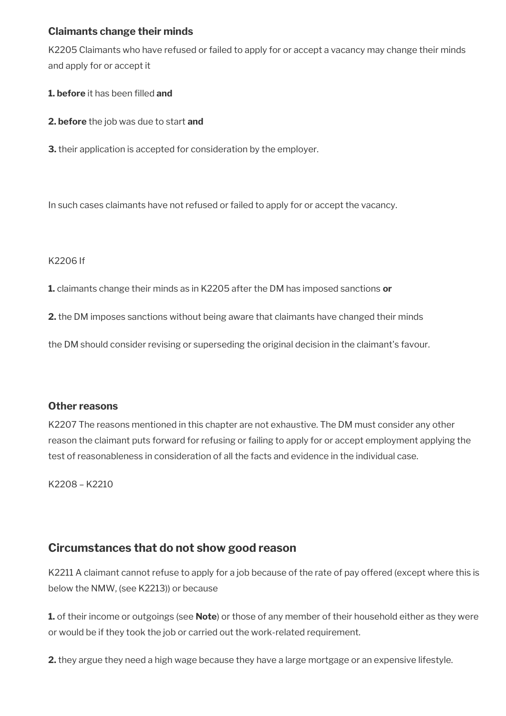# **Claimants change their minds**

K2205 Claimants who have refused or failed to apply for or accept a vacancy may change their minds and apply for or accept it

- **1. before** it has been filled **and**
- **2. before** the job was due to start **and**
- **3.** their application is accepted for consideration by the employer.

In such cases claimants have not refused or failed to apply for or accept the vacancy.

#### K2206 If

**1.** claimants change their minds as in K2205 after the DM has imposed sanctions **or** 

**2.** the DM imposes sanctions without being aware that claimants have changed their minds

the DM should consider revising or superseding the original decision in the claimant's favour.

## **Other reasons**

K2207 The reasons mentioned in this chapter are not exhaustive. The DM must consider any other reason the claimant puts forward for refusing or failing to apply for or accept employment applying the test of reasonableness in consideration of all the facts and evidence in the individual case.

K2208 – K2210

# **Circumstances that do not show good reason**

K2211 A claimant cannot refuse to apply for a job because of the rate of pay offered (except where this is below the NMW, (see K2213)) or because

**1.** of their income or outgoings (see **Note**) or those of any member of their household either as they were or would be if they took the job or carried out the work-related requirement.

**2.** they argue they need a high wage because they have a large mortgage or an expensive lifestyle.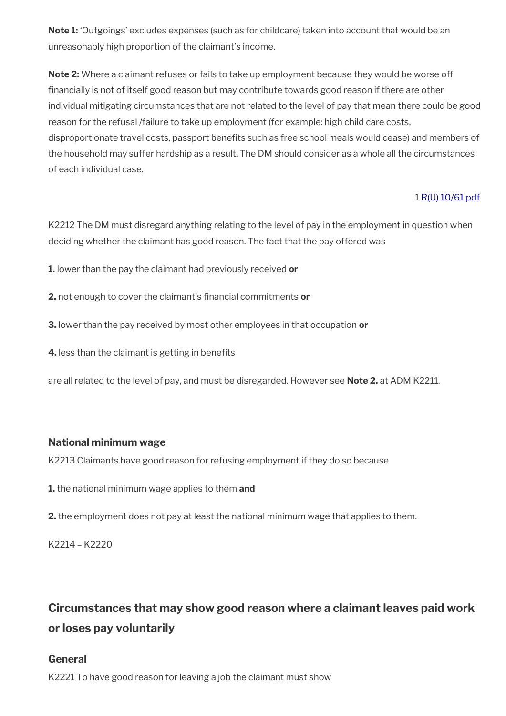**Note 1:** 'Outgoings' excludes expenses (such as for childcare) taken into account that would be an unreasonably high proportion of the claimant's income.

**Note 2:** Where a claimant refuses or fails to take up employment because they would be worse off financially is not of itself good reason but may contribute towards good reason if there are other individual mitigating circumstances that are not related to the level of pay that mean there could be good reason for the refusal /failure to take up employment (for example: high child care costs, disproportionate travel costs, passport benefits such as free school meals would cease) and members of the household may suffer hardship as a result. The DM should consider as a whole all the circumstances of each individual case.

#### 1 [R\(U\) 10/61.pdf](../file/954294/download/R%2528U%2529%252010%252F61.pdf)

K2212 The DM must disregard anything relating to the level of pay in the employment in question when deciding whether the claimant has good reason. The fact that the pay offered was

- **1.** lower than the pay the claimant had previously received **or**
- **2.** not enough to cover the claimant's financial commitments **or**
- **3.** lower than the pay received by most other employees in that occupation **or**
- **4.** less than the claimant is getting in benefits

are all related to the level of pay, and must be disregarded. However see **Note 2.** at ADM K2211.

## **National minimum wage**

K2213 Claimants have good reason for refusing employment if they do so because

- **1.** the national minimum wage applies to them **and**
- **2.** the employment does not pay at least the national minimum wage that applies to them.

K2214 – K2220

# **Circumstances that may show good reason where a claimant leaves paid work or loses pay voluntarily**

## **General**

K2221 To have good reason for leaving a job the claimant must show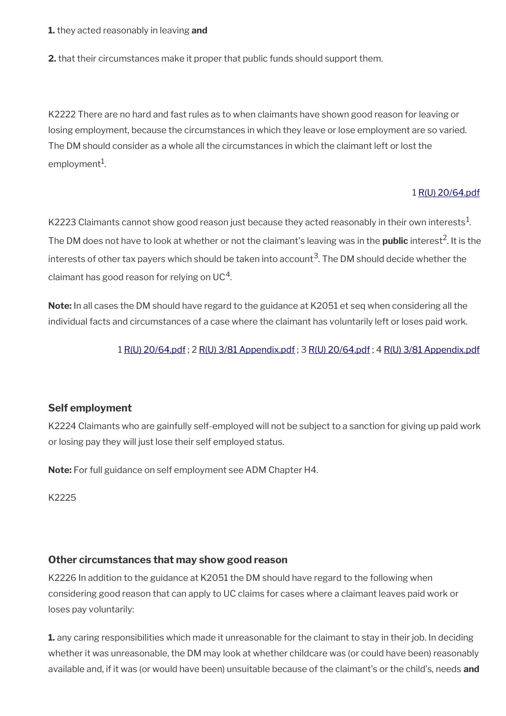**1.** they acted reasonably in leaving **and** 

**2.** that their circumstances make it proper that public funds should support them.

K2222 There are no hard and fast rules as to when claimants have shown good reason for leaving or losing employment, because the circumstances in which they leave or lose employment are so varied. The DM should consider as a whole all the circumstances in which the claimant left or lost the employment $^1$ .

#### 1 [R\(U\) 20/64.pdf](../file/954295/download/R%2528U%2529%252020%252F64.pdf)

K2223 Claimants cannot show good reason just because they acted reasonably in their own interests $^1\!$ . The DM does not have to look at whether or not the claimant's leaving was in the **public** interest<sup>2</sup>. It is the interests of other tax payers which should be taken into account $^3$ . The DM should decide whether the claimant has good reason for relying on UC $^4$ .

**Note:** In all cases the DM should have regard to the guidance at K2051 et seq when considering all the individual facts and circumstances of a case where the claimant has voluntarily left or loses paid work.

1 [R\(U\) 20/64.pdf](../file/954295/download/R%2528U%2529%252020%252F64.pdf) ; 2 [R\(U\) 3/81 Appendix.pdf](../file/954296/download/R%2528U%2529%25203%252F81%2520Appendix.pdf) ; 3 [R\(U\) 20/64.pdf](../file/954295/download/R%2528U%2529%252020%252F64.pdf) ; 4 [R\(U\) 3/81 Appendix.pdf](../file/954296/download/R%2528U%2529%25203%252F81%2520Appendix.pdf)

## **Self employment**

K2224 Claimants who are gainfully self-employed will not be subject to a sanction for giving up paid work or losing pay they will just lose their self employed status.

**Note:** For full guidance on self employment see ADM Chapter H4.

K2225

## **Other circumstances that may show good reason**

K2226 In addition to the guidance at K2051 the DM should have regard to the following when considering good reason that can apply to UC claims for cases where a claimant leaves paid work or loses pay voluntarily:

**1.** any caring responsibilities which made it unreasonable for the claimant to stay in their job. In deciding whether it was unreasonable, the DM may look at whether childcare was (or could have been) reasonably available and, if it was (or would have been) unsuitable because of the claimant's or the child's, needs **and**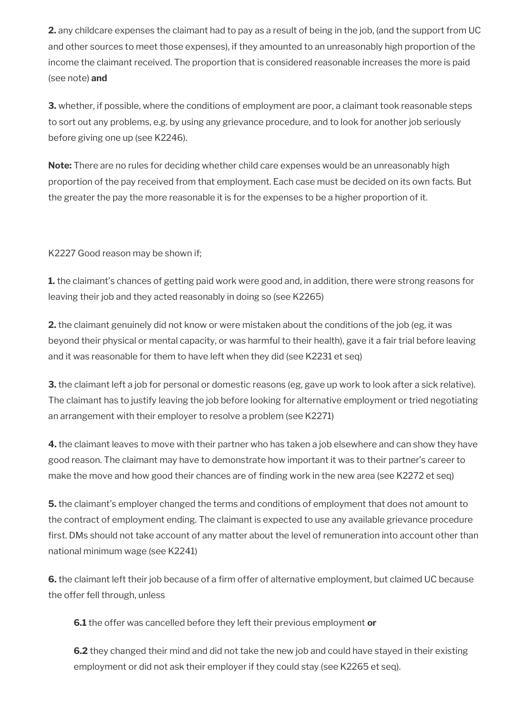**2.** any childcare expenses the claimant had to pay as a result of being in the job, (and the support from UC and other sources to meet those expenses), if they amounted to an unreasonably high proportion of the income the claimant received. The proportion that is considered reasonable increases the more is paid (see note) **and**

**3.** whether, if possible, where the conditions of employment are poor, a claimant took reasonable steps to sort out any problems, e.g. by using any grievance procedure, and to look for another job seriously before giving one up (see K2246).

**Note:** There are no rules for deciding whether child care expenses would be an unreasonably high proportion of the pay received from that employment. Each case must be decided on its own facts. But the greater the pay the more reasonable it is for the expenses to be a higher proportion of it.

K2227 Good reason may be shown if;

**1.** the claimant's chances of getting paid work were good and, in addition, there were strong reasons for leaving their job and they acted reasonably in doing so (see K2265)

**2.** the claimant genuinely did not know or were mistaken about the conditions of the job (eg, it was beyond their physical or mental capacity, or was harmful to their health), gave it a fair trial before leaving and it was reasonable for them to have left when they did (see K2231 et seq)

**3.** the claimant left a job for personal or domestic reasons (eg, gave up work to look after a sick relative). The claimant has to justify leaving the job before looking for alternative employment or tried negotiating an arrangement with their employer to resolve a problem (see K2271)

**4.** the claimant leaves to move with their partner who has taken a job elsewhere and can show they have good reason. The claimant may have to demonstrate how important it was to their partner's career to make the move and how good their chances are of finding work in the new area (see K2272 et seq)

**5.** the claimant's employer changed the terms and conditions of employment that does not amount to the contract of employment ending. The claimant is expected to use any available grievance procedure first. DMs should not take account of any matter about the level of remuneration into account other than national minimum wage (see K2241)

**6.** the claimant left their job because of a firm offer of alternative employment, but claimed UC because the offer fell through, unless

**6.1** the offer was cancelled before they left their previous employment **or**

**6.2** they changed their mind and did not take the new job and could have stayed in their existing employment or did not ask their employer if they could stay (see K2265 et seq).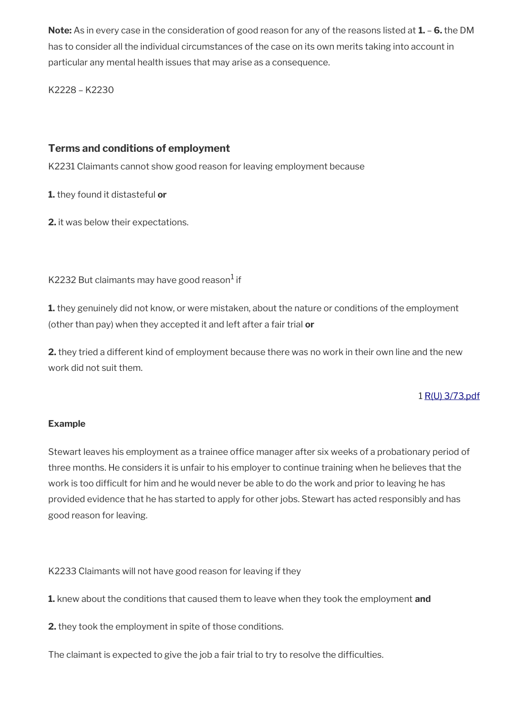**Note:** As in every case in the consideration of good reason for any of the reasons listed at **1.** – **6.** the DM has to consider all the individual circumstances of the case on its own merits taking into account in particular any mental health issues that may arise as a consequence.

K2228 – K2230

# **Terms and conditions of employment**

K2231 Claimants cannot show good reason for leaving employment because

**1.** they found it distasteful **or** 

**2.** it was below their expectations.

K2232 But claimants may have good reason $^1$  if

**1.** they genuinely did not know, or were mistaken, about the nature or conditions of the employment (other than pay) when they accepted it and left after a fair trial **or** 

**2.** they tried a different kind of employment because there was no work in their own line and the new work did not suit them.

# 1 [R\(U\) 3/73.pdf](../file/954292/download/R%2528U%2529%25203%252F73.pdf)

## **Example**

Stewart leaves his employment as a trainee office manager after six weeks of a probationary period of three months. He considers it is unfair to his employer to continue training when he believes that the work is too difficult for him and he would never be able to do the work and prior to leaving he has provided evidence that he has started to apply for other jobs. Stewart has acted responsibly and has good reason for leaving.

K2233 Claimants will not have good reason for leaving if they

**1.** knew about the conditions that caused them to leave when they took the employment **and** 

**2.** they took the employment in spite of those conditions.

The claimant is expected to give the job a fair trial to try to resolve the difficulties.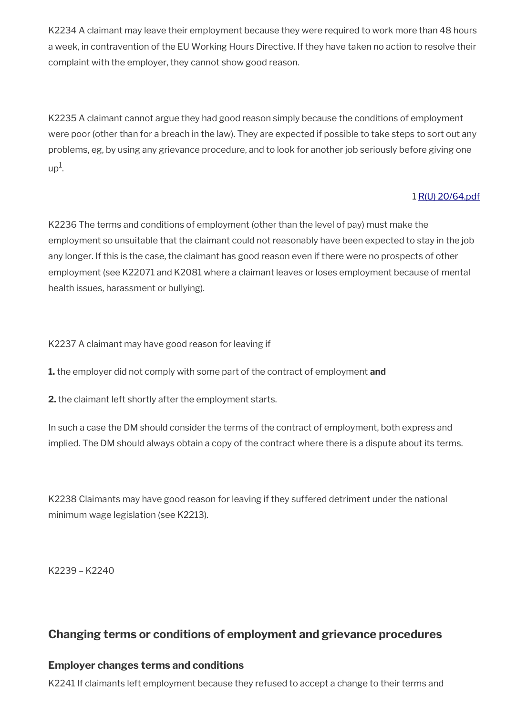K2234 A claimant may leave their employment because they were required to work more than 48 hours a week, in contravention of the EU Working Hours Directive. If they have taken no action to resolve their complaint with the employer, they cannot show good reason.

K2235 A claimant cannot argue they had good reason simply because the conditions of employment were poor (other than for a breach in the law). They are expected if possible to take steps to sort out any problems, eg, by using any grievance procedure, and to look for another job seriously before giving one  $up<sup>1</sup>$ .

# 1 [R\(U\) 20/64.pdf](../file/954291/download/R%2528U%2529%252020%252F64.pdf)

K2236 The terms and conditions of employment (other than the level of pay) must make the employment so unsuitable that the claimant could not reasonably have been expected to stay in the job any longer. If this is the case, the claimant has good reason even if there were no prospects of other employment (see K22071 and K2081 where a claimant leaves or loses employment because of mental health issues, harassment or bullying).

K2237 A claimant may have good reason for leaving if

**1.** the employer did not comply with some part of the contract of employment **and** 

**2.** the claimant left shortly after the employment starts.

In such a case the DM should consider the terms of the contract of employment, both express and implied. The DM should always obtain a copy of the contract where there is a dispute about its terms.

K2238 Claimants may have good reason for leaving if they suffered detriment under the national minimum wage legislation (see K2213).

K2239 – K2240

# **Changing terms or conditions of employment and grievance procedures**

# **Employer changes terms and conditions**

K2241 If claimants left employment because they refused to accept a change to their terms and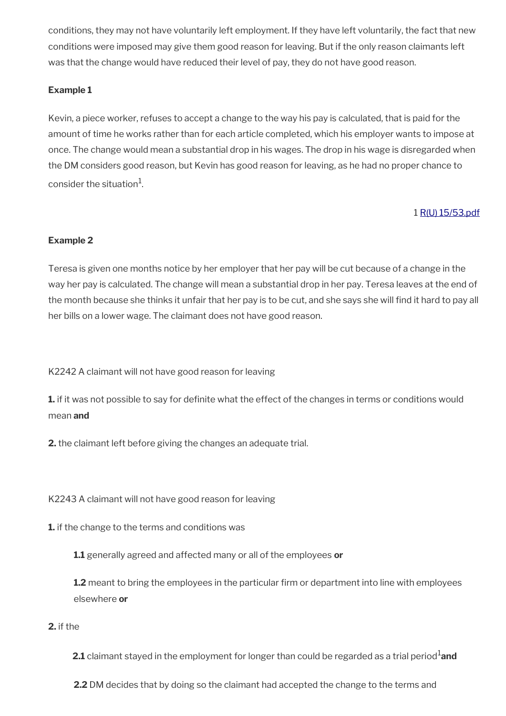conditions, they may not have voluntarily left employment. If they have left voluntarily, the fact that new conditions were imposed may give them good reason for leaving. But if the only reason claimants left was that the change would have reduced their level of pay, they do not have good reason.

## **Example 1**

Kevin, a piece worker, refuses to accept a change to the way his pay is calculated, that is paid for the amount of time he works rather than for each article completed, which his employer wants to impose at once. The change would mean a substantial drop in his wages. The drop in his wage is disregarded when the DM considers good reason, but Kevin has good reason for leaving, as he had no proper chance to consider the situation $^{\rm 1}$ .

## 1 [R\(U\) 15/53.pdf](../file/954290/download/R%2528U%2529%252015%252F53.pdf)

## **Example 2**

Teresa is given one months notice by her employer that her pay will be cut because of a change in the way her pay is calculated. The change will mean a substantial drop in her pay. Teresa leaves at the end of the month because she thinks it unfair that her pay is to be cut, and she says she will find it hard to pay all her bills on a lower wage. The claimant does not have good reason.

K2242 A claimant will not have good reason for leaving

**1.** if it was not possible to say for definite what the effect of the changes in terms or conditions would mean **and** 

**2.** the claimant left before giving the changes an adequate trial.

K2243 A claimant will not have good reason for leaving

**1.** if the change to the terms and conditions was

**1.1** generally agreed and affected many or all of the employees **or** 

**1.2** meant to bring the employees in the particular firm or department into line with employees elsewhere **or**

#### **2.** if the

**2.1** claimant stayed in the employment for longer than could be regarded as a trial period<sup>1</sup>and

**2.2** DM decides that by doing so the claimant had accepted the change to the terms and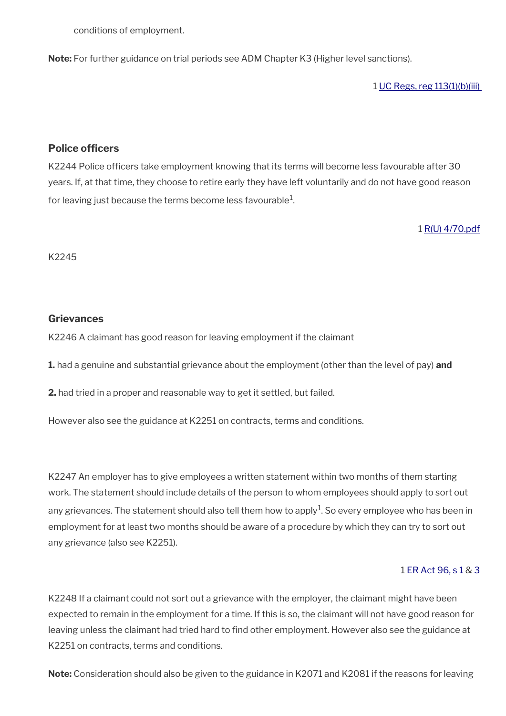conditions of employment.

**Note:** For further guidance on trial periods see ADM Chapter K3 (Higher level sanctions).

1 [UC Regs, reg 113\(1\)\(b\)\(iii\)](https://www.legislation.gov.uk/uksi/2013/376/regulation/113) 

#### **Police officers**

K2244 Police officers take employment knowing that its terms will become less favourable after 30 years. If, at that time, they choose to retire early they have left voluntarily and do not have good reason for leaving just because the terms become less favourable $^1\!\!$ 

1 [R\(U\) 4/70.pdf](../file/954288/download/R%2528U%2529%25204%252F70.pdf)

K2245

#### **Grievances**

K2246 A claimant has good reason for leaving employment if the claimant

**1.** had a genuine and substantial grievance about the employment (other than the level of pay) **and** 

**2.** had tried in a proper and reasonable way to get it settled, but failed.

However also see the guidance at K2251 on contracts, terms and conditions.

K2247 An employer has to give employees a written statement within two months of them starting work. The statement should include details of the person to whom employees should apply to sort out any grievances. The statement should also tell them how to apply $^1$ . So every employee who has been in employment for at least two months should be aware of a procedure by which they can try to sort out any grievance (also see K2251).

#### 1 [ER Act 96, s 1](https://www.legislation.gov.uk/ukpga/1996/18/section/1) & [3](https://www.legislation.gov.uk/ukpga/1996/18/section/3)

K2248 If a claimant could not sort out a grievance with the employer, the claimant might have been expected to remain in the employment for a time. If this is so, the claimant will not have good reason for leaving unless the claimant had tried hard to find other employment. However also see the guidance at K2251 on contracts, terms and conditions.

**Note:** Consideration should also be given to the guidance in K2071 and K2081 if the reasons for leaving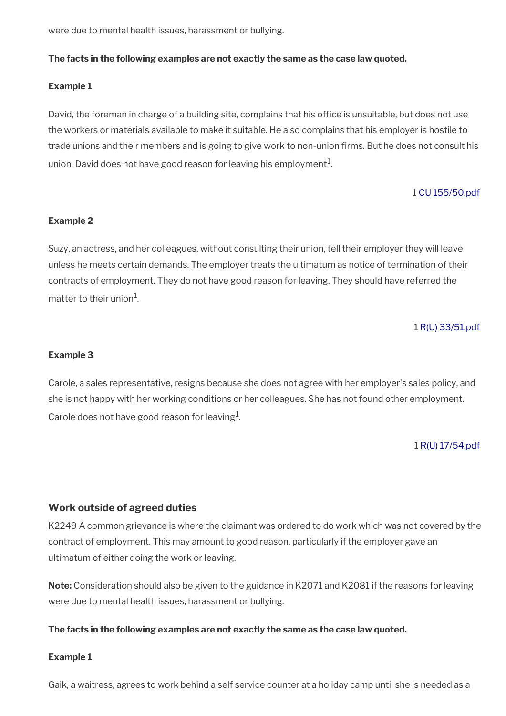were due to mental health issues, harassment or bullying.

#### **The facts in the following examples are not exactly the same as the case law quoted.**

#### **Example 1**

David, the foreman in charge of a building site, complains that his office is unsuitable, but does not use the workers or materials available to make it suitable. He also complains that his employer is hostile to trade unions and their members and is going to give work to non-union firms. But he does not consult his union. David does not have good reason for leaving his employment $^1$ .

#### 1 [CU 155/50.pdf](../file/954287/download/CU%2520155%252F50.pdf)

#### **Example 2**

Suzy, an actress, and her colleagues, without consulting their union, tell their employer they will leave unless he meets certain demands. The employer treats the ultimatum as notice of termination of their contracts of employment. They do not have good reason for leaving. They should have referred the matter to their union $^{\rm 1}$ .

#### 1 [R\(U\) 33/51.pdf](../file/954285/download/R%2528U%2529%252033%252F51.pdf)

#### **Example 3**

Carole, a sales representative, resigns because she does not agree with her employer's sales policy, and she is not happy with her working conditions or her colleagues. She has not found other employment. Carole does not have good reason for leaving $^1$ .

#### 1 [R\(U\) 17/54.pdf](../file/954284/download/R%2528U%2529%252017%252F54.pdf)

#### **Work outside of agreed duties**

K2249 A common grievance is where the claimant was ordered to do work which was not covered by the contract of employment. This may amount to good reason, particularly if the employer gave an ultimatum of either doing the work or leaving.

**Note:** Consideration should also be given to the guidance in K2071 and K2081 if the reasons for leaving were due to mental health issues, harassment or bullying.

#### **The facts in the following examples are not exactly the same as the case law quoted.**

#### **Example 1**

Gaik, a waitress, agrees to work behind a self service counter at a holiday camp until she is needed as a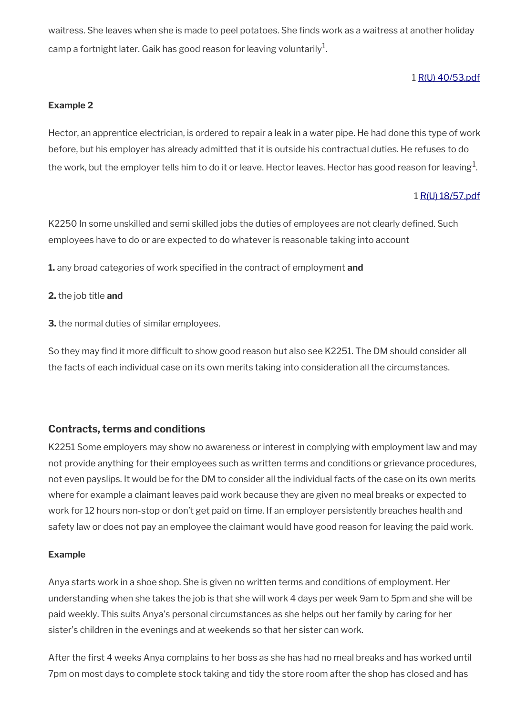waitress. She leaves when she is made to peel potatoes. She finds work as a waitress at another holiday camp a fortnight later. Gaik has good reason for leaving voluntarily $^{\mathrm{1}}$ .

## 1 [R\(U\) 40/53.pdf](../file/954283/download/R%2528U%2529%252040%252F53.pdf)

#### **Example 2**

Hector, an apprentice electrician, is ordered to repair a leak in a water pipe. He had done this type of work before, but his employer has already admitted that it is outside his contractual duties. He refuses to do the work, but the employer tells him to do it or leave. Hector leaves. Hector has good reason for leaving $^1\!$ 

#### 1 [R\(U\) 18/57.pdf](../file/954282/download/R%2528U%2529%252018%252F57.pdf)

K2250 In some unskilled and semi skilled jobs the duties of employees are not clearly defined. Such employees have to do or are expected to do whatever is reasonable taking into account

**1.** any broad categories of work specified in the contract of employment **and** 

#### **2.** the job title **and**

**3.** the normal duties of similar employees.

So they may find it more difficult to show good reason but also see K2251. The DM should consider all the facts of each individual case on its own merits taking into consideration all the circumstances.

## **Contracts, terms and conditions**

K2251 Some employers may show no awareness or interest in complying with employment law and may not provide anything for their employees such as written terms and conditions or grievance procedures, not even payslips. It would be for the DM to consider all the individual facts of the case on its own merits where for example a claimant leaves paid work because they are given no meal breaks or expected to work for 12 hours non-stop or don't get paid on time. If an employer persistently breaches health and safety law or does not pay an employee the claimant would have good reason for leaving the paid work.

#### **Example**

Anya starts work in a shoe shop. She is given no written terms and conditions of employment. Her understanding when she takes the job is that she will work 4 days per week 9am to 5pm and she will be paid weekly. This suits Anya's personal circumstances as she helps out her family by caring for her sister's children in the evenings and at weekends so that her sister can work.

After the first 4 weeks Anya complains to her boss as she has had no meal breaks and has worked until 7pm on most days to complete stock taking and tidy the store room after the shop has closed and has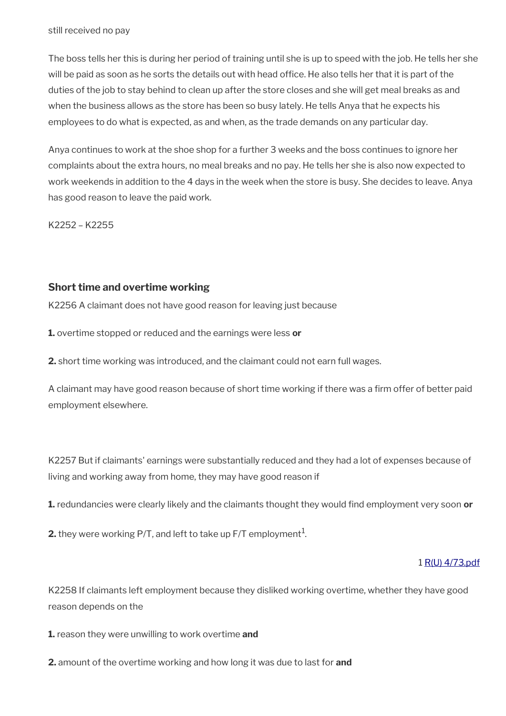still received no pay

The boss tells her this is during her period of training until she is up to speed with the job. He tells her she will be paid as soon as he sorts the details out with head office. He also tells her that it is part of the duties of the job to stay behind to clean up after the store closes and she will get meal breaks as and when the business allows as the store has been so busy lately. He tells Anya that he expects his employees to do what is expected, as and when, as the trade demands on any particular day.

Anya continues to work at the shoe shop for a further 3 weeks and the boss continues to ignore her complaints about the extra hours, no meal breaks and no pay. He tells her she is also now expected to work weekends in addition to the 4 days in the week when the store is busy. She decides to leave. Anya has good reason to leave the paid work.

K2252 – K2255

# **Short time and overtime working**

K2256 A claimant does not have good reason for leaving just because

**1.** overtime stopped or reduced and the earnings were less **or** 

**2.** short time working was introduced, and the claimant could not earn full wages.

A claimant may have good reason because of short time working if there was a firm offer of better paid employment elsewhere.

K2257 But if claimants' earnings were substantially reduced and they had a lot of expenses because of living and working away from home, they may have good reason if

**1.** redundancies were clearly likely and the claimants thought they would find employment very soon **or** 

**2.** they were working P/T, and left to take up F/T employment $^1$ .

#### 1 [R\(U\) 4/73.pdf](../file/954281/download/R%2528U%2529%25204%252F73.pdf)

K2258 If claimants left employment because they disliked working overtime, whether they have good reason depends on the

**1.** reason they were unwilling to work overtime **and** 

**2.** amount of the overtime working and how long it was due to last for **and**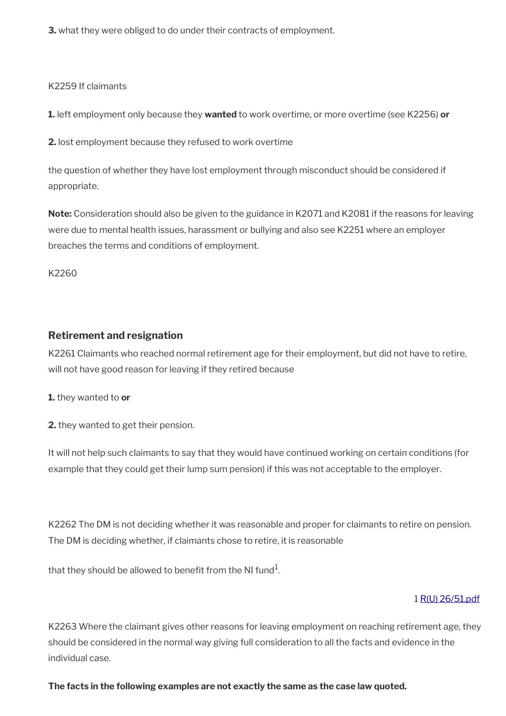**3.** what they were obliged to do under their contracts of employment.

K2259 If claimants

**1.** left employment only because they **wanted** to work overtime, or more overtime (see K2256) **or**

**2.** lost employment because they refused to work overtime

the question of whether they have lost employment through misconduct should be considered if appropriate.

**Note:** Consideration should also be given to the guidance in K2071 and K2081 if the reasons for leaving were due to mental health issues, harassment or bullying and also see K2251 where an employer breaches the terms and conditions of employment.

K2260

# **Retirement and resignation**

K2261 Claimants who reached normal retirement age for their employment, but did not have to retire, will not have good reason for leaving if they retired because

**1.** they wanted to **or** 

**2.** they wanted to get their pension.

It will not help such claimants to say that they would have continued working on certain conditions (for example that they could get their lump sum pension) if this was not acceptable to the employer.

K2262 The DM is not deciding whether it was reasonable and proper for claimants to retire on pension. The DM is deciding whether, if claimants chose to retire, it is reasonable

that they should be allowed to benefit from the NI fund $^{\rm 1}$ .

## 1 [R\(U\) 26/51.pdf](../file/954279/download/R%2528U%2529%252026%252F51.pdf)

K2263 Where the claimant gives other reasons for leaving employment on reaching retirement age, they should be considered in the normal way giving full consideration to all the facts and evidence in the individual case.

## **The facts in the following examples are not exactly the same as the case law quoted.**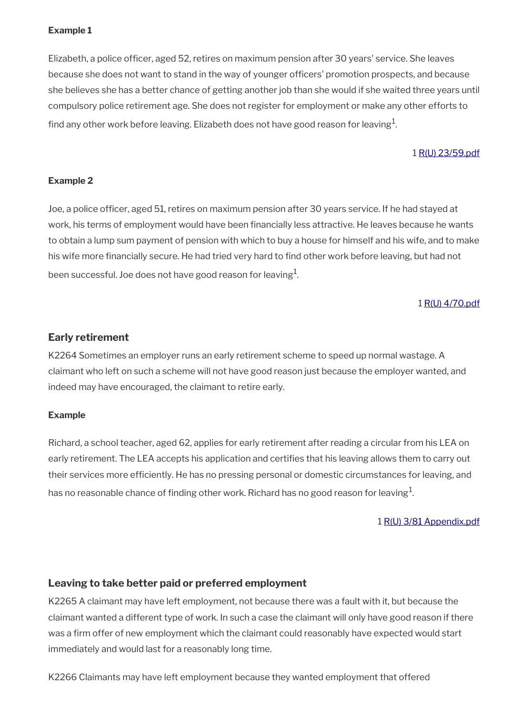## **Example 1**

Elizabeth, a police officer, aged 52, retires on maximum pension after 30 years' service. She leaves because she does not want to stand in the way of younger officers' promotion prospects, and because she believes she has a better chance of getting another job than she would if she waited three years until compulsory police retirement age. She does not register for employment or make any other efforts to find any other work before leaving. Elizabeth does not have good reason for leaving $^1\!$ 

#### 1 [R\(U\) 23/59.pdf](../file/954278/download/R%2528U%2529%252023%252F59.pdf)

#### **Example 2**

Joe, a police officer, aged 51, retires on maximum pension after 30 years service. If he had stayed at work, his terms of employment would have been financially less attractive. He leaves because he wants to obtain a lump sum payment of pension with which to buy a house for himself and his wife, and to make his wife more financially secure. He had tried very hard to find other work before leaving, but had not been successful. Joe does not have good reason for leaving $^{\mathrm{1}}$ .

#### 1 [R\(U\) 4/70.pdf](../file/954250/download/R%2528U%2529%25204%252F70.pdf)

#### **Early retirement**

K2264 Sometimes an employer runs an early retirement scheme to speed up normal wastage. A claimant who left on such a scheme will not have good reason just because the employer wanted, and indeed may have encouraged, the claimant to retire early.

#### **Example**

Richard, a school teacher, aged 62, applies for early retirement after reading a circular from his LEA on early retirement. The LEA accepts his application and certifies that his leaving allows them to carry out their services more efficiently. He has no pressing personal or domestic circumstances for leaving, and has no reasonable chance of finding other work. Richard has no good reason for leaving $^1\!$ 

1 [R\(U\) 3/81 Appendix.pdf](../file/954247/download/R%2528U%2529%25203%252F81%2520Appendix.pdf)

#### **Leaving to take better paid or preferred employment**

K2265 A claimant may have left employment, not because there was a fault with it, but because the claimant wanted a different type of work. In such a case the claimant will only have good reason if there was a firm offer of new employment which the claimant could reasonably have expected would start immediately and would last for a reasonably long time.

K2266 Claimants may have left employment because they wanted employment that offered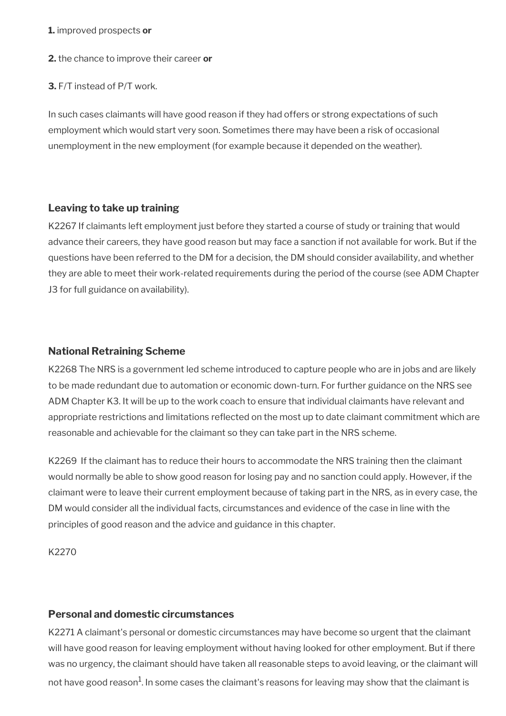#### **1.** improved prospects **or**

**2.** the chance to improve their career **or** 

**3.** F/T instead of P/T work.

In such cases claimants will have good reason if they had offers or strong expectations of such employment which would start very soon. Sometimes there may have been a risk of occasional unemployment in the new employment (for example because it depended on the weather).

## **Leaving to take up training**

K2267 If claimants left employment just before they started a course of study or training that would advance their careers, they have good reason but may face a sanction if not available for work. But if the questions have been referred to the DM for a decision, the DM should consider availability, and whether they are able to meet their work-related requirements during the period of the course (see ADM Chapter J3 for full guidance on availability).

## **National Retraining Scheme**

K2268 The NRS is a government led scheme introduced to capture people who are in jobs and are likely to be made redundant due to automation or economic down-turn. For further guidance on the NRS see ADM Chapter K3. It will be up to the work coach to ensure that individual claimants have relevant and appropriate restrictions and limitations reflected on the most up to date claimant commitment which are reasonable and achievable for the claimant so they can take part in the NRS scheme.

K2269 If the claimant has to reduce their hours to accommodate the NRS training then the claimant would normally be able to show good reason for losing pay and no sanction could apply. However, if the claimant were to leave their current employment because of taking part in the NRS, as in every case, the DM would consider all the individual facts, circumstances and evidence of the case in line with the principles of good reason and the advice and guidance in this chapter.

K2270

## **Personal and domestic circumstances**

K2271 A claimant's personal or domestic circumstances may have become so urgent that the claimant will have good reason for leaving employment without having looked for other employment. But if there was no urgency, the claimant should have taken all reasonable steps to avoid leaving, or the claimant will not have good reason $^1$ . In some cases the claimant's reasons for leaving may show that the claimant is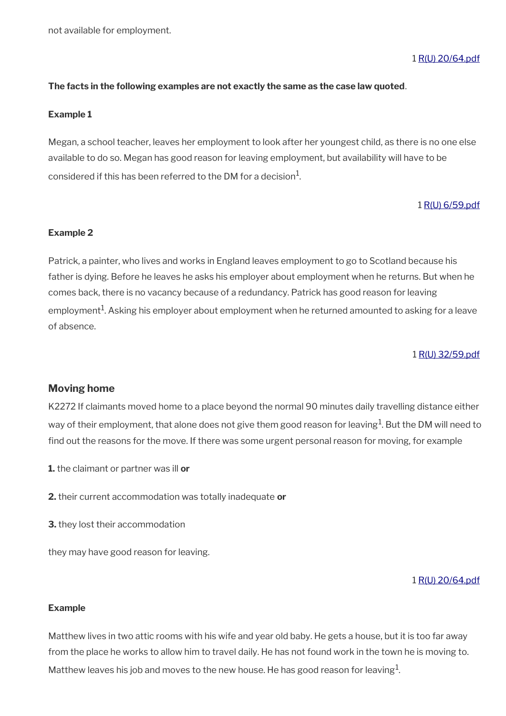not available for employment.

#### 1 [R\(U\) 20/64.pdf](../file/954246/download/R%2528U%2529%252020%252F64.pdf)

#### **The facts in the following examples are not exactly the same as the case law quoted**.

#### **Example 1**

Megan, a school teacher, leaves her employment to look after her youngest child, as there is no one else available to do so. Megan has good reason for leaving employment, but availability will have to be considered if this has been referred to the DM for a decision $^1\!\!$ .

#### 1 [R\(U\) 6/59.pdf](../file/954245/download/R%2528U%2529%25206%252F59.pdf)

#### **Example 2**

Patrick, a painter, who lives and works in England leaves employment to go to Scotland because his father is dying. Before he leaves he asks his employer about employment when he returns. But when he comes back, there is no vacancy because of a redundancy. Patrick has good reason for leaving employment $^{\rm 1}$ . Asking his employer about employment when he returned amounted to asking for a leave of absence.

1 [R\(U\) 32/59.pdf](../file/954243/download/R%2528U%2529%252032%252F59.pdf)

#### **Moving home**

K2272 If claimants moved home to a place beyond the normal 90 minutes daily travelling distance either way of their employment, that alone does not give them good reason for leaving $^1$ . But the DM will need to find out the reasons for the move. If there was some urgent personal reason for moving, for example

- **1.** the claimant or partner was ill **or**
- **2.** their current accommodation was totally inadequate **or**
- **3.** they lost their accommodation

they may have good reason for leaving.

#### 1 [R\(U\) 20/64.pdf](../file/954239/download/R%2528U%2529%252020%252F64.pdf)

#### **Example**

Matthew lives in two attic rooms with his wife and year old baby. He gets a house, but it is too far away from the place he works to allow him to travel daily. He has not found work in the town he is moving to. Matthew leaves his job and moves to the new house. He has good reason for leaving $^1\!$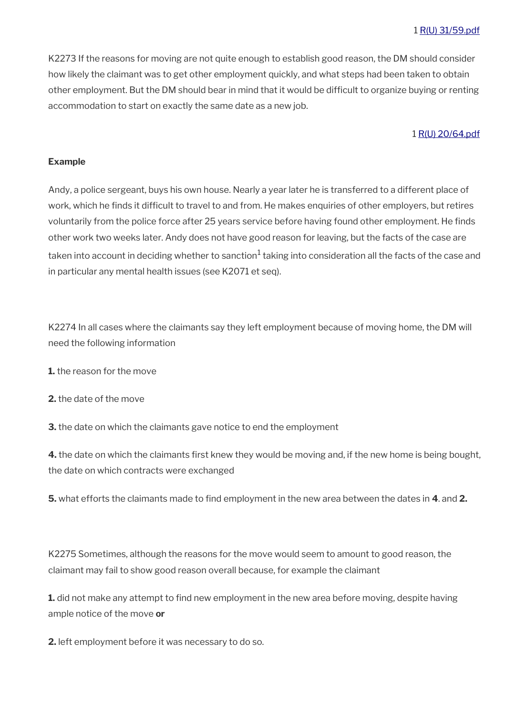K2273 If the reasons for moving are not quite enough to establish good reason, the DM should consider how likely the claimant was to get other employment quickly, and what steps had been taken to obtain other employment. But the DM should bear in mind that it would be difficult to organize buying or renting accommodation to start on exactly the same date as a new job.

#### 1 [R\(U\) 20/64.pdf](../file/954239/download/R%2528U%2529%252020%252F64.pdf)

#### **Example**

Andy, a police sergeant, buys his own house. Nearly a year later he is transferred to a different place of work, which he finds it difficult to travel to and from. He makes enquiries of other employers, but retires voluntarily from the police force after 25 years service before having found other employment. He finds other work two weeks later. Andy does not have good reason for leaving, but the facts of the case are taken into account in deciding whether to sanction<sup>1</sup> taking into consideration all the facts of the case and in particular any mental health issues (see K2071 et seq).

K2274 In all cases where the claimants say they left employment because of moving home, the DM will need the following information

**1.** the reason for the move

**2.** the date of the move

**3.** the date on which the claimants gave notice to end the employment

**4.** the date on which the claimants first knew they would be moving and, if the new home is being bought, the date on which contracts were exchanged

**5.** what efforts the claimants made to find employment in the new area between the dates in **4**. and **2.**

K2275 Sometimes, although the reasons for the move would seem to amount to good reason, the claimant may fail to show good reason overall because, for example the claimant

**1.** did not make any attempt to find new employment in the new area before moving, despite having ample notice of the move **or** 

**2.** left employment before it was necessary to do so.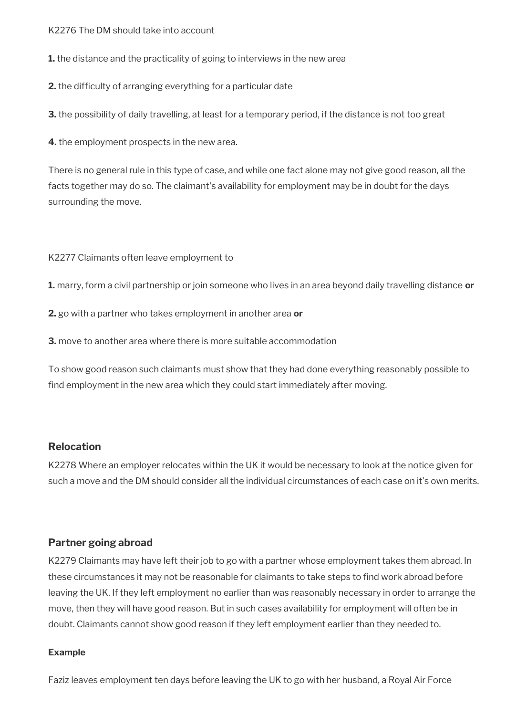#### K2276 The DM should take into account

**1.** the distance and the practicality of going to interviews in the new area

**2.** the difficulty of arranging everything for a particular date

**3.** the possibility of daily travelling, at least for a temporary period, if the distance is not too great

**4.** the employment prospects in the new area.

There is no general rule in this type of case, and while one fact alone may not give good reason, all the facts together may do so. The claimant's availability for employment may be in doubt for the days surrounding the move.

K2277 Claimants often leave employment to

**1.** marry, form a civil partnership or join someone who lives in an area beyond daily travelling distance **or** 

**2.** go with a partner who takes employment in another area **or** 

**3.** move to another area where there is more suitable accommodation

To show good reason such claimants must show that they had done everything reasonably possible to find employment in the new area which they could start immediately after moving.

## **Relocation**

K2278 Where an employer relocates within the UK it would be necessary to look at the notice given for such a move and the DM should consider all the individual circumstances of each case on it's own merits.

## **Partner going abroad**

K2279 Claimants may have left their job to go with a partner whose employment takes them abroad. In these circumstances it may not be reasonable for claimants to take steps to find work abroad before leaving the UK. If they left employment no earlier than was reasonably necessary in order to arrange the move, then they will have good reason. But in such cases availability for employment will often be in doubt. Claimants cannot show good reason if they left employment earlier than they needed to.

#### **Example**

Faziz leaves employment ten days before leaving the UK to go with her husband, a Royal Air Force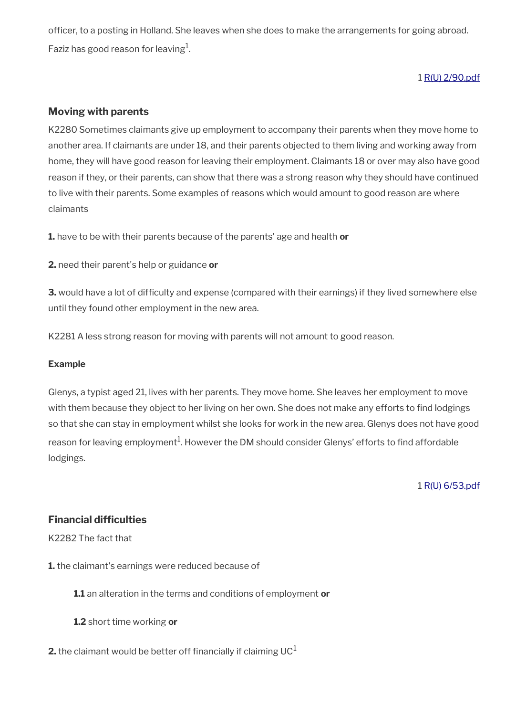officer, to a posting in Holland. She leaves when she does to make the arrangements for going abroad. Faziz has good reason for leaving $^{\rm 1}$ .

## 1 [R\(U\) 2/90.pdf](../file/954237/download/R%2528U%2529%25202%252F90.pdf)

## **Moving with parents**

K2280 Sometimes claimants give up employment to accompany their parents when they move home to another area. If claimants are under 18, and their parents objected to them living and working away from home, they will have good reason for leaving their employment. Claimants 18 or over may also have good reason if they, or their parents, can show that there was a strong reason why they should have continued to live with their parents. Some examples of reasons which would amount to good reason are where claimants

**1.** have to be with their parents because of the parents' age and health **or** 

**2.** need their parent's help or guidance **or** 

**3.** would have a lot of difficulty and expense (compared with their earnings) if they lived somewhere else until they found other employment in the new area.

K2281 A less strong reason for moving with parents will not amount to good reason.

#### **Example**

Glenys, a typist aged 21, lives with her parents. They move home. She leaves her employment to move with them because they object to her living on her own. She does not make any efforts to find lodgings so that she can stay in employment whilst she looks for work in the new area. Glenys does not have good reason for leaving employment $^1$ . However the DM should consider Glenys' efforts to find affordable lodgings.

1 [R\(U\) 6/53.pdf](../file/954236/download/R%2528U%2529%25206%252F53.pdf)

# **Financial difficulties**

K2282 The fact that

**1.** the claimant's earnings were reduced because of

**1.1** an alteration in the terms and conditions of employment **or** 

**1.2** short time working **or** 

**2.** the claimant would be better off financially if claiming  $UC<sup>1</sup>$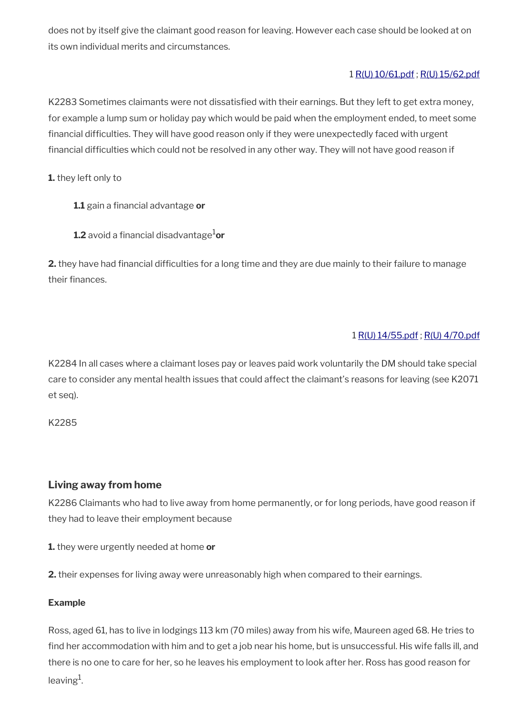does not by itself give the claimant good reason for leaving. However each case should be looked at on its own individual merits and circumstances.

#### 1 [R\(U\) 10/61.pdf](../file/954233/download/R%2528U%2529%252010%252F61.pdf) ; [R\(U\) 15/62.pdf](../file/954235/download/R%2528U%2529%252015%252F62.pdf)

K2283 Sometimes claimants were not dissatisfied with their earnings. But they left to get extra money, for example a lump sum or holiday pay which would be paid when the employment ended, to meet some financial difficulties. They will have good reason only if they were unexpectedly faced with urgent financial difficulties which could not be resolved in any other way. They will not have good reason if

**1.** they left only to

- **1.1** gain a financial advantage **or**
- **1.2** avoid a financial disadvantage ${}^{1}$ or

**2.** they have had financial difficulties for a long time and they are due mainly to their failure to manage their finances.

## 1 [R\(U\) 14/55.pdf](../file/954230/download/R%2528U%2529%252014%252F55.pdf) ; [R\(U\) 4/70.pdf](../file/954231/download/R%2528U%2529%25204%252F70.pdf)

K2284 In all cases where a claimant loses pay or leaves paid work voluntarily the DM should take special care to consider any mental health issues that could affect the claimant's reasons for leaving (see K2071 et seq).

K2285

## **Living away from home**

K2286 Claimants who had to live away from home permanently, or for long periods, have good reason if they had to leave their employment because

**1.** they were urgently needed at home **or** 

**2.** their expenses for living away were unreasonably high when compared to their earnings.

#### **Example**

Ross, aged 61, has to live in lodgings 113 km (70 miles) away from his wife, Maureen aged 68. He tries to find her accommodation with him and to get a job near his home, but is unsuccessful. His wife falls ill, and there is no one to care for her, so he leaves his employment to look after her. Ross has good reason for leaving $^1$ .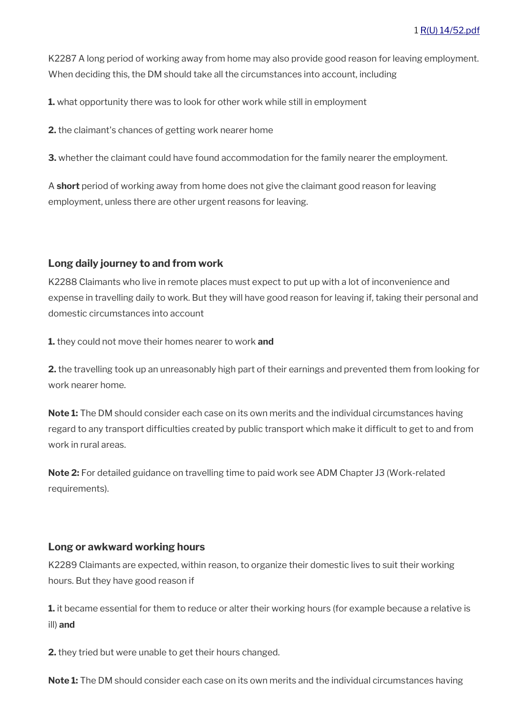K2287 A long period of working away from home may also provide good reason for leaving employment. When deciding this, the DM should take all the circumstances into account, including

**1.** what opportunity there was to look for other work while still in employment

**2.** the claimant's chances of getting work nearer home

**3.** whether the claimant could have found accommodation for the family nearer the employment.

A **short** period of working away from home does not give the claimant good reason for leaving employment, unless there are other urgent reasons for leaving.

#### **Long daily journey to and from work**

K2288 Claimants who live in remote places must expect to put up with a lot of inconvenience and expense in travelling daily to work. But they will have good reason for leaving if, taking their personal and domestic circumstances into account

**1.** they could not move their homes nearer to work **and** 

**2.** the travelling took up an unreasonably high part of their earnings and prevented them from looking for work nearer home.

**Note 1:** The DM should consider each case on its own merits and the individual circumstances having regard to any transport difficulties created by public transport which make it difficult to get to and from work in rural areas.

**Note 2:** For detailed guidance on travelling time to paid work see ADM Chapter J3 (Work-related requirements).

#### **Long or awkward working hours**

K2289 Claimants are expected, within reason, to organize their domestic lives to suit their working hours. But they have good reason if

**1.** it became essential for them to reduce or alter their working hours (for example because a relative is ill) **and** 

**2.** they tried but were unable to get their hours changed.

**Note 1:** The DM should consider each case on its own merits and the individual circumstances having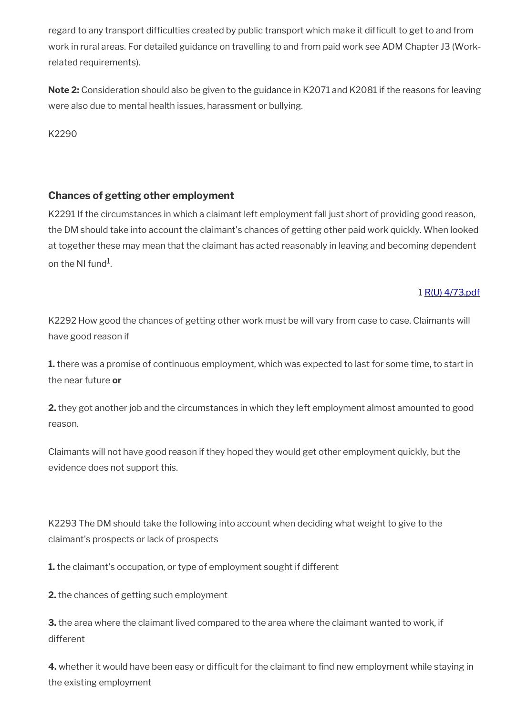regard to any transport difficulties created by public transport which make it difficult to get to and from work in rural areas. For detailed guidance on travelling to and from paid work see ADM Chapter J3 (Workrelated requirements).

**Note 2:** Consideration should also be given to the guidance in K2071 and K2081 if the reasons for leaving were also due to mental health issues, harassment or bullying.

K2290

# **Chances of getting other employment**

K2291 If the circumstances in which a claimant left employment fall just short of providing good reason, the DM should take into account the claimant's chances of getting other paid work quickly. When looked at together these may mean that the claimant has acted reasonably in leaving and becoming dependent on the NI fund $^{\rm 1}$ .

# 1 [R\(U\) 4/73.pdf](../file/954228/download/R%2528U%2529%25204%252F73.pdf)

K2292 How good the chances of getting other work must be will vary from case to case. Claimants will have good reason if

**1.** there was a promise of continuous employment, which was expected to last for some time, to start in the near future **or** 

**2.** they got another job and the circumstances in which they left employment almost amounted to good reason.

Claimants will not have good reason if they hoped they would get other employment quickly, but the evidence does not support this.

K2293 The DM should take the following into account when deciding what weight to give to the claimant's prospects or lack of prospects

**1.** the claimant's occupation, or type of employment sought if different

**2.** the chances of getting such employment

**3.** the area where the claimant lived compared to the area where the claimant wanted to work, if different

**4.** whether it would have been easy or difficult for the claimant to find new employment while staying in the existing employment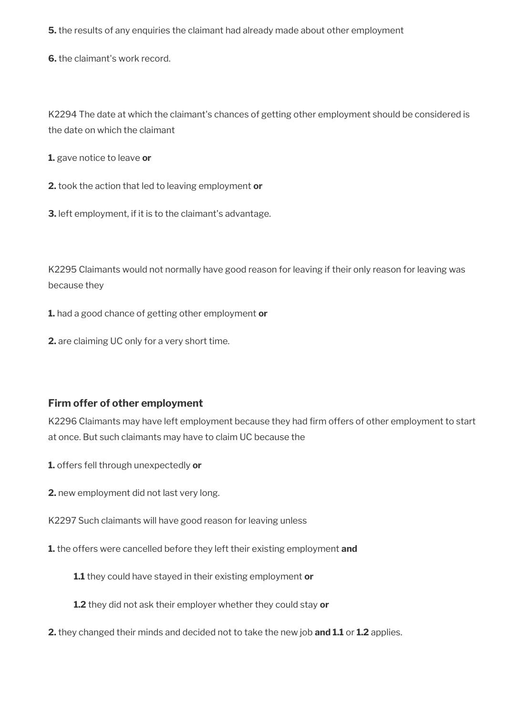**5.** the results of any enquiries the claimant had already made about other employment

**6.** the claimant's work record.

K2294 The date at which the claimant's chances of getting other employment should be considered is the date on which the claimant

**1.** gave notice to leave **or** 

**2.** took the action that led to leaving employment **or**

**3.** left employment, if it is to the claimant's advantage.

K2295 Claimants would not normally have good reason for leaving if their only reason for leaving was because they

**1.** had a good chance of getting other employment **or**

**2.** are claiming UC only for a very short time.

# **Firm offer of other employment**

K2296 Claimants may have left employment because they had firm offers of other employment to start at once. But such claimants may have to claim UC because the

**1.** offers fell through unexpectedly **or** 

**2.** new employment did not last very long.

K2297 Such claimants will have good reason for leaving unless

**1.** the offers were cancelled before they left their existing employment **and** 

**1.1** they could have stayed in their existing employment **or** 

**1.2** they did not ask their employer whether they could stay **or**

**2.** they changed their minds and decided not to take the new job **and 1.1** or **1.2** applies.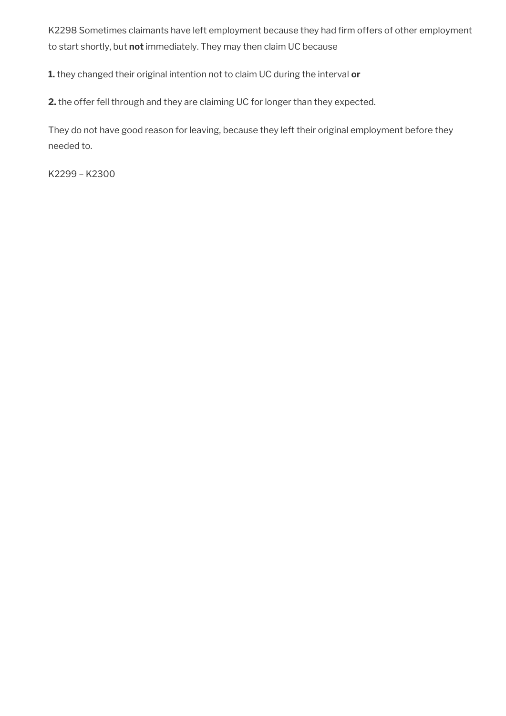K2298 Sometimes claimants have left employment because they had firm offers of other employment to start shortly, but **not** immediately. They may then claim UC because

**1.** they changed their original intention not to claim UC during the interval **or** 

**2.** the offer fell through and they are claiming UC for longer than they expected.

They do not have good reason for leaving, because they left their original employment before they needed to.

K2299 – K2300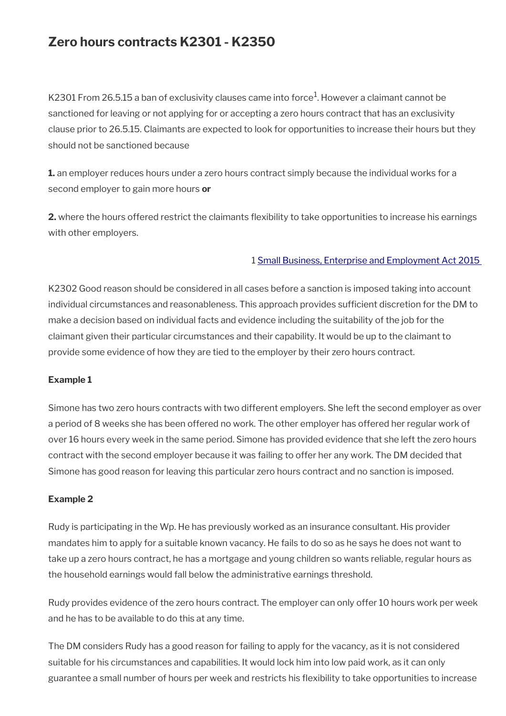# **Zero hours contracts K2301 - K2350**

K2301 From 26.5.15 a ban of exclusivity clauses came into force $^{\rm 1}$ . However a claimant cannot be sanctioned for leaving or not applying for or accepting a zero hours contract that has an exclusivity clause prior to 26.5.15. Claimants are expected to look for opportunities to increase their hours but they should not be sanctioned because

**1.** an employer reduces hours under a zero hours contract simply because the individual works for a second employer to gain more hours **or**

**2.** where the hours offered restrict the claimants flexibility to take opportunities to increase his earnings with other employers.

## 1 [Small Business, Enterprise and Employment Act 2015](https://www.legislation.gov.uk/ukpga/2015/26/contents)

K2302 Good reason should be considered in all cases before a sanction is imposed taking into account individual circumstances and reasonableness. This approach provides sufficient discretion for the DM to make a decision based on individual facts and evidence including the suitability of the job for the claimant given their particular circumstances and their capability. It would be up to the claimant to provide some evidence of how they are tied to the employer by their zero hours contract.

#### **Example 1**

Simone has two zero hours contracts with two different employers. She left the second employer as over a period of 8 weeks she has been offered no work. The other employer has offered her regular work of over 16 hours every week in the same period. Simone has provided evidence that she left the zero hours contract with the second employer because it was failing to offer her any work. The DM decided that Simone has good reason for leaving this particular zero hours contract and no sanction is imposed.

#### **Example 2**

Rudy is participating in the Wp. He has previously worked as an insurance consultant. His provider mandates him to apply for a suitable known vacancy. He fails to do so as he says he does not want to take up a zero hours contract, he has a mortgage and young children so wants reliable, regular hours as the household earnings would fall below the administrative earnings threshold.

Rudy provides evidence of the zero hours contract. The employer can only offer 10 hours work per week and he has to be available to do this at any time.

The DM considers Rudy has a good reason for failing to apply for the vacancy, as it is not considered suitable for his circumstances and capabilities. It would lock him into low paid work, as it can only guarantee a small number of hours per week and restricts his flexibility to take opportunities to increase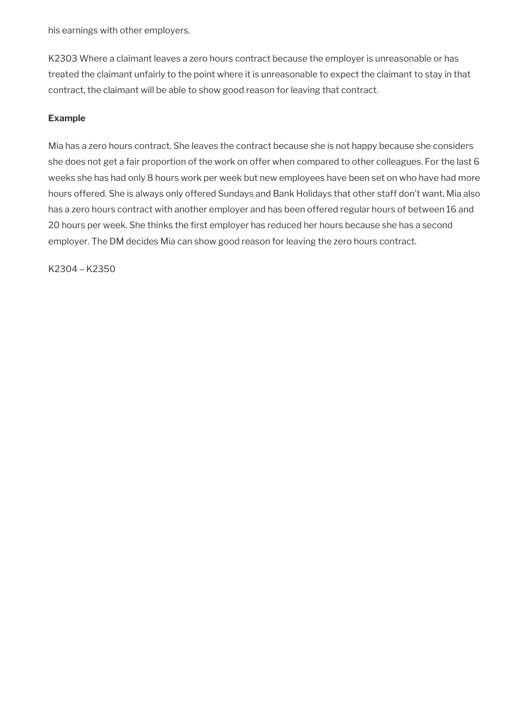his earnings with other employers.

K2303 Where a claimant leaves a zero hours contract because the employer is unreasonable or has treated the claimant unfairly to the point where it is unreasonable to expect the claimant to stay in that contract, the claimant will be able to show good reason for leaving that contract.

## **Example**

Mia has a zero hours contract. She leaves the contract because she is not happy because she considers she does not get a fair proportion of the work on offer when compared to other colleagues. For the last 6 weeks she has had only 8 hours work per week but new employees have been set on who have had more hours offered. She is always only offered Sundays and Bank Holidays that other staff don't want. Mia also has a zero hours contract with another employer and has been offered regular hours of between 16 and 20 hours per week. She thinks the first employer has reduced her hours because she has a second employer. The DM decides Mia can show good reason for leaving the zero hours contract.

K2304 – K2350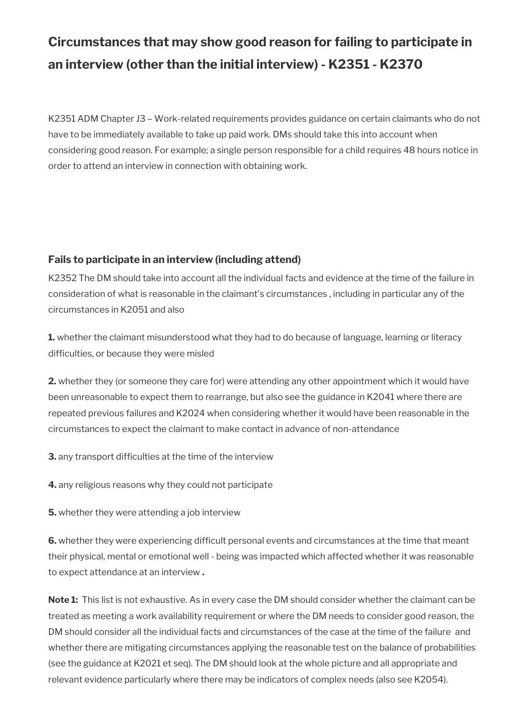# **Circumstances that may show good reason for failing to participate in an interview (other than the initial interview) - K2351 - K2370**

K2351 ADM Chapter J3 – Work-related requirements provides guidance on certain claimants who do not have to be immediately available to take up paid work. DMs should take this into account when considering good reason. For example; a single person responsible for a child requires 48 hours notice in order to attend an interview in connection with obtaining work.

# **Fails to participate in an interview (including attend)**

K2352 The DM should take into account all the individual facts and evidence at the time of the failure in consideration of what is reasonable in the claimant's circumstances , including in particular any of the circumstances in K2051 and also

**1.** whether the claimant misunderstood what they had to do because of language, learning or literacy difficulties, or because they were misled

**2.** whether they (or someone they care for) were attending any other appointment which it would have been unreasonable to expect them to rearrange, but also see the guidance in K2041 where there are repeated previous failures and K2024 when considering whether it would have been reasonable in the circumstances to expect the claimant to make contact in advance of non-attendance

**3.** any transport difficulties at the time of the interview

**4.** any religious reasons why they could not participate

**5.** whether they were attending a job interview

**6.** whether they were experiencing difficult personal events and circumstances at the time that meant their physical, mental or emotional well - being was impacted which affected whether it was reasonable to expect attendance at an interview **.**

**Note 1:** This list is not exhaustive. As in every case the DM should consider whether the claimant can be treated as meeting a work availability requirement or where the DM needs to consider good reason, the DM should consider all the individual facts and circumstances of the case at the time of the failure and whether there are mitigating circumstances applying the reasonable test on the balance of probabilities (see the guidance at K2021 et seq). The DM should look at the whole picture and all appropriate and relevant evidence particularly where there may be indicators of complex needs (also see K2054).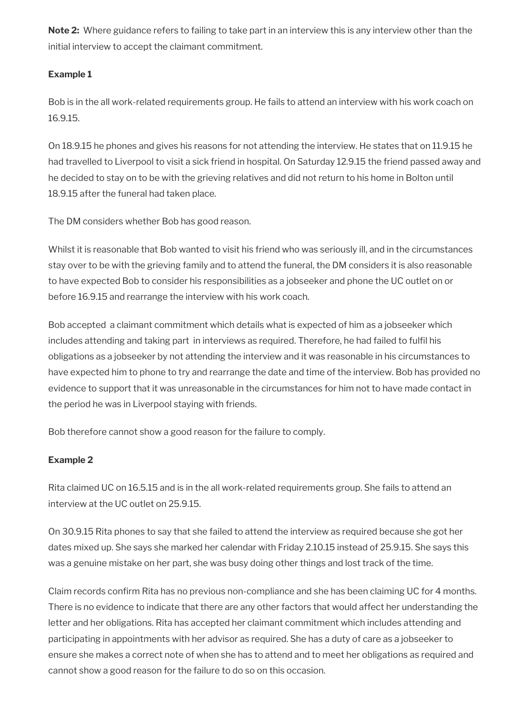**Note 2:** Where guidance refers to failing to take part in an interview this is any interview other than the initial interview to accept the claimant commitment.

## **Example 1**

Bob is in the all work-related requirements group. He fails to attend an interview with his work coach on 16.9.15.

On 18.9.15 he phones and gives his reasons for not attending the interview. He states that on 11.9.15 he had travelled to Liverpool to visit a sick friend in hospital. On Saturday 12.9.15 the friend passed away and he decided to stay on to be with the grieving relatives and did not return to his home in Bolton until 18.9.15 after the funeral had taken place.

The DM considers whether Bob has good reason.

Whilst it is reasonable that Bob wanted to visit his friend who was seriously ill, and in the circumstances stay over to be with the grieving family and to attend the funeral, the DM considers it is also reasonable to have expected Bob to consider his responsibilities as a jobseeker and phone the UC outlet on or before 16.9.15 and rearrange the interview with his work coach.

Bob accepted a claimant commitment which details what is expected of him as a jobseeker which includes attending and taking part in interviews as required. Therefore, he had failed to fulfil his obligations as a jobseeker by not attending the interview and it was reasonable in his circumstances to have expected him to phone to try and rearrange the date and time of the interview. Bob has provided no evidence to support that it was unreasonable in the circumstances for him not to have made contact in the period he was in Liverpool staying with friends.

Bob therefore cannot show a good reason for the failure to comply.

## **Example 2**

Rita claimed UC on 16.5.15 and is in the all work-related requirements group. She fails to attend an interview at the UC outlet on 25.9.15.

On 30.9.15 Rita phones to say that she failed to attend the interview as required because she got her dates mixed up. She says she marked her calendar with Friday 2.10.15 instead of 25.9.15. She says this was a genuine mistake on her part, she was busy doing other things and lost track of the time.

Claim records confirm Rita has no previous non-compliance and she has been claiming UC for 4 months. There is no evidence to indicate that there are any other factors that would affect her understanding the letter and her obligations. Rita has accepted her claimant commitment which includes attending and participating in appointments with her advisor as required. She has a duty of care as a jobseeker to ensure she makes a correct note of when she has to attend and to meet her obligations as required and cannot show a good reason for the failure to do so on this occasion.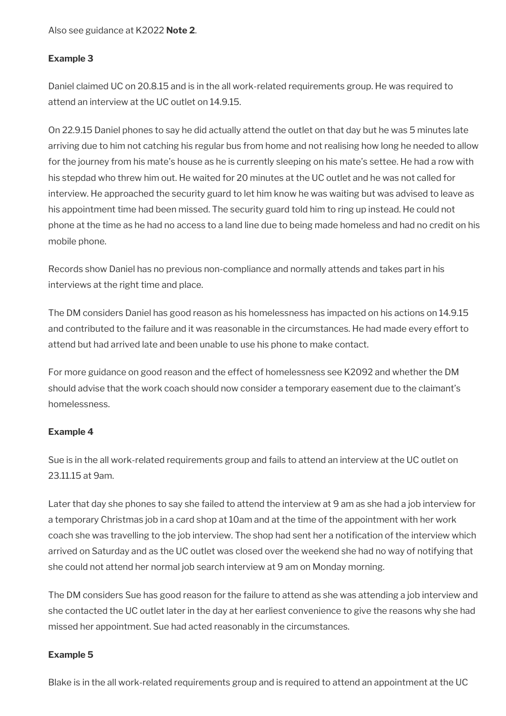Also see guidance at K2022 **Note 2**.

## **Example 3**

Daniel claimed UC on 20.8.15 and is in the all work-related requirements group. He was required to attend an interview at the UC outlet on 14.9.15.

On 22.9.15 Daniel phones to say he did actually attend the outlet on that day but he was 5 minutes late arriving due to him not catching his regular bus from home and not realising how long he needed to allow for the journey from his mate's house as he is currently sleeping on his mate's settee. He had a row with his stepdad who threw him out. He waited for 20 minutes at the UC outlet and he was not called for interview. He approached the security guard to let him know he was waiting but was advised to leave as his appointment time had been missed. The security guard told him to ring up instead. He could not phone at the time as he had no access to a land line due to being made homeless and had no credit on his mobile phone.

Records show Daniel has no previous non-compliance and normally attends and takes part in his interviews at the right time and place.

The DM considers Daniel has good reason as his homelessness has impacted on his actions on 14.9.15 and contributed to the failure and it was reasonable in the circumstances. He had made every effort to attend but had arrived late and been unable to use his phone to make contact.

For more guidance on good reason and the effect of homelessness see K2092 and whether the DM should advise that the work coach should now consider a temporary easement due to the claimant's homelessness.

## **Example 4**

Sue is in the all work-related requirements group and fails to attend an interview at the UC outlet on 23.11.15 at 9am.

Later that day she phones to say she failed to attend the interview at 9 am as she had a job interview for a temporary Christmas job in a card shop at 10am and at the time of the appointment with her work coach she was travelling to the job interview. The shop had sent her a notification of the interview which arrived on Saturday and as the UC outlet was closed over the weekend she had no way of notifying that she could not attend her normal job search interview at 9 am on Monday morning.

The DM considers Sue has good reason for the failure to attend as she was attending a job interview and she contacted the UC outlet later in the day at her earliest convenience to give the reasons why she had missed her appointment. Sue had acted reasonably in the circumstances.

#### **Example 5**

Blake is in the all work-related requirements group and is required to attend an appointment at the UC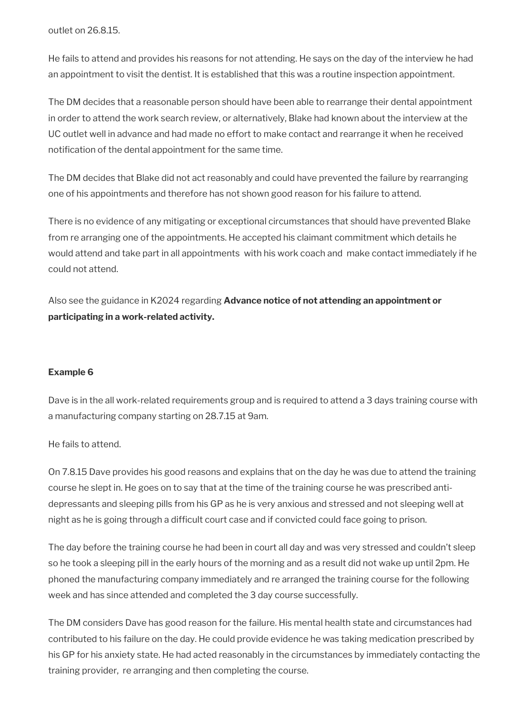outlet on 26.8.15.

He fails to attend and provides his reasons for not attending. He says on the day of the interview he had an appointment to visit the dentist. It is established that this was a routine inspection appointment.

The DM decides that a reasonable person should have been able to rearrange their dental appointment in order to attend the work search review, or alternatively, Blake had known about the interview at the UC outlet well in advance and had made no effort to make contact and rearrange it when he received notification of the dental appointment for the same time.

The DM decides that Blake did not act reasonably and could have prevented the failure by rearranging one of his appointments and therefore has not shown good reason for his failure to attend.

There is no evidence of any mitigating or exceptional circumstances that should have prevented Blake from re arranging one of the appointments. He accepted his claimant commitment which details he would attend and take part in all appointments with his work coach and make contact immediately if he could not attend.

Also see the guidance in K2024 regarding **Advance notice of not attending an appointment or participating in a work-related activity.**

#### **Example 6**

Dave is in the all work-related requirements group and is required to attend a 3 days training course with a manufacturing company starting on 28.7.15 at 9am.

He fails to attend.

On 7.8.15 Dave provides his good reasons and explains that on the day he was due to attend the training course he slept in. He goes on to say that at the time of the training course he was prescribed antidepressants and sleeping pills from his GP as he is very anxious and stressed and not sleeping well at night as he is going through a difficult court case and if convicted could face going to prison.

The day before the training course he had been in court all day and was very stressed and couldn't sleep so he took a sleeping pill in the early hours of the morning and as a result did not wake up until 2pm. He phoned the manufacturing company immediately and re arranged the training course for the following week and has since attended and completed the 3 day course successfully.

The DM considers Dave has good reason for the failure. His mental health state and circumstances had contributed to his failure on the day. He could provide evidence he was taking medication prescribed by his GP for his anxiety state. He had acted reasonably in the circumstances by immediately contacting the training provider, re arranging and then completing the course.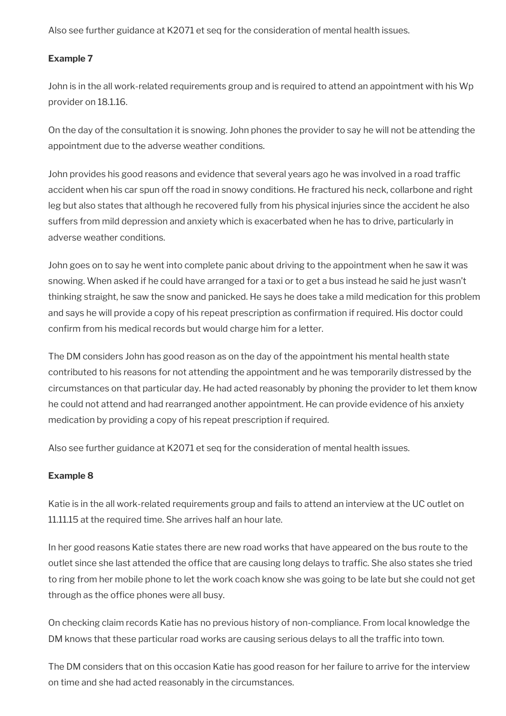Also see further guidance at K2071 et seq for the consideration of mental health issues.

# **Example 7**

John is in the all work-related requirements group and is required to attend an appointment with his Wp provider on 18.1.16.

On the day of the consultation it is snowing. John phones the provider to say he will not be attending the appointment due to the adverse weather conditions.

John provides his good reasons and evidence that several years ago he was involved in a road traffic accident when his car spun off the road in snowy conditions. He fractured his neck, collarbone and right leg but also states that although he recovered fully from his physical injuries since the accident he also suffers from mild depression and anxiety which is exacerbated when he has to drive, particularly in adverse weather conditions.

John goes on to say he went into complete panic about driving to the appointment when he saw it was snowing. When asked if he could have arranged for a taxi or to get a bus instead he said he just wasn't thinking straight, he saw the snow and panicked. He says he does take a mild medication for this problem and says he will provide a copy of his repeat prescription as confirmation if required. His doctor could confirm from his medical records but would charge him for a letter.

The DM considers John has good reason as on the day of the appointment his mental health state contributed to his reasons for not attending the appointment and he was temporarily distressed by the circumstances on that particular day. He had acted reasonably by phoning the provider to let them know he could not attend and had rearranged another appointment. He can provide evidence of his anxiety medication by providing a copy of his repeat prescription if required.

Also see further guidance at K2071 et seq for the consideration of mental health issues.

# **Example 8**

Katie is in the all work-related requirements group and fails to attend an interview at the UC outlet on 11.11.15 at the required time. She arrives half an hour late.

In her good reasons Katie states there are new road works that have appeared on the bus route to the outlet since she last attended the office that are causing long delays to traffic. She also states she tried to ring from her mobile phone to let the work coach know she was going to be late but she could not get through as the office phones were all busy.

On checking claim records Katie has no previous history of non-compliance. From local knowledge the DM knows that these particular road works are causing serious delays to all the traffic into town.

The DM considers that on this occasion Katie has good reason for her failure to arrive for the interview on time and she had acted reasonably in the circumstances.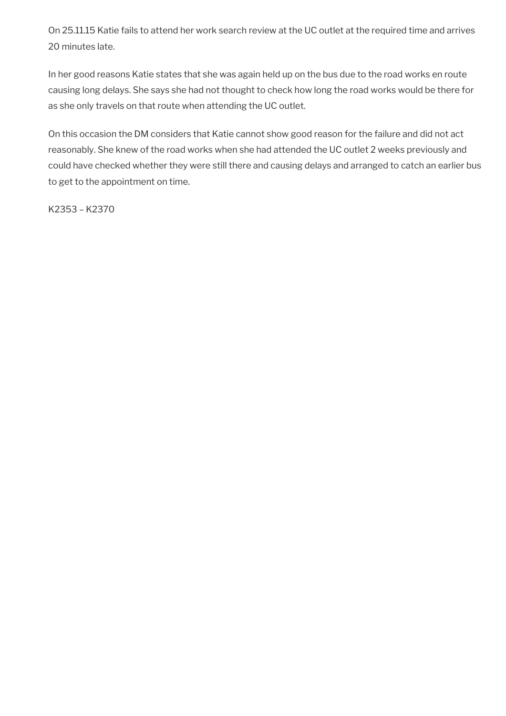On 25.11.15 Katie fails to attend her work search review at the UC outlet at the required time and arrives 20 minutes late.

In her good reasons Katie states that she was again held up on the bus due to the road works en route causing long delays. She says she had not thought to check how long the road works would be there for as she only travels on that route when attending the UC outlet.

On this occasion the DM considers that Katie cannot show good reason for the failure and did not act reasonably. She knew of the road works when she had attended the UC outlet 2 weeks previously and could have checked whether they were still there and causing delays and arranged to catch an earlier bus to get to the appointment on time.

K2353 – K2370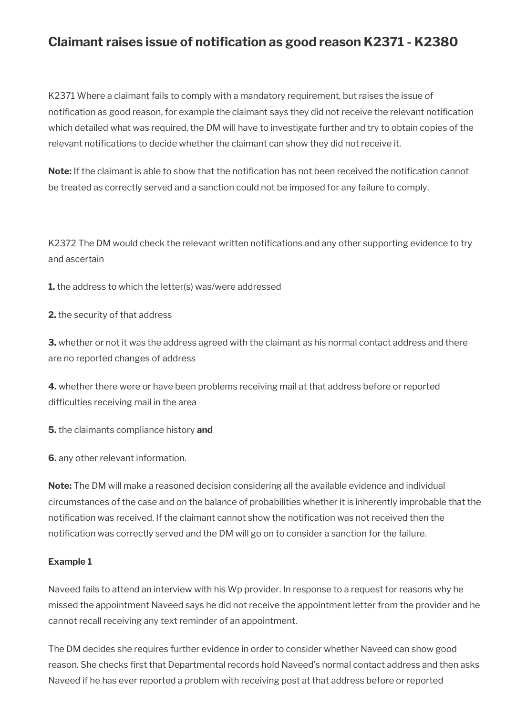# **Claimant raises issue of notification as good reason K2371 - K2380**

K2371 Where a claimant fails to comply with a mandatory requirement, but raises the issue of notification as good reason, for example the claimant says they did not receive the relevant notification which detailed what was required, the DM will have to investigate further and try to obtain copies of the relevant notifications to decide whether the claimant can show they did not receive it.

**Note:** If the claimant is able to show that the notification has not been received the notification cannot be treated as correctly served and a sanction could not be imposed for any failure to comply.

K2372 The DM would check the relevant written notifications and any other supporting evidence to try and ascertain

**1.** the address to which the letter(s) was/were addressed

**2.** the security of that address

**3.** whether or not it was the address agreed with the claimant as his normal contact address and there are no reported changes of address

**4.** whether there were or have been problems receiving mail at that address before or reported difficulties receiving mail in the area

**5.** the claimants compliance history **and**

**6.** any other relevant information.

**Note:** The DM will make a reasoned decision considering all the available evidence and individual circumstances of the case and on the balance of probabilities whether it is inherently improbable that the notification was received. If the claimant cannot show the notification was not received then the notification was correctly served and the DM will go on to consider a sanction for the failure.

## **Example 1**

Naveed fails to attend an interview with his Wp provider. In response to a request for reasons why he missed the appointment Naveed says he did not receive the appointment letter from the provider and he cannot recall receiving any text reminder of an appointment.

The DM decides she requires further evidence in order to consider whether Naveed can show good reason. She checks first that Departmental records hold Naveed's normal contact address and then asks Naveed if he has ever reported a problem with receiving post at that address before or reported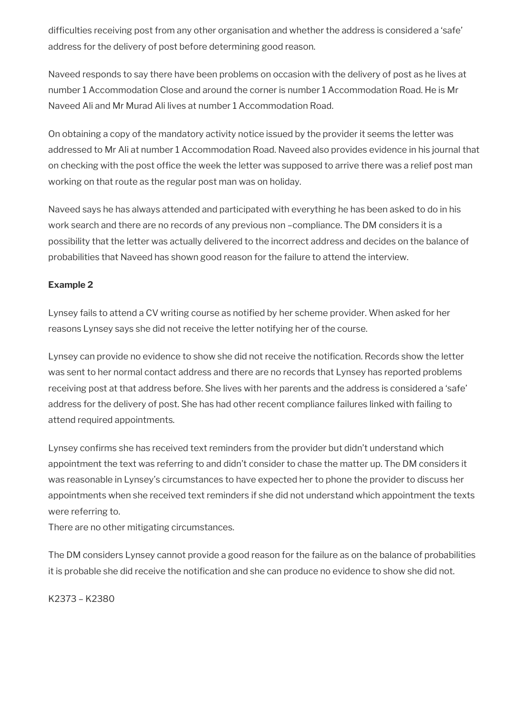difficulties receiving post from any other organisation and whether the address is considered a 'safe' address for the delivery of post before determining good reason.

Naveed responds to say there have been problems on occasion with the delivery of post as he lives at number 1 Accommodation Close and around the corner is number 1 Accommodation Road. He is Mr Naveed Ali and Mr Murad Ali lives at number 1 Accommodation Road.

On obtaining a copy of the mandatory activity notice issued by the provider it seems the letter was addressed to Mr Ali at number 1 Accommodation Road. Naveed also provides evidence in his journal that on checking with the post office the week the letter was supposed to arrive there was a relief post man working on that route as the regular post man was on holiday.

Naveed says he has always attended and participated with everything he has been asked to do in his work search and there are no records of any previous non –compliance. The DM considers it is a possibility that the letter was actually delivered to the incorrect address and decides on the balance of probabilities that Naveed has shown good reason for the failure to attend the interview.

### **Example 2**

Lynsey fails to attend a CV writing course as notified by her scheme provider. When asked for her reasons Lynsey says she did not receive the letter notifying her of the course.

Lynsey can provide no evidence to show she did not receive the notification. Records show the letter was sent to her normal contact address and there are no records that Lynsey has reported problems receiving post at that address before. She lives with her parents and the address is considered a 'safe' address for the delivery of post. She has had other recent compliance failures linked with failing to attend required appointments.

Lynsey confirms she has received text reminders from the provider but didn't understand which appointment the text was referring to and didn't consider to chase the matter up. The DM considers it was reasonable in Lynsey's circumstances to have expected her to phone the provider to discuss her appointments when she received text reminders if she did not understand which appointment the texts were referring to.

There are no other mitigating circumstances.

The DM considers Lynsey cannot provide a good reason for the failure as on the balance of probabilities it is probable she did receive the notification and she can produce no evidence to show she did not.

K2373 – K2380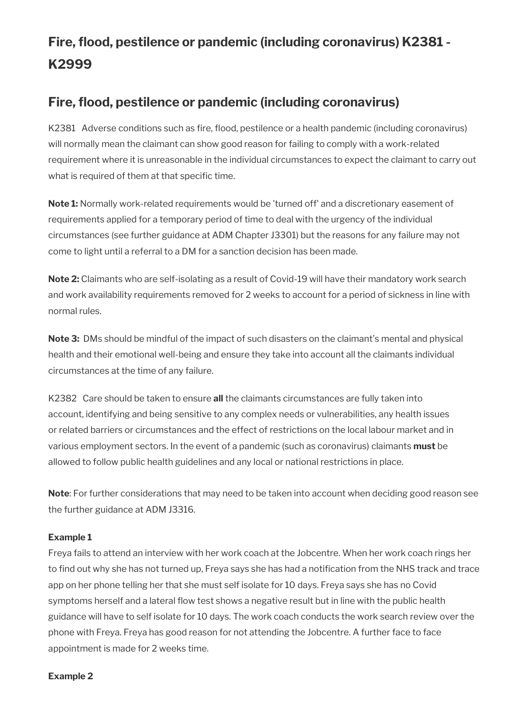# **Fire, flood, pestilence or pandemic (including coronavirus) K2381 - K2999**

# **Fire, flood, pestilence or pandemic (including coronavirus)**

K2381 Adverse conditions such as fire, flood, pestilence or a health pandemic (including coronavirus) will normally mean the claimant can show good reason for failing to comply with a work-related requirement where it is unreasonable in the individual circumstances to expect the claimant to carry out what is required of them at that specific time.

**Note 1:** Normally work-related requirements would be 'turned off' and a discretionary easement of requirements applied for a temporary period of time to deal with the urgency of the individual circumstances (see further guidance at ADM Chapter J3301) but the reasons for any failure may not come to light until a referral to a DM for a sanction decision has been made.

**Note 2:** Claimants who are self-isolating as a result of Covid-19 will have their mandatory work search and work availability requirements removed for 2 weeks to account for a period of sickness in line with normal rules.

**Note 3:** DMs should be mindful of the impact of such disasters on the claimant's mental and physical health and their emotional well-being and ensure they take into account all the claimants individual circumstances at the time of any failure.

K2382 Care should be taken to ensure **all** the claimants circumstances are fully taken into account, identifying and being sensitive to any complex needs or vulnerabilities, any health issues or related barriers or circumstances and the effect of restrictions on the local labour market and in various employment sectors. In the event of a pandemic (such as coronavirus) claimants **must** be allowed to follow public health guidelines and any local or national restrictions in place.

**Note**: For further considerations that may need to be taken into account when deciding good reason see the further guidance at ADM J3316.

## **Example 1**

Freya fails to attend an interview with her work coach at the Jobcentre. When her work coach rings her to find out why she has not turned up, Freya says she has had a notification from the NHS track and trace app on her phone telling her that she must self isolate for 10 days. Freya says she has no Covid symptoms herself and a lateral flow test shows a negative result but in line with the public health guidance will have to self isolate for 10 days. The work coach conducts the work search review over the phone with Freya. Freya has good reason for not attending the Jobcentre. A further face to face appointment is made for 2 weeks time.

#### **Example 2**